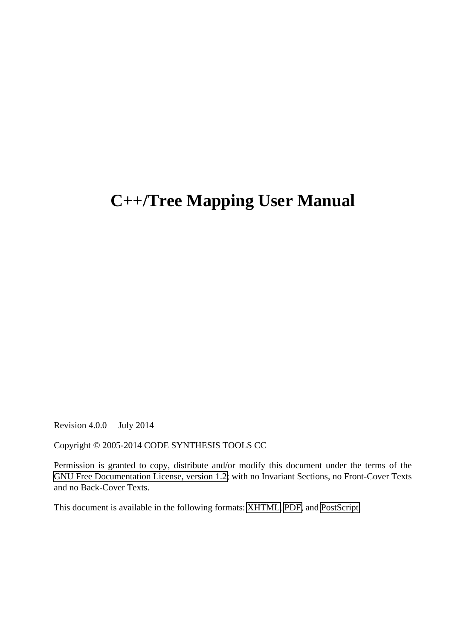# **C++/Tree Mapping User Manual**

Revision 4.0.0 July 2014

Copyright © 2005-2014 CODE SYNTHESIS TOOLS CC

Permission is granted to copy, distribute and/or modify this document under the terms of the [GNU Free Documentation License, version 1.2;](http://www.codesynthesis.com/licenses/fdl-1.2.txt) with no Invariant Sections, no Front-Cover Texts and no Back-Cover Texts.

This document is available in the following formats: [XHTML,](http://www.codesynthesis.com/products/xsd) [PDF,](http://codesynthesis.com/projects/xsd/documentation/cxx/tree/manual/index.xhtml) and [PostScript.](http://codesynthesis.com/projects/xsd/documentation/cxx/tree/manual/cxx-tree-manual.pdf)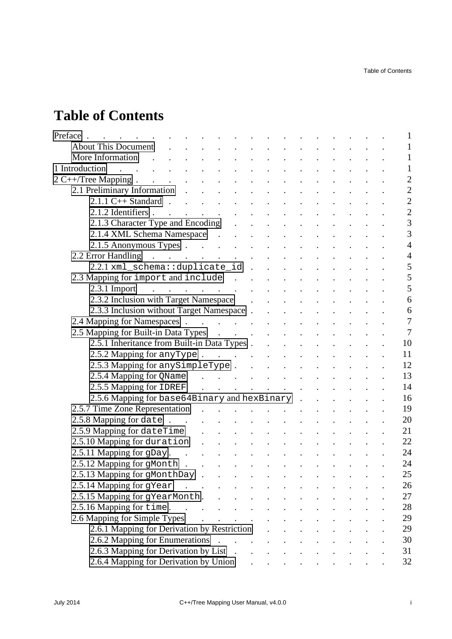# **Table of Contents**

| Preface.<br>$\mathcal{L}^{\text{max}}$ , where $\mathcal{L}^{\text{max}}$                                                                                                                                                      | $\mathcal{L}(\mathcal{A})$ . The contribution of the contribution of $\mathcal{A}$ |                                               |  |  |  |  |  | $\mathbf{1}$   |
|--------------------------------------------------------------------------------------------------------------------------------------------------------------------------------------------------------------------------------|------------------------------------------------------------------------------------|-----------------------------------------------|--|--|--|--|--|----------------|
| <b>About This Document</b>                                                                                                                                                                                                     | and a series of the contract of the contract of the contract of                    |                                               |  |  |  |  |  | $\mathbf{1}$   |
| More Information and the contract of the contract of the contract of the contract of the contract of the contract of the contract of the contract of the contract of the contract of the contract of the contract of the contr |                                                                                    |                                               |  |  |  |  |  | $\mathbf{1}$   |
| 1 Introduction<br>المنافس والمستنقل والمستنقل والمستنقل والمستنقل والمستنقل والمستنقل والمستنقل                                                                                                                                |                                                                                    |                                               |  |  |  |  |  | $\mathbf{1}$   |
| $2 \text{ C++/Tree Mapping}$ .                                                                                                                                                                                                 |                                                                                    |                                               |  |  |  |  |  | $\overline{c}$ |
| 2.1 Preliminary Information                                                                                                                                                                                                    |                                                                                    |                                               |  |  |  |  |  | $\overline{2}$ |
| $2.1.1 \text{ C++ Standard}$                                                                                                                                                                                                   |                                                                                    |                                               |  |  |  |  |  | $\overline{2}$ |
|                                                                                                                                                                                                                                |                                                                                    |                                               |  |  |  |  |  | $\overline{c}$ |
| 2.1.3 Character Type and Encoding (2.1.3 Character Type and Encoding (2.1.3 Character Type and Encoding                                                                                                                        |                                                                                    |                                               |  |  |  |  |  | $\overline{3}$ |
| 2.1.4 XML Schema Namespace                                                                                                                                                                                                     |                                                                                    |                                               |  |  |  |  |  | $\overline{3}$ |
| 2.1.5 Anonymous Types                                                                                                                                                                                                          |                                                                                    |                                               |  |  |  |  |  | $\overline{4}$ |
| 2.2 Error Handling (a) and (b) and (c) and (c) and (c) and (c) and (c) and (c) and (c) and (c) and (c) and (c) and (c) and (c) and (c) and (c) and (c) and (c) and (c) and (c) and (c) and (c) and (c) and (c) and (c) and (c) |                                                                                    |                                               |  |  |  |  |  | $\overline{4}$ |
| 2.2.1 xml_schema::duplicate_id                                                                                                                                                                                                 |                                                                                    |                                               |  |  |  |  |  | 5              |
| 2.3 Mapping for import and include                                                                                                                                                                                             |                                                                                    |                                               |  |  |  |  |  | 5              |
|                                                                                                                                                                                                                                |                                                                                    |                                               |  |  |  |  |  | 5              |
| 2.3.2 Inclusion with Target Namespace and the contract of the contract of the contract of the contract of the contract of the contract of the contract of the contract of the contract of the contract of the contract of the  |                                                                                    |                                               |  |  |  |  |  | 6              |
| 2.3.3 Inclusion without Target Namespace                                                                                                                                                                                       |                                                                                    |                                               |  |  |  |  |  | 6              |
|                                                                                                                                                                                                                                |                                                                                    |                                               |  |  |  |  |  | $\overline{7}$ |
| 2.5 Mapping for Built-in Data Types                                                                                                                                                                                            |                                                                                    |                                               |  |  |  |  |  | $\overline{7}$ |
| 2.5.1 Inheritance from Built-in Data Types                                                                                                                                                                                     |                                                                                    |                                               |  |  |  |  |  | 10             |
| 2.5.2 Mapping for any Type.                                                                                                                                                                                                    |                                                                                    |                                               |  |  |  |  |  | 11             |
| 2.5.3 Mapping for any SimpleType.                                                                                                                                                                                              |                                                                                    |                                               |  |  |  |  |  | 12             |
| 2.5.4 Mapping for QName contains the contract of the contract of the contract of the contract of the contract of the contract of the contract of the contract of the contract of the contract of the contract of the contract  |                                                                                    |                                               |  |  |  |  |  | 13             |
| 2.5.5 Mapping for IDREF                                                                                                                                                                                                        |                                                                                    |                                               |  |  |  |  |  | 14             |
| 2.5.6 Mapping for base64Binary and hexBinary                                                                                                                                                                                   |                                                                                    |                                               |  |  |  |  |  | 16             |
| 2.5.7 Time Zone Representation                                                                                                                                                                                                 |                                                                                    |                                               |  |  |  |  |  | 19             |
| $2.5.8$ Mapping for date                                                                                                                                                                                                       |                                                                                    |                                               |  |  |  |  |  | 20             |
| 2.5.9 Mapping for dateTime example and the contract of the contract of the contract of the contract of the contract of the contract of the contract of the contract of the contract of the contract of the contract of the con |                                                                                    |                                               |  |  |  |  |  | 21             |
| 2.5.10 Mapping for duration                                                                                                                                                                                                    |                                                                                    |                                               |  |  |  |  |  | 22             |
| $2.5.11$ Mapping for gDay.                                                                                                                                                                                                     |                                                                                    |                                               |  |  |  |  |  | 24             |
| 2.5.12 Mapping for gMonth                                                                                                                                                                                                      |                                                                                    |                                               |  |  |  |  |  | 24             |
| 2.5.13 Mapping for gMonthDay                                                                                                                                                                                                   |                                                                                    |                                               |  |  |  |  |  | 25             |
| 2.5.14 Mapping for gYear                                                                                                                                                                                                       | $\mathcal{L}(\mathcal{A})$ . The set of the set of the set of $\mathcal{A}$        |                                               |  |  |  |  |  | 26             |
| 2.5.15 Mapping for gYearMonth.                                                                                                                                                                                                 |                                                                                    |                                               |  |  |  |  |  | 27             |
| 2.5.16 Mapping for time.                                                                                                                                                                                                       |                                                                                    |                                               |  |  |  |  |  | 28             |
| 2.6 Mapping for Simple Types                                                                                                                                                                                                   |                                                                                    | and a series of the contract of the series of |  |  |  |  |  | 29             |
| 2.6.1 Mapping for Derivation by Restriction.                                                                                                                                                                                   |                                                                                    |                                               |  |  |  |  |  | 29             |
| 2.6.2 Mapping for Enumerations                                                                                                                                                                                                 |                                                                                    |                                               |  |  |  |  |  | 30             |
| 2.6.3 Mapping for Derivation by List                                                                                                                                                                                           |                                                                                    |                                               |  |  |  |  |  | 31             |
|                                                                                                                                                                                                                                |                                                                                    |                                               |  |  |  |  |  | 32             |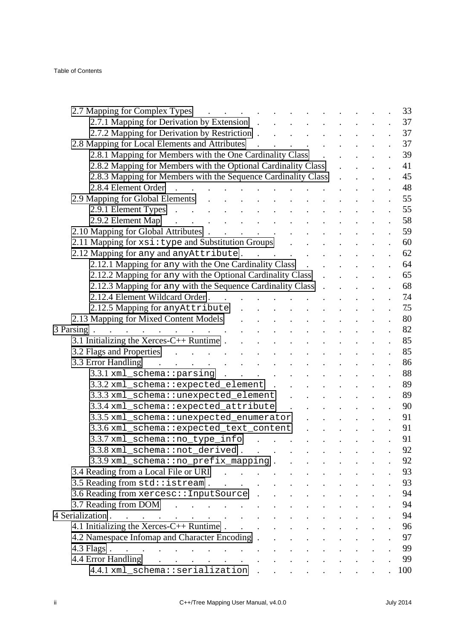| 2.7 Mapping for Complex Types                                                                                                                                                                                                                              |  |  | 33  |
|------------------------------------------------------------------------------------------------------------------------------------------------------------------------------------------------------------------------------------------------------------|--|--|-----|
| 2.7.1 Mapping for Derivation by Extension                                                                                                                                                                                                                  |  |  | 37  |
| 2.7.2 Mapping for Derivation by Restriction                                                                                                                                                                                                                |  |  | 37  |
| 2.8 Mapping for Local Elements and Attributes                                                                                                                                                                                                              |  |  | 37  |
| 2.8.1 Mapping for Members with the One Cardinality Class<br>$\mathbf{r}$                                                                                                                                                                                   |  |  | 39  |
| 2.8.2 Mapping for Members with the Optional Cardinality Class                                                                                                                                                                                              |  |  | 41  |
| 2.8.3 Mapping for Members with the Sequence Cardinality Class                                                                                                                                                                                              |  |  | 45  |
| 2.8.4 Element Order                                                                                                                                                                                                                                        |  |  | 48  |
| 2.9 Mapping for Global Elements                                                                                                                                                                                                                            |  |  | 55  |
| 2.9.1 Element Types                                                                                                                                                                                                                                        |  |  | 55  |
| 2.9.2 Element Map<br>$\mathbf{L} = \mathbf{L} \mathbf{L}$                                                                                                                                                                                                  |  |  | 58  |
| 2.10 Mapping for Global Attributes                                                                                                                                                                                                                         |  |  | 59  |
| 2.11 Mapping for xsi: type and Substitution Groups                                                                                                                                                                                                         |  |  | 60  |
| 2.12 Mapping for any and any Attribute.                                                                                                                                                                                                                    |  |  | 62  |
| 2.12.1 Mapping for any with the One Cardinality Class                                                                                                                                                                                                      |  |  | 64  |
| 2.12.2 Mapping for any with the Optional Cardinality Class<br>$\ddot{\phantom{a}}$                                                                                                                                                                         |  |  | 65  |
| 2.12.3 Mapping for any with the Sequence Cardinality Class.                                                                                                                                                                                                |  |  | 68  |
| 2.12.4 Element Wildcard Order                                                                                                                                                                                                                              |  |  | 7.4 |
| 2.12.5 Mapping for anyAttribute<br>$\label{eq:reduced} \begin{split} \mathbf{r} & \quad \mathbf{r} = \mathbf{r} \quad \mathbf{r} = \mathbf{r} \quad \mathbf{r} = \mathbf{r} \quad \mathbf{r} = \mathbf{r} \quad \mathbf{r} = \mathbf{r} \end{split}$       |  |  | 7.5 |
| 2.13 Mapping for Mixed Content Models<br>$\mathbf{r} = \mathbf{r} \cdot \mathbf{r}$ , and $\mathbf{r} = \mathbf{r} \cdot \mathbf{r}$ , and $\mathbf{r} = \mathbf{r} \cdot \mathbf{r}$                                                                      |  |  | 80  |
| 3 Parsing.<br>and the contract of the contract of the                                                                                                                                                                                                      |  |  | 82  |
|                                                                                                                                                                                                                                                            |  |  | 85  |
| 3.2 Flags and Properties and Allen and Allen and Allen and Allen and Allen and Allen and Allen and Allen and A                                                                                                                                             |  |  | 85  |
| 3.3 Error Handling                                                                                                                                                                                                                                         |  |  | 86  |
| $3.3.1$ xml_schema::parsing                                                                                                                                                                                                                                |  |  | 88  |
| 3.3.2 xml_schema::expected_element .                                                                                                                                                                                                                       |  |  | 89  |
| 3.3.3 xml_schema::unexpected_element                                                                                                                                                                                                                       |  |  | 89  |
| 3.3.4 xml_schema::expected_attribute<br>$\mathbf{r}$                                                                                                                                                                                                       |  |  | 90  |
| 3.3.5 xml_schema::unexpected_enumerator                                                                                                                                                                                                                    |  |  | 91  |
| 3.3.6 xml_schema::expected_text_content                                                                                                                                                                                                                    |  |  | 91  |
| 3.3.7 xml_schema::no_type_info                                                                                                                                                                                                                             |  |  | 91  |
| 3.3.8 xml_schema::not_derived                                                                                                                                                                                                                              |  |  | 92  |
| 3.3.9 xml_schema::no_prefix_mapping                                                                                                                                                                                                                        |  |  | 92  |
| 3.4 Reading from a Local File or URI<br>$\mathcal{L}(\mathcal{A})$ . The set of the set of $\mathcal{A}$                                                                                                                                                   |  |  | 93  |
| $3.5$ Reading from std: istream                                                                                                                                                                                                                            |  |  | 93  |
| 3.6 Reading from xercesc:: InputSource                                                                                                                                                                                                                     |  |  | 94  |
| 3.7 Reading from DOM<br>$\mathcal{A}$ . The set of the set of the set of the set of the set of the set of the set of the set of the set of the set of the set of the set of the set of the set of the set of the set of the set of the set of the set of t |  |  | 94  |
| 4 Serialization                                                                                                                                                                                                                                            |  |  | 94  |
| 4.1 Initializing the Xerces-C++ Runtime $\ldots$                                                                                                                                                                                                           |  |  | 96  |
| 4.2 Namespace Infomap and Character Encoding                                                                                                                                                                                                               |  |  | 97  |
| $4.3$ Flags                                                                                                                                                                                                                                                |  |  | 99  |
| 4.4 Error Handling<br>and the contract of the contract of the con-                                                                                                                                                                                         |  |  | 99  |
| 4.4.1 xml_schema::serialization                                                                                                                                                                                                                            |  |  | 100 |
|                                                                                                                                                                                                                                                            |  |  |     |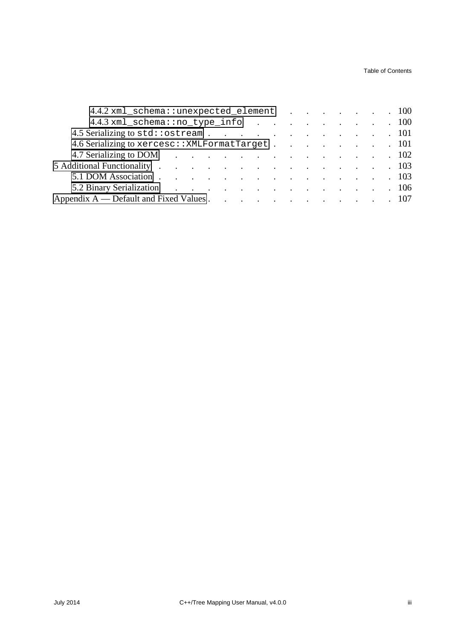Table of Contents

| 4.4.2 xml_schema::unexpected_element 100          |  |  |  |  |
|---------------------------------------------------|--|--|--|--|
| 4.4.3 xml_schema::no_type_info 100                |  |  |  |  |
| 4.5 Serializing to std: ostream 101               |  |  |  |  |
| 4.6 Serializing to xercesc: : XMLFormatTarget 101 |  |  |  |  |
| 4.7 Serializing to DOM 102                        |  |  |  |  |
| 5 Additional Functionality 103                    |  |  |  |  |
| 5.1 DOM Association 103                           |  |  |  |  |
| 5.2 Binary Serialization 106                      |  |  |  |  |
| Appendix A — Default and Fixed Values 107         |  |  |  |  |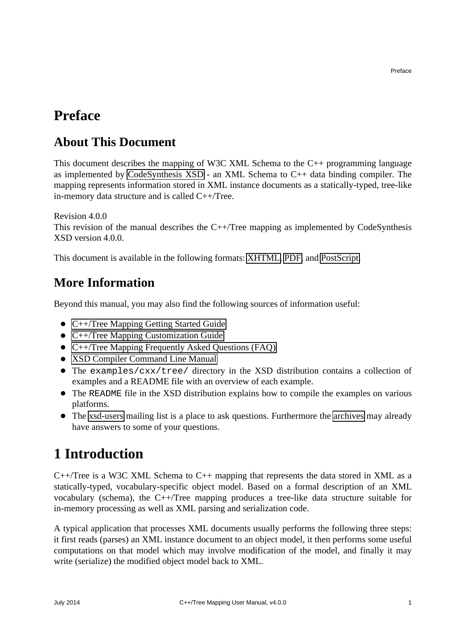### <span id="page-6-0"></span>**Preface**

### <span id="page-6-1"></span>**About This Document**

This document describes the mapping of W3C XML Schema to the C++ programming language as implemented by [CodeSynthesis XSD](http://www.codesynthesis.com/products/xsd) - an XML Schema to C++ data binding compiler. The mapping represents information stored in XML instance documents as a statically-typed, tree-like in-memory data structure and is called C++/Tree.

Revision 4.0.0

This revision of the manual describes the C++/Tree mapping as implemented by CodeSynthesis XSD version 4.0.0.

This document is available in the following formats: [XHTML,](http://codesynthesis.com/projects/xsd/documentation/cxx/tree/manual/index.xhtml) [PDF,](http://codesynthesis.com/projects/xsd/documentation/cxx/tree/manual/cxx-tree-manual.pdf) and [PostScript.](http://codesynthesis.com/projects/xsd/documentation/cxx/tree/manual/cxx-tree-manual.ps)

### <span id="page-6-2"></span>**More Information**

Beyond this manual, you may also find the following sources of information useful:

- [C++/Tree Mapping Getting Started Guide](http://www.codesynthesis.com/projects/xsd/documentation/cxx/tree/guide/)
- C++/Tree Mapping Customization Guide
- [C++/Tree Mapping Frequently Asked Questions \(FAQ\)](http://wiki.codesynthesis.com/Tree/FAQ)
- [XSD Compiler Command Line Manual](http://www.codesynthesis.com/projects/xsd/documentation/xsd.xhtml)
- The examples/cxx/tree/ directory in the XSD distribution contains a collection of examples and a README file with an overview of each example.
- The README file in the XSD distribution explains how to compile the examples on various platforms.
- The [xsd-users](http://www.codesynthesis.com/mailman/listinfo/xsd-users) mailing list is a place to ask questions. Furthermore the [archives](http://www.codesynthesis.com/pipermail/xsd-users/) may already have answers to some of your questions.

## <span id="page-6-3"></span>**1 Introduction**

 $C++/Tree$  is a W3C XML Schema to  $C++$  mapping that represents the data stored in XML as a statically-typed, vocabulary-specific object model. Based on a formal description of an XML vocabulary (schema), the C++/Tree mapping produces a tree-like data structure suitable for in-memory processing as well as XML parsing and serialization code.

A typical application that processes XML documents usually performs the following three steps: it first reads (parses) an XML instance document to an object model, it then performs some useful computations on that model which may involve modification of the model, and finally it may write (serialize) the modified object model back to XML.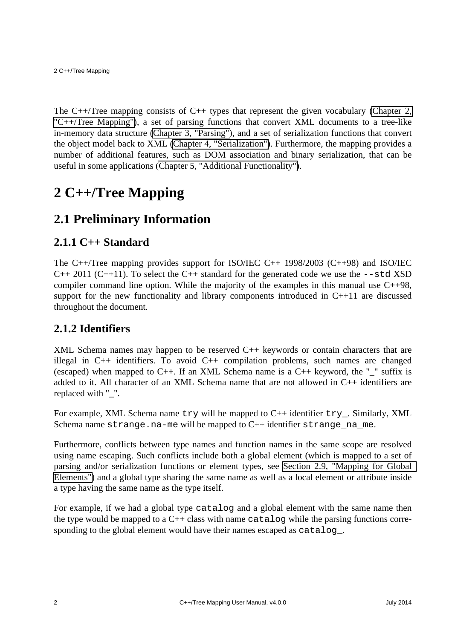The C++/Tree mapping consists of C++ types that represent the given vocabulary [\(Chapter 2,](#page-7-0) ["C++/Tree Mapping"\)](#page-7-0), a set of parsing functions that convert XML documents to a tree-like in-memory data structure [\(Chapter 3, "Parsing"\)](#page-87-0), and a set of serialization functions that convert the object model back to XML [\(Chapter 4, "Serialization"\)](#page-99-2). Furthermore, the mapping provides a number of additional features, such as DOM association and binary serialization, that can be useful in some applications [\(Chapter 5, "Additional Functionality"\)](#page-108-0).

## <span id="page-7-0"></span>**2 C++/Tree Mapping**

### <span id="page-7-1"></span>**2.1 Preliminary Information**

#### <span id="page-7-2"></span>**2.1.1 C++ Standard**

The C++/Tree mapping provides support for ISO/IEC C++ 1998/2003 (C++98) and ISO/IEC  $C_{++}$  2011 ( $C_{++}$ 11). To select the  $C_{++}$  standard for the generated code we use the  $--$ std XSD compiler command line option. While the majority of the examples in this manual use C++98, support for the new functionality and library components introduced in C++11 are discussed throughout the document.

#### <span id="page-7-3"></span>**2.1.2 Identifiers**

XML Schema names may happen to be reserved C++ keywords or contain characters that are illegal in C++ identifiers. To avoid C++ compilation problems, such names are changed (escaped) when mapped to C++. If an XML Schema name is a C++ keyword, the " $\degree$ " suffix is added to it. All character of an XML Schema name that are not allowed in C++ identifiers are replaced with "\_".

For example, XML Schema name  $try$  will be mapped to  $C++$  identifier  $try$ . Similarly, XML Schema name strange.na-me will be mapped to  $C_{++}$  identifier strange na me.

Furthermore, conflicts between type names and function names in the same scope are resolved using name escaping. Such conflicts include both a global element (which is mapped to a set of parsing and/or serialization functions or element types, see [Section 2.9, "Mapping for Global](#page-60-0)  [Elements"\)](#page-60-0) and a global type sharing the same name as well as a local element or attribute inside a type having the same name as the type itself.

For example, if we had a global type catalog and a global element with the same name then the type would be mapped to a  $C_{++}$  class with name catalog while the parsing functions corresponding to the global element would have their names escaped as catalog.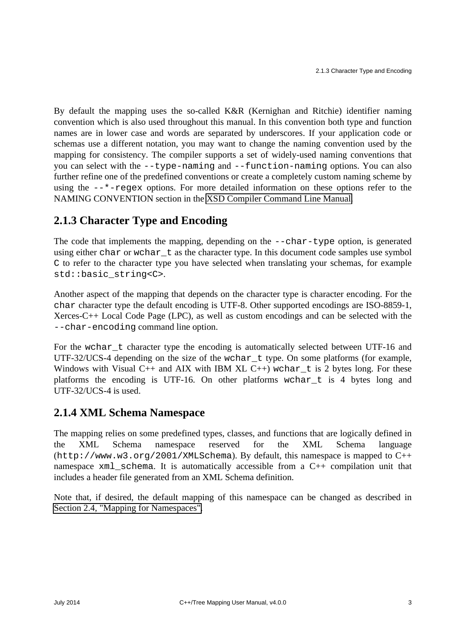By default the mapping uses the so-called K&R (Kernighan and Ritchie) identifier naming convention which is also used throughout this manual. In this convention both type and function names are in lower case and words are separated by underscores. If your application code or schemas use a different notation, you may want to change the naming convention used by the mapping for consistency. The compiler supports a set of widely-used naming conventions that you can select with the --type-naming and --function-naming options. You can also further refine one of the predefined conventions or create a completely custom naming scheme by using the  $-\frac{1}{2}$  regex options. For more detailed information on these options refer to the NAMING CONVENTION section in the [XSD Compiler Command Line Manual.](http://www.codesynthesis.com/projects/xsd/documentation/xsd.xhtml)

#### <span id="page-8-0"></span>**2.1.3 Character Type and Encoding**

The code that implements the mapping, depending on the --char-type option, is generated using either char or wchar\_t as the character type. In this document code samples use symbol C to refer to the character type you have selected when translating your schemas, for example std::basic\_string<C>.

Another aspect of the mapping that depends on the character type is character encoding. For the char character type the default encoding is UTF-8. Other supported encodings are ISO-8859-1, Xerces-C++ Local Code Page (LPC), as well as custom encodings and can be selected with the --char-encoding command line option.

For the wchar\_t character type the encoding is automatically selected between UTF-16 and UTF-32/UCS-4 depending on the size of the wchar  $\pm$  type. On some platforms (for example, Windows with Visual C++ and AIX with IBM XL C++) wchar  $_t$  is 2 bytes long. For these platforms the encoding is UTF-16. On other platforms wchar\_t is 4 bytes long and UTF-32/UCS-4 is used.

#### <span id="page-8-1"></span>**2.1.4 XML Schema Namespace**

The mapping relies on some predefined types, classes, and functions that are logically defined in the XML Schema namespace reserved for the XML Schema language  $(\text{http://www.w3.org/2001/XMLSchema})$ . By default, this namespace is mapped to C++ namespace xml\_schema. It is automatically accessible from a C++ compilation unit that includes a header file generated from an XML Schema definition.

Note that, if desired, the default mapping of this namespace can be changed as described in [Section 2.4, "Mapping for Namespaces".](#page-12-0)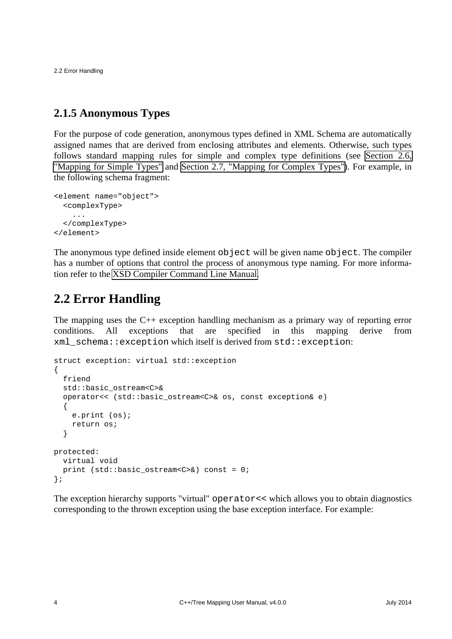2.2 Error Handling

### <span id="page-9-0"></span>**2.1.5 Anonymous Types**

For the purpose of code generation, anonymous types defined in XML Schema are automatically assigned names that are derived from enclosing attributes and elements. Otherwise, such types follows standard mapping rules for simple and complex type definitions (see [Section 2.6,](#page-34-0) ["Mapping for Simple Types"](#page-34-0) and [Section 2.7, "Mapping for Complex Types"\)](#page-38-0). For example, in the following schema fragment:

```
<element name="object">
  <complexType>
     ...
   </complexType>
</element>
```
The anonymous type defined inside element object will be given name object. The compiler has a number of options that control the process of anonymous type naming. For more information refer to the [XSD Compiler Command Line Manual.](http://www.codesynthesis.com/projects/xsd/documentation/xsd.xhtml)

### <span id="page-9-1"></span>**2.2 Error Handling**

The mapping uses the C++ exception handling mechanism as a primary way of reporting error conditions. All exceptions that are specified in this mapping derive from xml\_schema::exception which itself is derived from std::exception:

```
struct exception: virtual std::exception
\{ friend
   std::basic_ostream<C>&
   operator<< (std::basic_ostream<C>& os, const exception& e)
  \{ e.print (os);
     return os;
   }
protected:
   virtual void
  print (std::basic ostream<C>\&) const = 0;
};
```
The exception hierarchy supports "virtual" operator<< which allows you to obtain diagnostics corresponding to the thrown exception using the base exception interface. For example: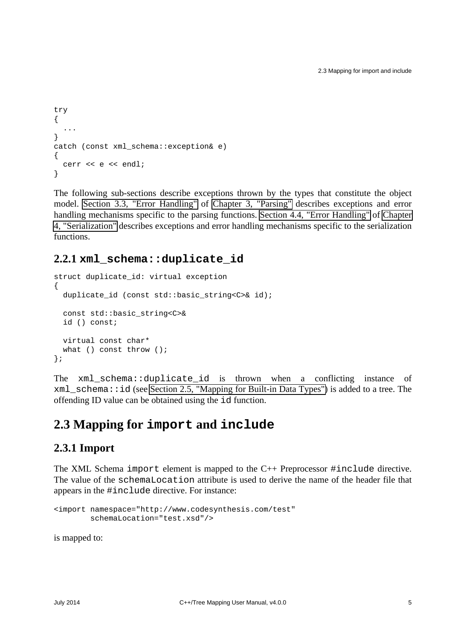```
try
{
   ...
}
catch (const xml_schema::exception& e)
{
 cerr << e << endl;
}
```
The following sub-sections describe exceptions thrown by the types that constitute the object model. [Section 3.3, "Error Handling"](#page-91-0) of [Chapter 3, "Parsing"](#page-87-0) describes exceptions and error handling mechanisms specific to the parsing functions. [Section 4.4, "Error Handling"](#page-104-1) of [Chapter](#page-99-2) [4, "Serialization"](#page-99-2) describes exceptions and error handling mechanisms specific to the serialization functions.

#### <span id="page-10-0"></span>**2.2.1 xml\_schema::duplicate\_id**

```
struct duplicate_id: virtual exception
{
  duplicate_id (const std::basic_string<C>& id);
  const std::basic_string<C>&
  id () const;
  virtual const char*
 what () const throw ();
};
```
The  $xml$  schema: duplicate id is thrown when a conflicting instance of  $xml$  schema:: id (see [Section 2.5, "Mapping for Built-in Data Types"\)](#page-12-1) is added to a tree. The offending ID value can be obtained using the id function.

## <span id="page-10-1"></span>**2.3 Mapping for import and include**

#### <span id="page-10-2"></span>**2.3.1 Import**

The XML Schema import element is mapped to the C++ Preprocessor #include directive. The value of the schemaLocation attribute is used to derive the name of the header file that appears in the #include directive. For instance:

```
<import namespace="http://www.codesynthesis.com/test"
        schemaLocation="test.xsd"/>
```
is mapped to: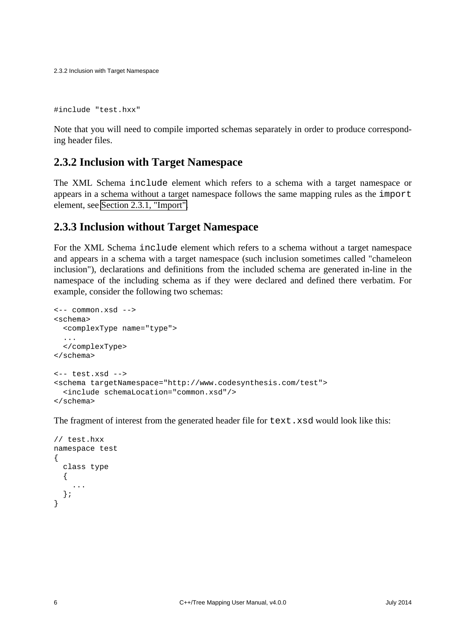2.3.2 Inclusion with Target Namespace

#include "test.hxx"

Note that you will need to compile imported schemas separately in order to produce corresponding header files.

#### <span id="page-11-0"></span>**2.3.2 Inclusion with Target Namespace**

The XML Schema include element which refers to a schema with a target namespace or appears in a schema without a target namespace follows the same mapping rules as the import element, see [Section 2.3.1, "Import".](#page-10-2)

#### <span id="page-11-1"></span>**2.3.3 Inclusion without Target Namespace**

For the XML Schema include element which refers to a schema without a target namespace and appears in a schema with a target namespace (such inclusion sometimes called "chameleon inclusion"), declarations and definitions from the included schema are generated in-line in the namespace of the including schema as if they were declared and defined there verbatim. For example, consider the following two schemas:

```
<-- common.xsd -->
<schema>
  <complexType name="type">
   ...
  </complexType>
</schema>
<-- test.xsd -->
<schema targetNamespace="http://www.codesynthesis.com/test">
   <include schemaLocation="common.xsd"/>
</schema>
```
The fragment of interest from the generated header file for  $text{text}.xsd$  would look like this:

```
// test.hxx
namespace test
{
   class type
   {
     ...
   };
}
```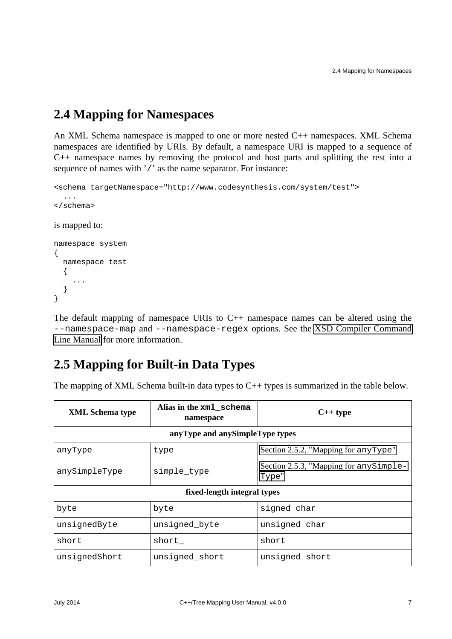## <span id="page-12-0"></span>**2.4 Mapping for Namespaces**

An XML Schema namespace is mapped to one or more nested C++ namespaces. XML Schema namespaces are identified by URIs. By default, a namespace URI is mapped to a sequence of C++ namespace names by removing the protocol and host parts and splitting the rest into a sequence of names with '/' as the name separator. For instance:

```
<schema targetNamespace="http://www.codesynthesis.com/system/test">
   ...
</schema>
is mapped to:
namespace system
{
   namespace test
   {
     ...
   }
}
```
The default mapping of namespace URIs to C++ namespace names can be altered using the --namespace-map and --namespace-regex options. See the [XSD Compiler Command](http://www.codesynthesis.com/projects/xsd/documentation/xsd.xhtml) [Line Manual](http://www.codesynthesis.com/projects/xsd/documentation/xsd.xhtml) for more information.

### <span id="page-12-1"></span>**2.5 Mapping for Built-in Data Types**

The mapping of XML Schema built-in data types to  $C_{++}$  types is summarized in the table below.

| <b>XML</b> Schema type          | Alias in the xml_schema<br>namespace | $C++$ type                                       |  |  |  |  |  |
|---------------------------------|--------------------------------------|--------------------------------------------------|--|--|--|--|--|
| anyType and anySimpleType types |                                      |                                                  |  |  |  |  |  |
| anyType                         | type                                 | Section 2.5.2, "Mapping for any Type"            |  |  |  |  |  |
| anySimpleType                   | simple_type                          | Section 2.5.3, "Mapping for any Simple-<br>Type" |  |  |  |  |  |
| fixed-length integral types     |                                      |                                                  |  |  |  |  |  |
| byte                            | byte                                 | signed char                                      |  |  |  |  |  |
| unsignedByte                    | unsigned_byte                        | unsigned char                                    |  |  |  |  |  |
| short                           | short                                | short                                            |  |  |  |  |  |
| unsignedShort                   | unsigned_short                       | unsigned short                                   |  |  |  |  |  |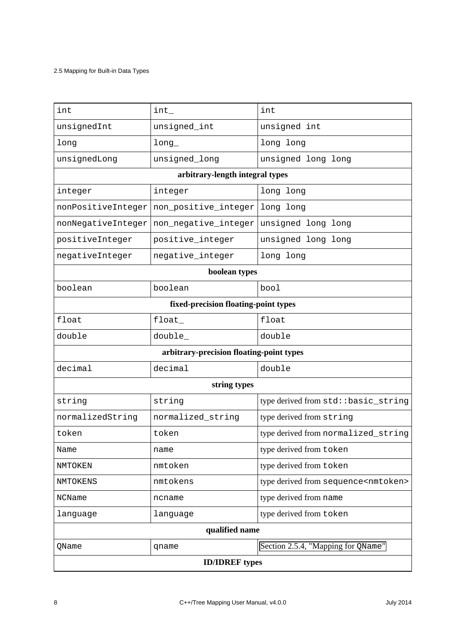#### 2.5 Mapping for Built-in Data Types

| int                                      | $int_{-}$            | int                                            |  |  |  |  |  |
|------------------------------------------|----------------------|------------------------------------------------|--|--|--|--|--|
| unsignedInt                              | unsigned_int         | unsigned int                                   |  |  |  |  |  |
| long                                     | long                 | long long                                      |  |  |  |  |  |
| unsignedLong                             | unsigned_long        | unsigned long long                             |  |  |  |  |  |
| arbitrary-length integral types          |                      |                                                |  |  |  |  |  |
| integer                                  | integer              | long long                                      |  |  |  |  |  |
| nonPositiveInteger                       | non_positive_integer | long long                                      |  |  |  |  |  |
| nonNegativeInteger                       | non_negative_integer | unsigned long long                             |  |  |  |  |  |
| positiveInteger                          | positive_integer     | unsigned long long                             |  |  |  |  |  |
| negativeInteger                          | negative_integer     | long long                                      |  |  |  |  |  |
| boolean types                            |                      |                                                |  |  |  |  |  |
| boolean                                  | boolean              | bool                                           |  |  |  |  |  |
| fixed-precision floating-point types     |                      |                                                |  |  |  |  |  |
| float                                    | float                | float                                          |  |  |  |  |  |
| double                                   | double_              | double                                         |  |  |  |  |  |
| arbitrary-precision floating-point types |                      |                                                |  |  |  |  |  |
| decimal                                  | decimal              | double                                         |  |  |  |  |  |
| string types                             |                      |                                                |  |  |  |  |  |
| string                                   | string               | type derived from std: : basic_string          |  |  |  |  |  |
| normalizedString                         | normalized_string    | type derived from string                       |  |  |  |  |  |
| token                                    | token                | type derived from normalized_string            |  |  |  |  |  |
| Name                                     | name                 | type derived from token                        |  |  |  |  |  |
| NMTOKEN                                  | nmtoken              | type derived from token                        |  |  |  |  |  |
| NMTOKENS                                 | nmtokens             | type derived from sequence <nmtoken></nmtoken> |  |  |  |  |  |
| <b>NCName</b>                            | ncname               | type derived from name                         |  |  |  |  |  |
| language                                 | language             | type derived from token                        |  |  |  |  |  |
| qualified name                           |                      |                                                |  |  |  |  |  |
| QName                                    | qname                | Section 2.5.4, "Mapping for QName"             |  |  |  |  |  |
| <b>ID/IDREF</b> types                    |                      |                                                |  |  |  |  |  |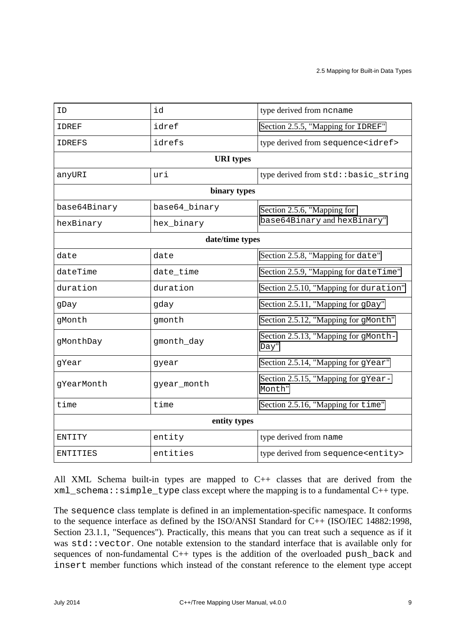| ΙD                            | id          | type derived from ncname                      |  |  |  |  |  |  |
|-------------------------------|-------------|-----------------------------------------------|--|--|--|--|--|--|
| IDREF                         | idref       | Section 2.5.5, "Mapping for IDREF"            |  |  |  |  |  |  |
| IDREFS                        | idrefs      | type derived from sequence <idref></idref>    |  |  |  |  |  |  |
| <b>URI</b> types              |             |                                               |  |  |  |  |  |  |
| anyURI                        | uri         | type derived from std: : basic_string         |  |  |  |  |  |  |
| binary types                  |             |                                               |  |  |  |  |  |  |
| base64Binary<br>base64_binary |             | Section 2.5.6, "Mapping for                   |  |  |  |  |  |  |
| hexBinary                     | hex_binary  | base64Binary and hexBinary"                   |  |  |  |  |  |  |
| date/time types               |             |                                               |  |  |  |  |  |  |
| date                          | date        | Section 2.5.8, "Mapping for date"             |  |  |  |  |  |  |
| dateTime                      | date_time   | Section 2.5.9, "Mapping for dateTime"         |  |  |  |  |  |  |
| duration                      | duration    | Section 2.5.10, "Mapping for duration"        |  |  |  |  |  |  |
| gDay                          | gday        | Section 2.5.11, "Mapping for gDay"            |  |  |  |  |  |  |
| gMonth                        | gmonth      | Section 2.5.12, "Mapping for gMonth"          |  |  |  |  |  |  |
| gMonthDay                     | gmonth_day  | Section 2.5.13, "Mapping for gMonth-<br>Day"  |  |  |  |  |  |  |
| gYear                         | gyear       | Section 2.5.14, "Mapping for gYear"           |  |  |  |  |  |  |
| gYearMonth                    | gyear_month | Section 2.5.15, "Mapping for gYear-<br>Month" |  |  |  |  |  |  |
| time                          | time        | Section 2.5.16, "Mapping for time"            |  |  |  |  |  |  |
| entity types                  |             |                                               |  |  |  |  |  |  |
| <b>ENTITY</b>                 | entity      | type derived from name                        |  |  |  |  |  |  |
| ENTITIES                      | entities    | type derived from sequence <entity></entity>  |  |  |  |  |  |  |

All XML Schema built-in types are mapped to C++ classes that are derived from the xml\_schema::simple\_type class except where the mapping is to a fundamental C++ type.

The sequence class template is defined in an implementation-specific namespace. It conforms to the sequence interface as defined by the ISO/ANSI Standard for C++ (ISO/IEC 14882:1998, Section 23.1.1, "Sequences"). Practically, this means that you can treat such a sequence as if it was std::vector. One notable extension to the standard interface that is available only for sequences of non-fundamental C++ types is the addition of the overloaded push\_back and insert member functions which instead of the constant reference to the element type accept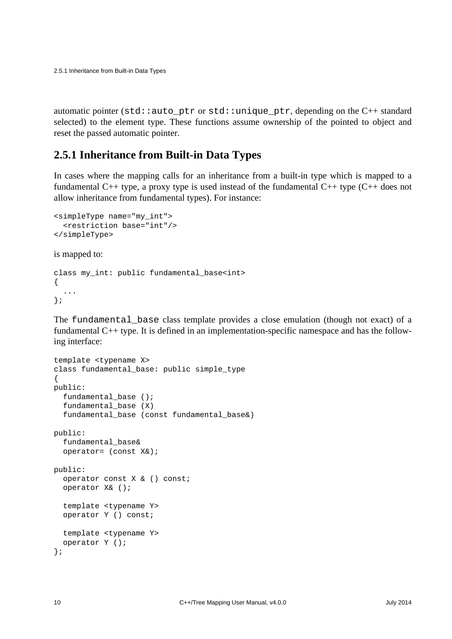automatic pointer (std::auto\_ptr or std::unique\_ptr, depending on the C++ standard selected) to the element type. These functions assume ownership of the pointed to object and reset the passed automatic pointer.

#### <span id="page-15-0"></span>**2.5.1 Inheritance from Built-in Data Types**

In cases where the mapping calls for an inheritance from a built-in type which is mapped to a fundamental C++ type, a proxy type is used instead of the fundamental C++ type  $(C++$  does not allow inheritance from fundamental types). For instance:

```
<simpleType name="my_int">
   <restriction base="int"/>
</simpleType>
```
is mapped to:

```
class my_int: public fundamental_base<int>
{
   ...
};
```
The fundamental\_base class template provides a close emulation (though not exact) of a fundamental C++ type. It is defined in an implementation-specific namespace and has the following interface:

```
template <typename X>
class fundamental_base: public simple_type
{
public:
   fundamental_base ();
   fundamental_base (X)
   fundamental_base (const fundamental_base&)
public:
   fundamental_base&
   operator= (const X&);
public:
   operator const X & () const;
   operator X& ();
   template <typename Y>
   operator Y () const;
   template <typename Y>
   operator Y ();
};
```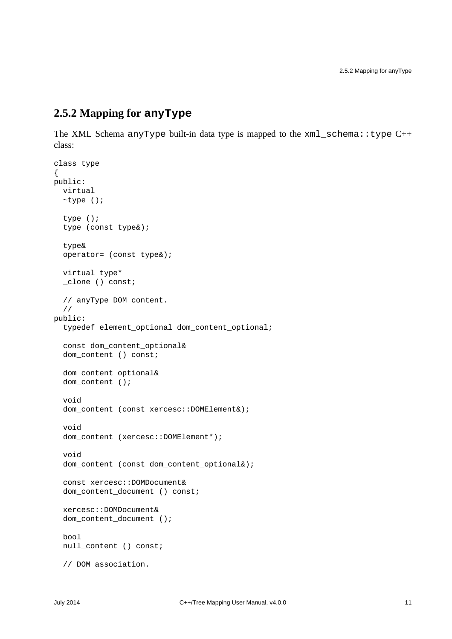#### <span id="page-16-0"></span>**2.5.2 Mapping for anyType**

The XML Schema anyType built-in data type is mapped to the xml\_schema::type C++ class:

```
class type
{
public:
   virtual
   ~type ();
   type ();
   type (const type&);
   type&
   operator= (const type&);
   virtual type*
   _clone () const;
   // anyType DOM content.
   //
public:
   typedef element_optional dom_content_optional;
   const dom_content_optional&
   dom_content () const;
   dom_content_optional&
   dom_content ();
   void
   dom_content (const xercesc::DOMElement&);
   void
  dom_content (xercesc::DOMElement*);
   void
   dom_content (const dom_content_optional&);
   const xercesc::DOMDocument&
   dom_content_document () const;
   xercesc::DOMDocument&
   dom_content_document ();
   bool
   null_content () const;
   // DOM association.
```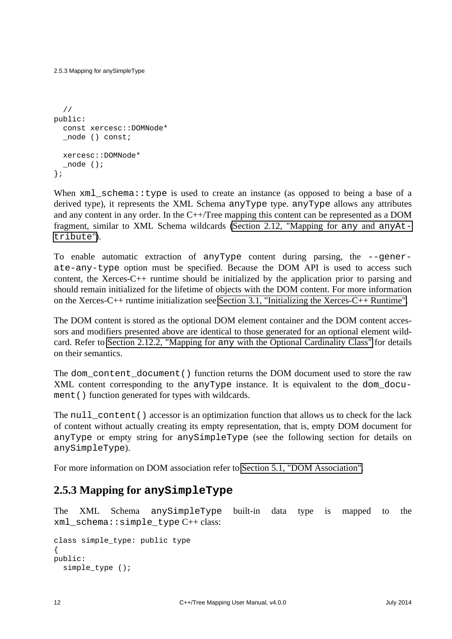2.5.3 Mapping for anySimpleType

```
 //
public:
   const xercesc::DOMNode*
   _node () const;
   xercesc::DOMNode*
   _node ();
};
```
When  $xml\_schema::type$  is used to create an instance (as opposed to being a base of a derived type), it represents the XML Schema anyType type. anyType allows any attributes and any content in any order. In the C++/Tree mapping this content can be represented as a DOM fragment, similar to XML Schema wildcards [\(Section 2.12, "Mapping for](#page-67-0) any and anyAt[tribute](#page-67-0)").

To enable automatic extraction of anyType content during parsing, the --generate-any-type option must be specified. Because the DOM API is used to access such content, the Xerces-C++ runtime should be initialized by the application prior to parsing and should remain initialized for the lifetime of objects with the DOM content. For more information on the Xerces-C++ runtime initialization see [Section 3.1, "Initializing the Xerces-C++ Runtime".](#page-90-0)

The DOM content is stored as the optional DOM element container and the DOM content accessors and modifiers presented above are identical to those generated for an optional element wildcard. Refer to Section 2.12.2, "Mapping for any [with the Optional Cardinality Class"](#page-70-0) for details on their semantics.

The dom\_content\_document() function returns the DOM document used to store the raw XML content corresponding to the anyType instance. It is equivalent to the dom\_document () function generated for types with wildcards.

The null\_content() accessor is an optimization function that allows us to check for the lack of content without actually creating its empty representation, that is, empty DOM document for anyType or empty string for anySimpleType (see the following section for details on anySimpleType).

For more information on DOM association refer to [Section 5.1, "DOM Association".](#page-108-1)

#### <span id="page-17-0"></span>**2.5.3 Mapping for anySimpleType**

The XML Schema anySimpleType built-in data type is mapped to the  $xml$  schema::simple type  $C++$  class:

```
class simple_type: public type
{
public:
   simple_type ();
```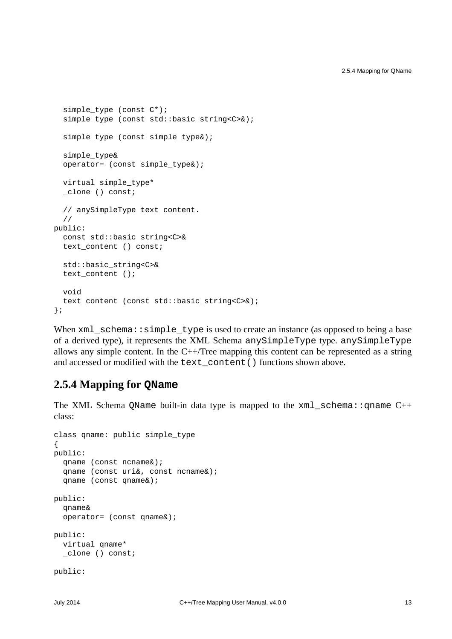```
 simple_type (const C*);
  simple type (const std::basic string<C>&);
  simple type (const simple type&);
   simple_type&
   operator= (const simple_type&);
   virtual simple_type*
   _clone () const;
   // anySimpleType text content.
   //
public:
   const std::basic_string<C>&
  text content () const;
   std::basic_string<C>&
  text content ();
   void
   text_content (const std::basic_string<C>&);
};
```
When  $xml\_scheme::simple\_type$  is used to create an instance (as opposed to being a base of a derived type), it represents the XML Schema anySimpleType type. anySimpleType allows any simple content. In the  $C++/Tree$  mapping this content can be represented as a string and accessed or modified with the text content () functions shown above.

#### <span id="page-18-0"></span>**2.5.4 Mapping for QName**

The XML Schema QName built-in data type is mapped to the  $xml$  schema: qname C++ class:

```
class qname: public simple_type
\left\{ \right.public:
   qname (const ncname&);
   qname (const uri&, const ncname&);
   qname (const qname&);
public:
   qname&
   operator= (const qname&);
public:
   virtual qname*
   _clone () const;
public:
```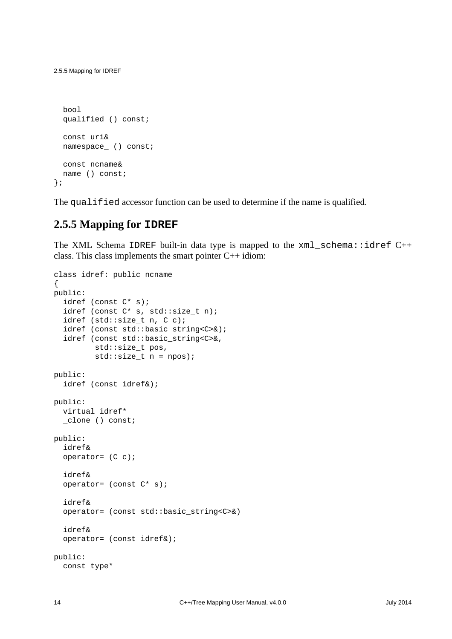```
 bool
   qualified () const;
  const uri&
  namespace_ () const;
  const ncname&
  name () const;
};
```
The qualified accessor function can be used to determine if the name is qualified.

#### <span id="page-19-0"></span>**2.5.5 Mapping for IDREF**

The XML Schema IDREF built-in data type is mapped to the  $xml\_schema::idref C++$ class. This class implements the smart pointer C++ idiom:

```
class idref: public ncname
{
public:
   idref (const C* s);
   idref (const C* s, std::size_t n);
   idref (std::size_t n, C c);
   idref (const std::basic_string<C>&);
   idref (const std::basic_string<C>&,
          std::size_t pos,
         std::size_t n = npos);public:
   idref (const idref&);
public:
   virtual idref*
   _clone () const;
public:
   idref&
   operator= (C c);
   idref&
   operator= (const C* s);
   idref&
   operator= (const std::basic_string<C>&)
   idref&
   operator= (const idref&);
public:
   const type*
```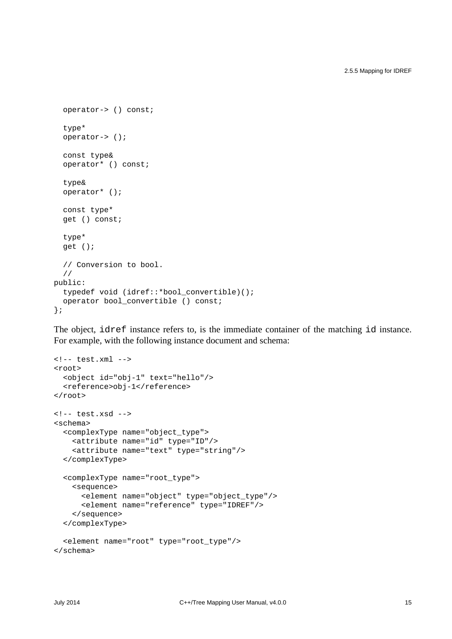```
 operator-> () const;
   type*
   operator-> ();
   const type&
   operator* () const;
   type&
   operator* ();
   const type*
   get () const;
   type*
   get ();
   // Conversion to bool.
   //
public:
   typedef void (idref::*bool_convertible)();
   operator bool_convertible () const;
};
```
The object, idref instance refers to, is the immediate container of the matching id instance. For example, with the following instance document and schema:

```
<!-- test.xml -->
<root>
  <object id="obj-1" text="hello"/>
  <reference>obj-1</reference>
</root>
<!-- test.xsd -->
<schema>
   <complexType name="object_type">
     <attribute name="id" type="ID"/>
     <attribute name="text" type="string"/>
   </complexType>
   <complexType name="root_type">
     <sequence>
       <element name="object" type="object_type"/>
       <element name="reference" type="IDREF"/>
     </sequence>
   </complexType>
   <element name="root" type="root_type"/>
</schema>
```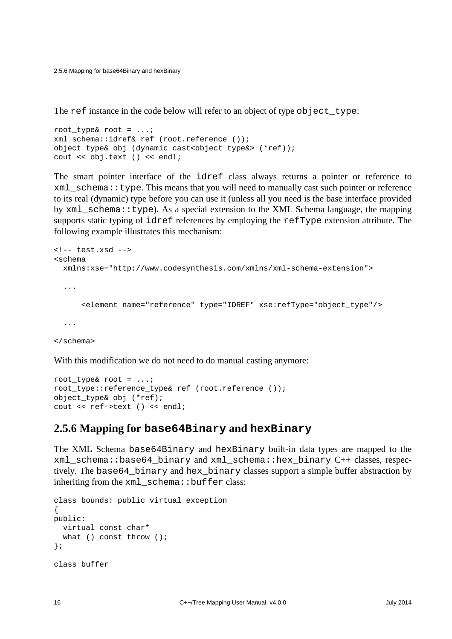2.5.6 Mapping for base64Binary and hexBinary

The ref instance in the code below will refer to an object of type object\_type:

```
root type& root = \dots;
xml_schema::idref& ref (root.reference ());
object_type& obj (dynamic_cast<object_type&> (*ref));
cout << obj.text () << endl;
```
The smart pointer interface of the idref class always returns a pointer or reference to  $xml$  schema::type. This means that you will need to manually cast such pointer or reference to its real (dynamic) type before you can use it (unless all you need is the base interface provided by  $xml$  schema::type). As a special extension to the XML Schema language, the mapping supports static typing of idref references by employing the refType extension attribute. The following example illustrates this mechanism:

```
<!-- test.xsd -->
<schema
  xmlns:xse="http://www.codesynthesis.com/xmlns/xml-schema-extension">
   ...
       <element name="reference" type="IDREF" xse:refType="object_type"/>
   ...
</schema>
```
With this modification we do not need to do manual casting anymore:

```
root_type& root = ...;
root_type::reference_type& ref (root.reference ());
object_type& obj (*ref);
cout << ref->text () << endl;
```
#### <span id="page-21-0"></span>**2.5.6 Mapping for base64Binary and hexBinary**

The XML Schema base64Binary and hexBinary built-in data types are mapped to the xml\_schema::base64\_binary and xml\_schema::hex\_binary C++ classes, respectively. The base64\_binary and hex\_binary classes support a simple buffer abstraction by inheriting from the xml\_schema::buffer class:

```
class bounds: public virtual exception
{
public:
  virtual const char*
 what () const throw ();
};
class buffer
```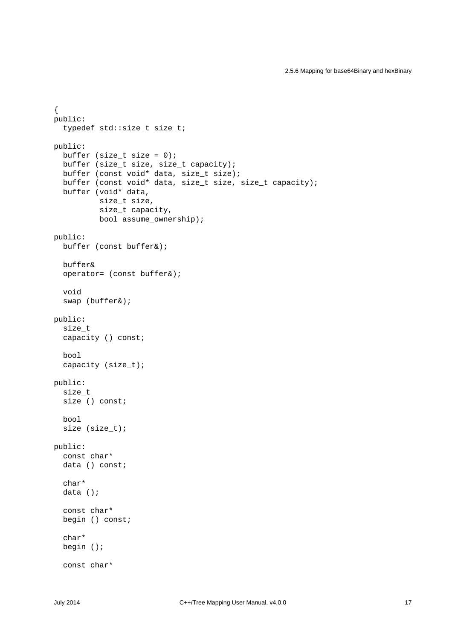```
{
public:
   typedef std::size_t size_t;
public:
 buffer (size t size = 0);
  buffer (size t size, size t capacity);
   buffer (const void* data, size_t size);
  buffer (const void* data, size t size, size t capacity);
   buffer (void* data,
           size_t size,
           size_t capacity,
          bool assume ownership);
public:
   buffer (const buffer&);
   buffer&
   operator= (const buffer&);
   void
   swap (buffer&);
public:
   size_t
   capacity () const;
   bool
   capacity (size_t);
public:
   size_t
   size () const;
   bool
   size (size_t);
public:
   const char*
  data () const;
   char*
   data ();
   const char*
   begin () const;
   char*
   begin ();
   const char*
```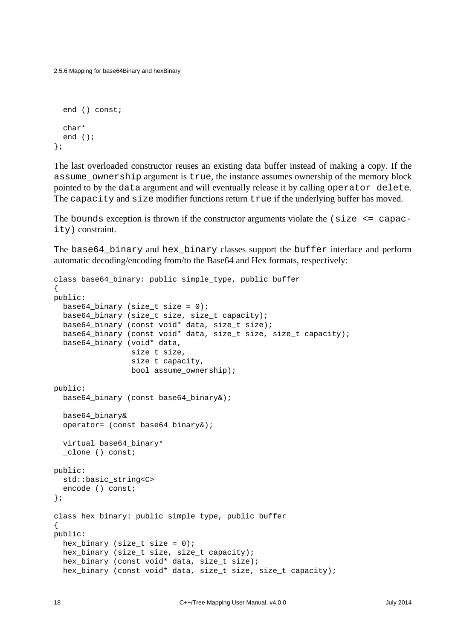2.5.6 Mapping for base64Binary and hexBinary

```
 end () const;
   char*
   end ();
};
```
The last overloaded constructor reuses an existing data buffer instead of making a copy. If the assume\_ownership argument is true, the instance assumes ownership of the memory block pointed to by the data argument and will eventually release it by calling operator delete. The capacity and size modifier functions return true if the underlying buffer has moved.

The bounds exception is thrown if the constructor arguments violate the  $\langle$  size  $\langle$  = capac ity) constraint.

The base64\_binary and hex\_binary classes support the buffer interface and perform automatic decoding/encoding from/to the Base64 and Hex formats, respectively:

```
class base64_binary: public simple_type, public buffer
{
public:
  base64_binary (size_t size = 0);
   base64_binary (size_t size, size_t capacity);
   base64_binary (const void* data, size_t size);
   base64_binary (const void* data, size_t size, size_t capacity);
   base64_binary (void* data,
                  size_t size,
                  size_t capacity,
                  bool assume_ownership);
public:
   base64_binary (const base64_binary&);
   base64_binary&
   operator= (const base64_binary&);
   virtual base64_binary*
   _clone () const;
public:
   std::basic_string<C>
   encode () const;
};
class hex_binary: public simple_type, public buffer
{
public:
  hex_binary (size_t size = 0);
   hex_binary (size_t size, size_t capacity);
   hex_binary (const void* data, size_t size);
   hex_binary (const void* data, size_t size, size_t capacity);
```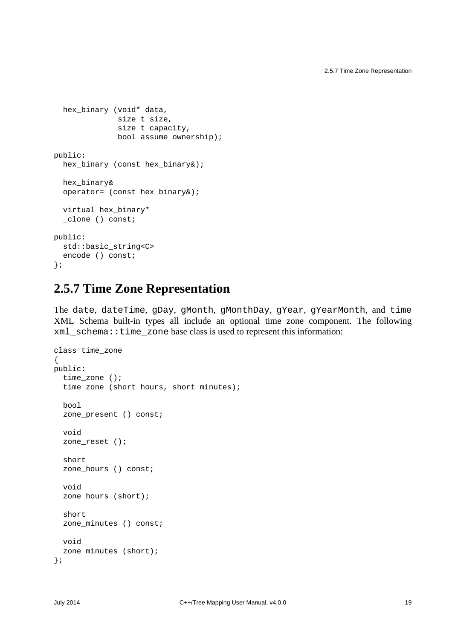```
 hex_binary (void* data,
              size t size,
               size_t capacity,
              bool assume ownership);
public:
  hex binary (const hex binary&);
   hex_binary&
   operator= (const hex_binary&);
   virtual hex_binary*
   _clone () const;
public:
   std::basic_string<C>
   encode () const;
};
```
### <span id="page-24-0"></span>**2.5.7 Time Zone Representation**

The date, dateTime, gDay, gMonth, gMonthDay, gYear, gYearMonth, and time XML Schema built-in types all include an optional time zone component. The following xml\_schema::time\_zone base class is used to represent this information:

```
class time_zone
{
public:
   time_zone ();
  time zone (short hours, short minutes);
   bool
   zone_present () const;
   void
   zone_reset ();
   short
   zone_hours () const;
   void
   zone_hours (short);
   short
   zone_minutes () const;
   void
   zone_minutes (short);
};
```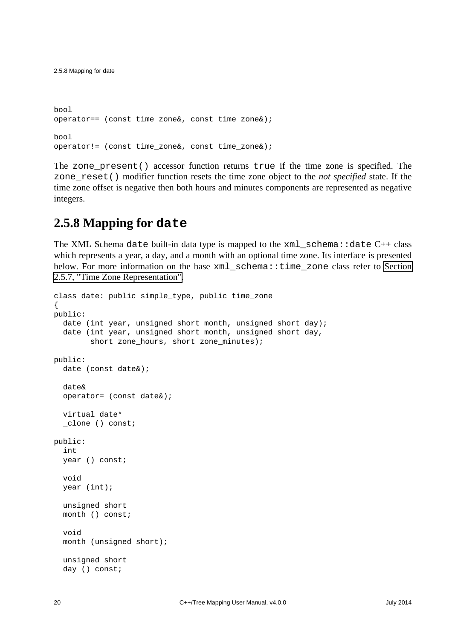```
bool
operator== (const time zone&, const time zone&);
bool
operator!= (const time_zone&, const time_zone&);
```
The zone\_present() accessor function returns true if the time zone is specified. The zone\_reset() modifier function resets the time zone object to the *not specified* state. If the time zone offset is negative then both hours and minutes components are represented as negative integers.

### <span id="page-25-0"></span>**2.5.8 Mapping for date**

The XML Schema date built-in data type is mapped to the  $xml$  schema: : date  $C++$  class which represents a year, a day, and a month with an optional time zone. Its interface is presented below. For more information on the base xml\_schema::time\_zone class refer to [Section](#page-24-0) [2.5.7, "Time Zone Representation".](#page-24-0)

```
class date: public simple_type, public time_zone
{
public:
   date (int year, unsigned short month, unsigned short day);
   date (int year, unsigned short month, unsigned short day,
         short zone_hours, short zone_minutes);
public:
   date (const date&);
   date&
   operator= (const date&);
   virtual date*
   _clone () const;
public:
   int
   year () const;
   void
   year (int);
   unsigned short
   month () const;
   void
   month (unsigned short);
   unsigned short
   day () const;
```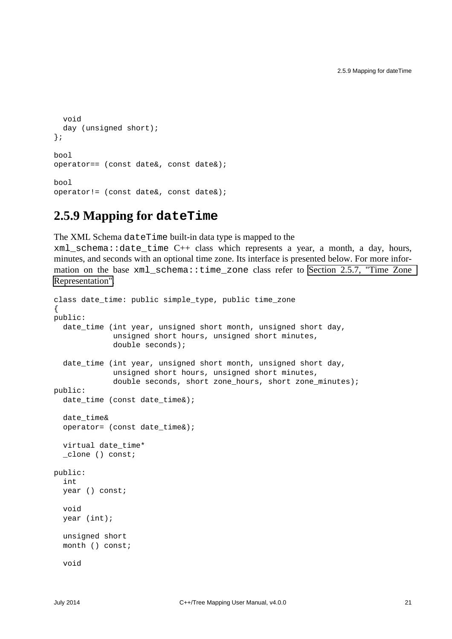```
 void
  day (unsigned short);
};
bool
operator== (const date&, const date&);
bool
operator!= (const date&, const date&);
```
### <span id="page-26-0"></span>**2.5.9 Mapping for dateTime**

The XML Schema dateTime built-in data type is mapped to the

xml\_schema::date\_time C++ class which represents a year, a month, a day, hours, minutes, and seconds with an optional time zone. Its interface is presented below. For more information on the base xml schema::time zone class refer to Section 2.5.7, "Time Zone [Representation".](#page-24-0)

```
class date_time: public simple_type, public time_zone
{
public:
   date_time (int year, unsigned short month, unsigned short day,
               unsigned short hours, unsigned short minutes,
              double seconds);
   date_time (int year, unsigned short month, unsigned short day,
              unsigned short hours, unsigned short minutes,
              double seconds, short zone_hours, short zone_minutes);
public:
   date_time (const date_time&);
   date_time&
   operator= (const date_time&);
   virtual date_time*
   _clone () const;
public:
   int
   year () const;
   void
   year (int);
   unsigned short
   month () const;
   void
```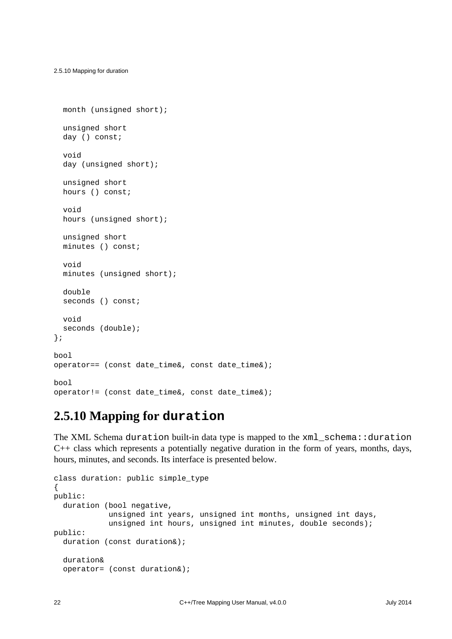```
 month (unsigned short);
   unsigned short
   day () const;
   void
  day (unsigned short);
   unsigned short
   hours () const;
   void
  hours (unsigned short);
   unsigned short
   minutes () const;
   void
   minutes (unsigned short);
   double
  seconds () const;
   void
   seconds (double);
};
bool
operator== (const date_time&, const date_time&);
bool
operator!= (const date_time&, const date_time&);
```
## <span id="page-27-0"></span>**2.5.10 Mapping for duration**

The XML Schema duration built-in data type is mapped to the xml\_schema::duration C++ class which represents a potentially negative duration in the form of years, months, days, hours, minutes, and seconds. Its interface is presented below.

```
class duration: public simple_type
{
public:
   duration (bool negative,
             unsigned int years, unsigned int months, unsigned int days,
            unsigned int hours, unsigned int minutes, double seconds);
public:
   duration (const duration&);
   duration&
   operator= (const duration&);
```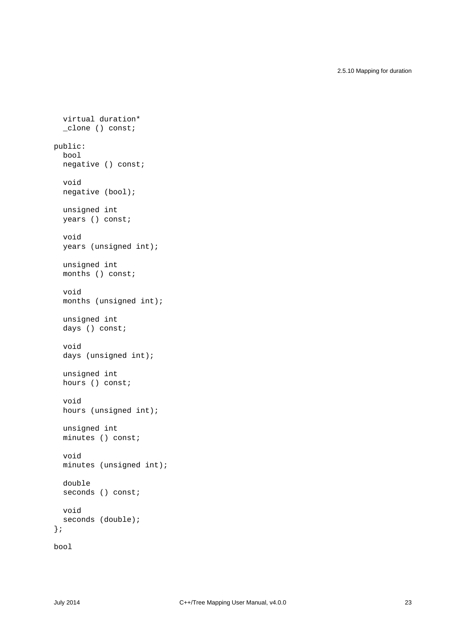2.5.10 Mapping for duration

```
 virtual duration*
   _clone () const;
public:
   bool
   negative () const;
   void
   negative (bool);
   unsigned int
   years () const;
   void
   years (unsigned int);
   unsigned int
  months () const;
   void
   months (unsigned int);
   unsigned int
   days () const;
   void
   days (unsigned int);
   unsigned int
   hours () const;
   void
   hours (unsigned int);
   unsigned int
   minutes () const;
   void
   minutes (unsigned int);
   double
  seconds () const;
   void
   seconds (double);
};
bool
```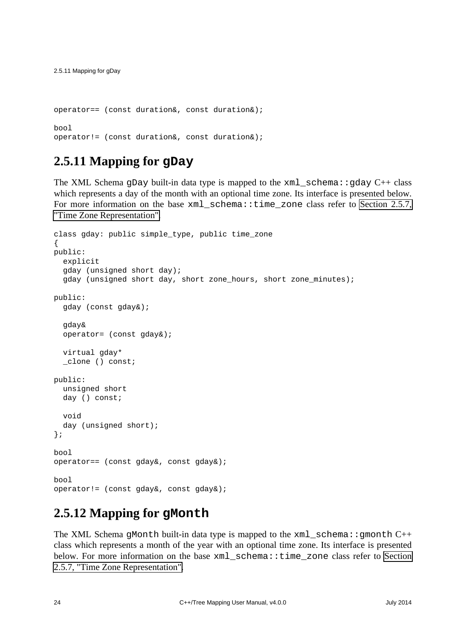```
operator== (const duration&, const duration&);
bool
operator!= (const duration&, const duration&);
```
### <span id="page-29-0"></span>**2.5.11 Mapping for gDay**

The XML Schema gDay built-in data type is mapped to the  $xml$  schema::gday C++ class which represents a day of the month with an optional time zone. Its interface is presented below. For more information on the base xml schema::time zone class refer to [Section 2.5.7,](#page-24-0) ["Time Zone Representation".](#page-24-0)

```
class gday: public simple_type, public time_zone
{
public:
   explicit
   gday (unsigned short day);
   gday (unsigned short day, short zone_hours, short zone_minutes);
public:
   gday (const gday&);
   gday&
   operator= (const gday&);
   virtual gday*
   _clone () const;
public:
  unsigned short
   day () const;
   void
   day (unsigned short);
};
bool
operator== (const gday&, const gday&);
bool
operator!= (const gday&, const gday&);
```
### <span id="page-29-1"></span>**2.5.12 Mapping for gMonth**

The XML Schema gMonth built-in data type is mapped to the  $xml$  schema:: gmonth  $C++$ class which represents a month of the year with an optional time zone. Its interface is presented below. For more information on the base xml\_schema::time\_zone class refer to [Section](#page-24-0) [2.5.7, "Time Zone Representation".](#page-24-0)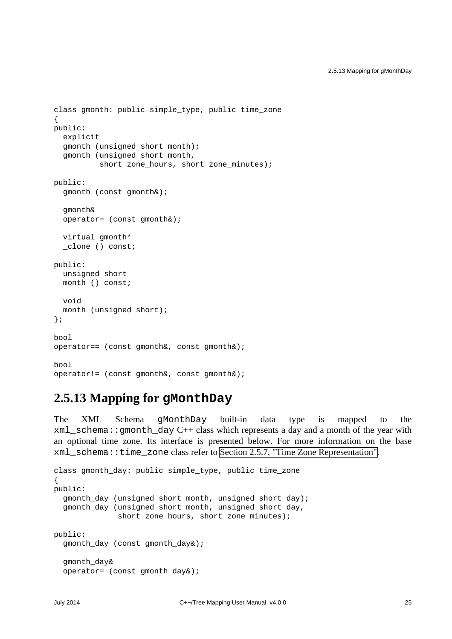```
class gmonth: public simple_type, public time_zone
{
public:
   explicit
   gmonth (unsigned short month);
   gmonth (unsigned short month,
          short zone hours, short zone minutes);
public:
   gmonth (const gmonth&);
   gmonth&
   operator= (const gmonth&);
   virtual gmonth*
   _clone () const;
public:
   unsigned short
   month () const;
   void
   month (unsigned short);
};
bool
operator== (const gmonth&, const gmonth&);
bool
operator!= (const gmonth&, const gmonth&);
```
### <span id="page-30-0"></span>**2.5.13 Mapping for gMonthDay**

The XML Schema gMonthDay built-in data type is mapped to the  $xml\_schema: :gmonth\_day C++ class which represents a day and a month of the year with$ an optional time zone. Its interface is presented below. For more information on the base xml\_schema::time\_zone class refer to [Section 2.5.7, "Time Zone Representation".](#page-24-0)

```
class gmonth_day: public simple_type, public time_zone
{
public:
   gmonth_day (unsigned short month, unsigned short day);
   gmonth_day (unsigned short month, unsigned short day,
               short zone_hours, short zone_minutes);
public:
   gmonth_day (const gmonth_day&);
   gmonth_day&
   operator= (const gmonth_day&);
```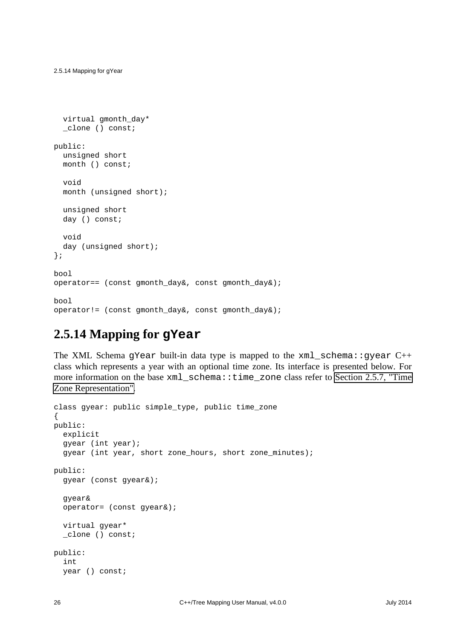```
 virtual gmonth_day*
   _clone () const;
public:
   unsigned short
   month () const;
   void
   month (unsigned short);
   unsigned short
   day () const;
   void
  day (unsigned short);
};
bool
operator== (const qmonth day&, const qmonth day&);
bool
operator!= (const gmonth_day&, const gmonth_day&);
```
### <span id="page-31-0"></span>**2.5.14 Mapping for gYear**

The XML Schema gYear built-in data type is mapped to the xml\_schema::gyear C++ class which represents a year with an optional time zone. Its interface is presented below. For more information on the base xml\_schema::time\_zone class refer to [Section 2.5.7, "Time](#page-24-0) [Zone Representation".](#page-24-0)

```
class gyear: public simple_type, public time_zone
\{public:
   explicit
   gyear (int year);
   gyear (int year, short zone_hours, short zone_minutes);
public:
   gyear (const gyear&);
   gyear&
   operator= (const gyear&);
   virtual gyear*
   _clone () const;
public:
   int
   year () const;
```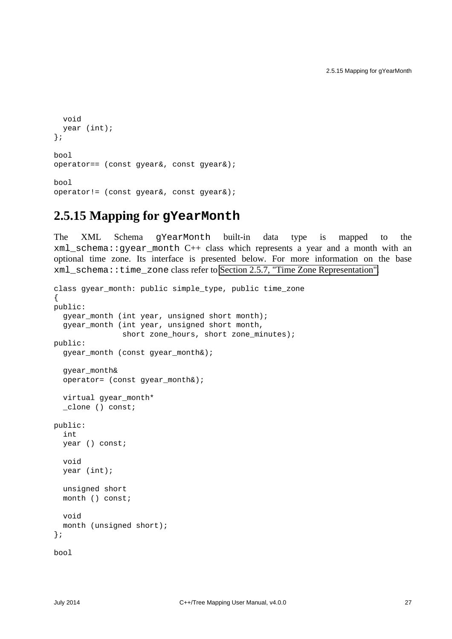```
 void
  year (int);
};
bool
operator== (const gyear&, const gyear&);
bool
operator!= (const gyear&, const gyear&);
```
### <span id="page-32-0"></span>**2.5.15 Mapping for gYearMonth**

The XML Schema gYearMonth built-in data type is mapped to the xml\_schema::gyear\_month C++ class which represents a year and a month with an optional time zone. Its interface is presented below. For more information on the base xml\_schema::time\_zone class refer to [Section 2.5.7, "Time Zone Representation".](#page-24-0)

```
class gyear_month: public simple_type, public time_zone
\left\{ \right.public:
   gyear_month (int year, unsigned short month);
   gyear_month (int year, unsigned short month,
                 short zone_hours, short zone_minutes);
public:
   gyear_month (const gyear_month&);
   gyear_month&
   operator= (const gyear_month&);
   virtual gyear_month*
   _clone () const;
public:
   int
   year () const;
   void
   year (int);
   unsigned short
   month () const;
   void
   month (unsigned short);
};
bool
```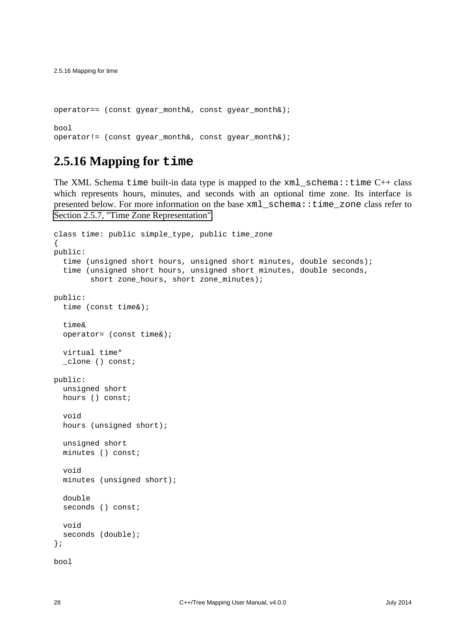```
operator== (const gyear_month&, const gyear_month&);
bool
operator!= (const qyear month&, const qyear month&);
```
### <span id="page-33-0"></span>**2.5.16 Mapping for time**

The XML Schema time built-in data type is mapped to the  $xml$  schema::time C++ class which represents hours, minutes, and seconds with an optional time zone. Its interface is presented below. For more information on the base xml\_schema::time\_zone class refer to [Section 2.5.7, "Time Zone Representation".](#page-24-0)

```
class time: public simple_type, public time_zone
{
public:
   time (unsigned short hours, unsigned short minutes, double seconds);
   time (unsigned short hours, unsigned short minutes, double seconds,
         short zone_hours, short zone_minutes);
public:
   time (const time&);
   time&
   operator= (const time&);
   virtual time*
   _clone () const;
public:
   unsigned short
   hours () const;
   void
   hours (unsigned short);
   unsigned short
   minutes () const;
   void
   minutes (unsigned short);
   double
  seconds () const;
   void
  seconds (double);
};
bool
```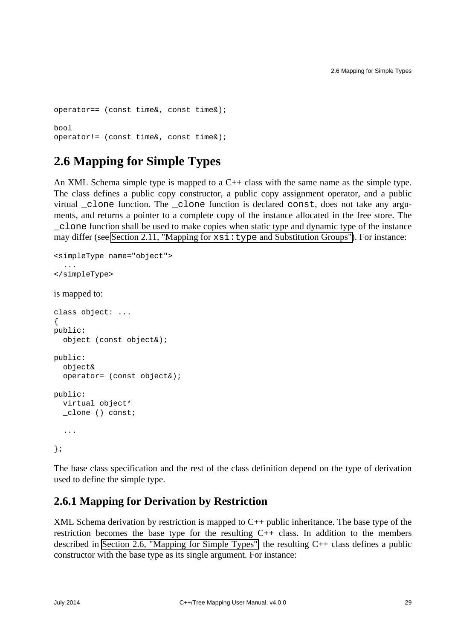```
operator== (const time&, const time&);
bool
operator!= (const time&, const time&);
```
## <span id="page-34-0"></span>**2.6 Mapping for Simple Types**

An XML Schema simple type is mapped to a C++ class with the same name as the simple type. The class defines a public copy constructor, a public copy assignment operator, and a public virtual clone function. The clone function is declared const, does not take any arguments, and returns a pointer to a complete copy of the instance allocated in the free store. The \_clone function shall be used to make copies when static type and dynamic type of the instance may differ (see [Section 2.11, "Mapping for](#page-65-0)  $xsi:type$  and Substitution Groups"). For instance:

```
<simpleType name="object">
   ...
</simpleType>
is mapped to:
class object: ...
{
public:
   object (const object&);
public:
   object&
   operator= (const object&);
public:
   virtual object*
   _clone () const;
   ...
};
```
The base class specification and the rest of the class definition depend on the type of derivation used to define the simple type.

#### <span id="page-34-1"></span>**2.6.1 Mapping for Derivation by Restriction**

XML Schema derivation by restriction is mapped to C++ public inheritance. The base type of the restriction becomes the base type for the resulting  $C++$  class. In addition to the members described in [Section 2.6, "Mapping for Simple Types",](#page-34-0) the resulting C++ class defines a public constructor with the base type as its single argument. For instance: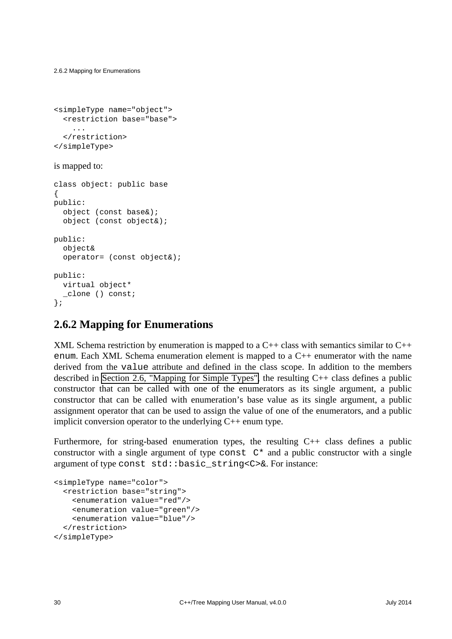2.6.2 Mapping for Enumerations

```
<simpleType name="object">
   <restriction base="base">
     ...
   </restriction>
</simpleType>
```
#### is mapped to:

```
class object: public base
{
public:
   object (const base&);
   object (const object&);
public:
   object&
   operator= (const object&);
public:
   virtual object*
   _clone () const;
};
```
#### <span id="page-35-0"></span>**2.6.2 Mapping for Enumerations**

XML Schema restriction by enumeration is mapped to a  $C_{++}$  class with semantics similar to  $C_{++}$ enum. Each XML Schema enumeration element is mapped to a C++ enumerator with the name derived from the value attribute and defined in the class scope. In addition to the members described in [Section 2.6, "Mapping for Simple Types",](#page-34-0) the resulting C++ class defines a public constructor that can be called with one of the enumerators as its single argument, a public constructor that can be called with enumeration's base value as its single argument, a public assignment operator that can be used to assign the value of one of the enumerators, and a public implicit conversion operator to the underlying  $C_{++}$  enum type.

Furthermore, for string-based enumeration types, the resulting  $C++$  class defines a public constructor with a single argument of type const  $C^*$  and a public constructor with a single argument of type const std::basic\_string<C>&. For instance:

```
<simpleType name="color">
   <restriction base="string">
     <enumeration value="red"/>
     <enumeration value="green"/>
     <enumeration value="blue"/>
   </restriction>
</simpleType>
```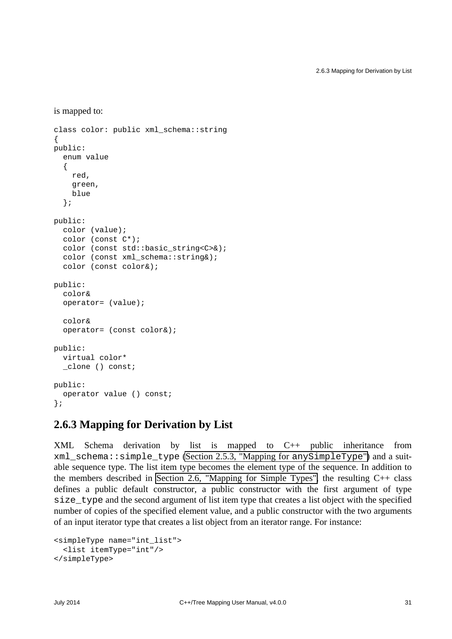```
is mapped to:
```

```
class color: public xml_schema::string
{
public:
   enum value
   {
     red,
     green,
     blue
   };
public:
   color (value);
   color (const C*);
  color (const std::basic_string<C>&);
  color (const xml schema::string&);
   color (const color&);
public:
   color&
   operator= (value);
   color&
   operator= (const color&);
public:
   virtual color*
   _clone () const;
public:
   operator value () const;
};
```
## **2.6.3 Mapping for Derivation by List**

XML Schema derivation by list is mapped to C++ public inheritance from xml\_schema::simple\_type [\(Section 2.5.3, "Mapping for](#page-17-0) anySimpleType") and a suitable sequence type. The list item type becomes the element type of the sequence. In addition to the members described in [Section 2.6, "Mapping for Simple Types",](#page-34-0) the resulting  $C_{++}$  class defines a public default constructor, a public constructor with the first argument of type size\_type and the second argument of list item type that creates a list object with the specified number of copies of the specified element value, and a public constructor with the two arguments of an input iterator type that creates a list object from an iterator range. For instance:

```
<simpleType name="int_list">
   <list itemType="int"/>
</simpleType>
```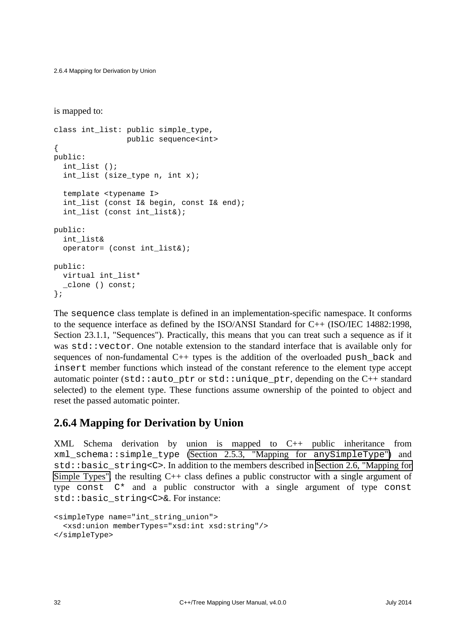2.6.4 Mapping for Derivation by Union

is mapped to:

```
class int list: public simple type,
                  public sequence<int>
{
public:
   int_list ();
   int_list (size_type n, int x);
   template <typename I>
   int_list (const I& begin, const I& end);
   int_list (const int_list&);
public:
   int_list&
   operator= (const int_list&);
public:
   virtual int_list*
   _clone () const;
};
```
The sequence class template is defined in an implementation-specific namespace. It conforms to the sequence interface as defined by the ISO/ANSI Standard for C++ (ISO/IEC 14882:1998, Section 23.1.1, "Sequences"). Practically, this means that you can treat such a sequence as if it was std::vector. One notable extension to the standard interface that is available only for sequences of non-fundamental C++ types is the addition of the overloaded push\_back and insert member functions which instead of the constant reference to the element type accept automatic pointer (std::auto ptr or std::unique ptr, depending on the  $C_{++}$  standard selected) to the element type. These functions assume ownership of the pointed to object and reset the passed automatic pointer.

## **2.6.4 Mapping for Derivation by Union**

XML Schema derivation by union is mapped to C++ public inheritance from xml\_schema::simple\_type [\(Section 2.5.3, "Mapping for](#page-17-0) anySimpleType") and std::basic\_string<C>. In addition to the members described in [Section 2.6, "Mapping for](#page-34-0) [Simple Types",](#page-34-0) the resulting  $C_{++}$  class defines a public constructor with a single argument of type const  $C^*$  and a public constructor with a single argument of type const std::basic\_string<C>&. For instance:

```
<simpleType name="int_string_union">
   <xsd:union memberTypes="xsd:int xsd:string"/>
</simpleType>
```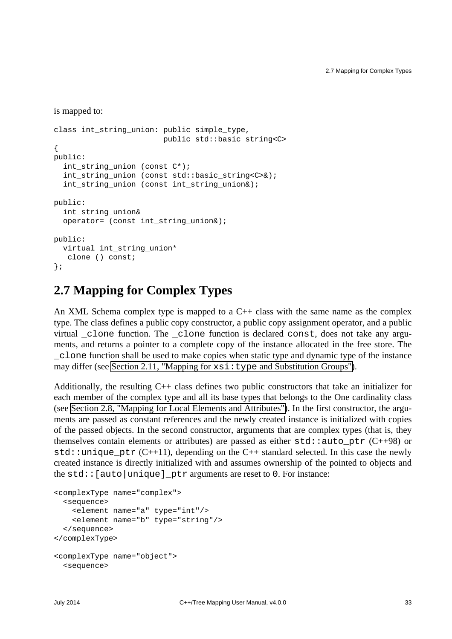```
is mapped to:
```

```
class int string union: public simple type,
                          public std::basic_string<C>
{
public:
   int_string_union (const C*);
   int_string_union (const std::basic_string<C>&);
   int_string_union (const int_string_union&);
public:
   int_string_union&
   operator= (const int_string_union&);
public:
   virtual int_string_union*
   _clone () const;
};
```
# **2.7 Mapping for Complex Types**

An XML Schema complex type is mapped to a  $C_{++}$  class with the same name as the complex type. The class defines a public copy constructor, a public copy assignment operator, and a public virtual \_clone function. The \_clone function is declared const, does not take any arguments, and returns a pointer to a complete copy of the instance allocated in the free store. The \_clone function shall be used to make copies when static type and dynamic type of the instance may differ (see [Section 2.11, "Mapping for](#page-65-0)  $xsi:type$  and Substitution Groups").

Additionally, the resulting  $C_{++}$  class defines two public constructors that take an initializer for each member of the complex type and all its base types that belongs to the One cardinality class (see [Section 2.8, "Mapping for Local Elements and Attributes"\)](#page-42-0). In the first constructor, the arguments are passed as constant references and the newly created instance is initialized with copies of the passed objects. In the second constructor, arguments that are complex types (that is, they themselves contain elements or attributes) are passed as either  $std$ ::auto ptr (C++98) or  $std:$ : unique\_ptr (C++11), depending on the C++ standard selected. In this case the newly created instance is directly initialized with and assumes ownership of the pointed to objects and the  $std:$  [auto | unique ] ptr arguments are reset to 0. For instance:

```
<complexType name="complex">
   <sequence>
     <element name="a" type="int"/>
     <element name="b" type="string"/>
   </sequence>
</complexType>
<complexType name="object">
   <sequence>
```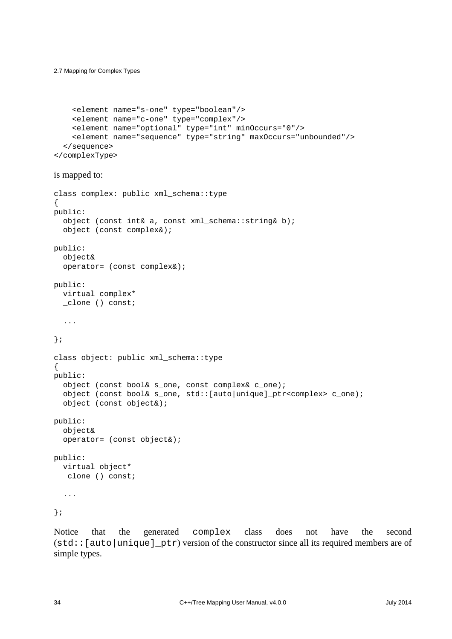2.7 Mapping for Complex Types

```
 <element name="s-one" type="boolean"/>
     <element name="c-one" type="complex"/>
     <element name="optional" type="int" minOccurs="0"/>
     <element name="sequence" type="string" maxOccurs="unbounded"/>
   </sequence>
</complexType>
```

```
is mapped to:
```

```
class complex: public xml_schema::type
{
public:
   object (const int& a, const xml_schema::string& b);
   object (const complex&);
public:
   object&
   operator= (const complex&);
public:
   virtual complex*
   _clone () const;
   ...
};
class object: public xml_schema::type
{
public:
   object (const bool& s_one, const complex& c_one);
   object (const bool& s_one, std::[auto|unique]_ptr<complex> c_one);
   object (const object&);
public:
   object&
   operator= (const object&);
public:
   virtual object*
   _clone () const;
   ...
```
};

Notice that the generated complex class does not have the second (std::[auto|unique]\_ptr) version of the constructor since all its required members are of simple types.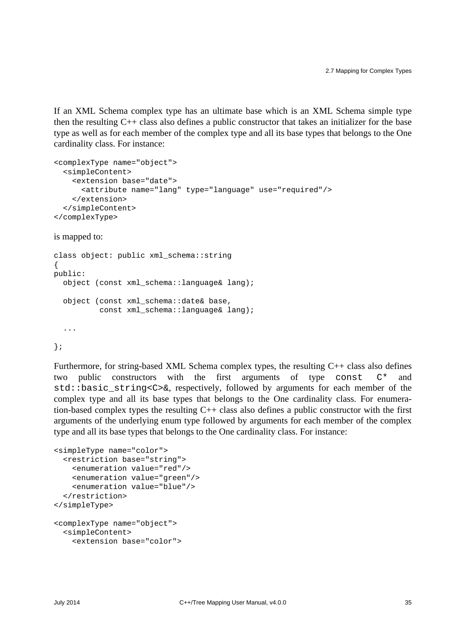If an XML Schema complex type has an ultimate base which is an XML Schema simple type then the resulting C++ class also defines a public constructor that takes an initializer for the base type as well as for each member of the complex type and all its base types that belongs to the One cardinality class. For instance:

```
<complexType name="object">
  <simpleContent>
     <extension base="date">
       <attribute name="lang" type="language" use="required"/>
     </extension>
   </simpleContent>
</complexType>
```
#### is mapped to:

```
class object: public xml_schema::string
\left\{ \right.public:
   object (const xml_schema::language& lang);
   object (const xml_schema::date& base,
            const xml_schema::language& lang);
   ...
};
```
Furthermore, for string-based XML Schema complex types, the resulting C++ class also defines two public constructors with the first arguments of type const C\* and std::basic\_string<C>&, respectively, followed by arguments for each member of the complex type and all its base types that belongs to the One cardinality class. For enumeration-based complex types the resulting C++ class also defines a public constructor with the first arguments of the underlying enum type followed by arguments for each member of the complex type and all its base types that belongs to the One cardinality class. For instance:

```
<simpleType name="color">
  <restriction base="string">
    <enumeration value="red"/>
     <enumeration value="green"/>
     <enumeration value="blue"/>
  </restriction>
</simpleType>
<complexType name="object">
  <simpleContent>
     <extension base="color">
```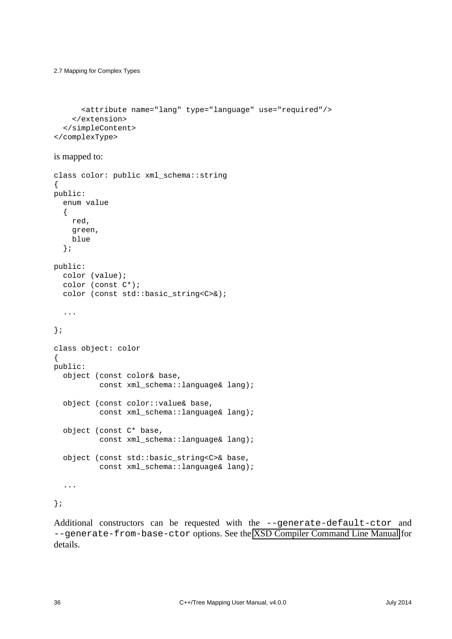2.7 Mapping for Complex Types

```
 <attribute name="lang" type="language" use="required"/>
     </extension>
   </simpleContent>
</complexType>
```
#### is mapped to:

```
class color: public xml_schema::string
{
public:
   enum value
   {
     red,
     green,
     blue
   };
public:
   color (value);
   color (const C*);
  color (const std::basic_string<C>&);
   ...
};
class object: color
\left\{ \right.public:
   object (const color& base,
           const xml_schema::language& lang);
   object (const color::value& base,
            const xml_schema::language& lang);
   object (const C* base,
            const xml_schema::language& lang);
   object (const std::basic_string<C>& base,
           const xml_schema::language& lang);
   ...
```
};

Additional constructors can be requested with the --generate-default-ctor and --generate-from-base-ctor options. See the [XSD Compiler Command Line Manual](http://www.codesynthesis.com/projects/xsd/documentation/xsd.xhtml) for details.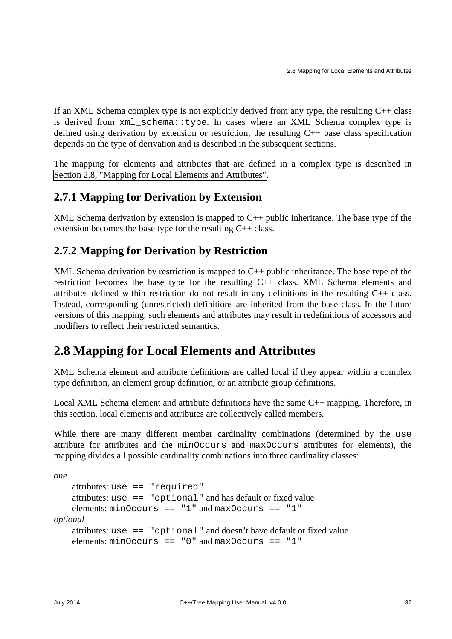If an XML Schema complex type is not explicitly derived from any type, the resulting  $C++$  class is derived from xml\_schema::type. In cases where an XML Schema complex type is defined using derivation by extension or restriction, the resulting C++ base class specification depends on the type of derivation and is described in the subsequent sections.

The mapping for elements and attributes that are defined in a complex type is described in [Section 2.8, "Mapping for Local Elements and Attributes".](#page-42-0)

## **2.7.1 Mapping for Derivation by Extension**

XML Schema derivation by extension is mapped to  $C_{++}$  public inheritance. The base type of the extension becomes the base type for the resulting C++ class.

## **2.7.2 Mapping for Derivation by Restriction**

XML Schema derivation by restriction is mapped to C++ public inheritance. The base type of the restriction becomes the base type for the resulting C++ class. XML Schema elements and attributes defined within restriction do not result in any definitions in the resulting C++ class. Instead, corresponding (unrestricted) definitions are inherited from the base class. In the future versions of this mapping, such elements and attributes may result in redefinitions of accessors and modifiers to reflect their restricted semantics.

# <span id="page-42-0"></span>**2.8 Mapping for Local Elements and Attributes**

XML Schema element and attribute definitions are called local if they appear within a complex type definition, an element group definition, or an attribute group definitions.

Local XML Schema element and attribute definitions have the same C++ mapping. Therefore, in this section, local elements and attributes are collectively called members.

While there are many different member cardinality combinations (determined by the use attribute for attributes and the minOccurs and maxOccurs attributes for elements), the mapping divides all possible cardinality combinations into three cardinality classes:

```
one
    attributes: use == "required"
    attributes: use == "optional" and has default or fixed value 
    elements: minOccurs == "1" and maxOccurs == "1"optional
    attributes: use == "optional" and doesn't have default or fixed value 
    elements: minOccurs == "0" and maxOccurs == "1"
```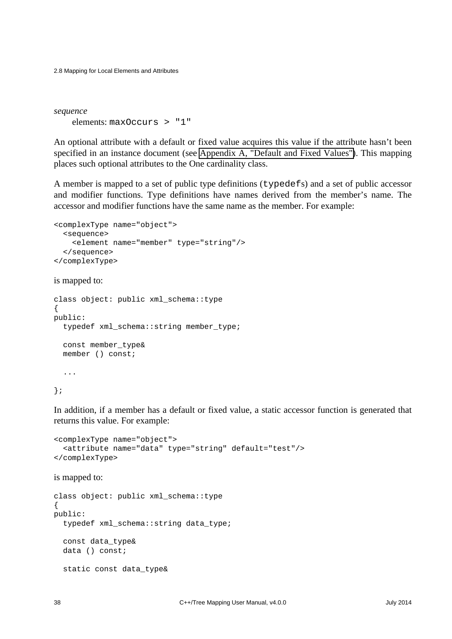2.8 Mapping for Local Elements and Attributes

*sequence* elements: maxOccurs > "1"

An optional attribute with a default or fixed value acquires this value if the attribute hasn't been specified in an instance document (see [Appendix A, "Default and Fixed Values"\)](#page-112-0). This mapping places such optional attributes to the One cardinality class.

A member is mapped to a set of public type definitions (typedefs) and a set of public accessor and modifier functions. Type definitions have names derived from the member's name. The accessor and modifier functions have the same name as the member. For example:

```
<complexType name="object">
   <sequence>
     <element name="member" type="string"/>
   </sequence>
</complexType>
```
is mapped to:

```
class object: public xml_schema::type
{
public:
   typedef xml_schema::string member_type;
   const member_type&
   member () const;
   ...
```
};

In addition, if a member has a default or fixed value, a static accessor function is generated that returns this value. For example:

```
<complexType name="object">
   <attribute name="data" type="string" default="test"/>
</complexType>
```
is mapped to:

```
class object: public xml_schema::type
{
public:
   typedef xml_schema::string data_type;
   const data_type&
   data () const;
   static const data_type&
```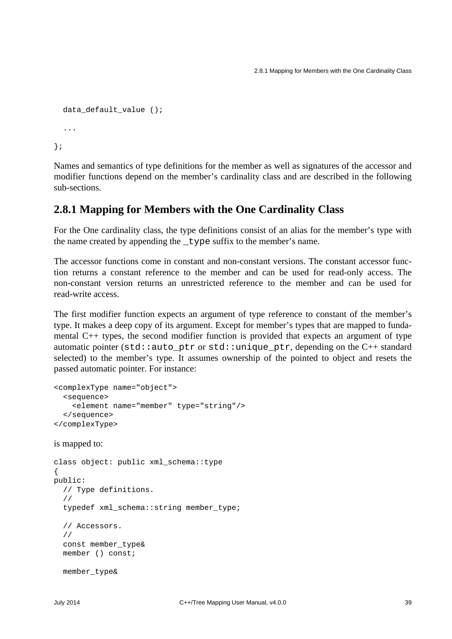```
data default value ();
   ...
};
```
Names and semantics of type definitions for the member as well as signatures of the accessor and modifier functions depend on the member's cardinality class and are described in the following sub-sections.

### **2.8.1 Mapping for Members with the One Cardinality Class**

For the One cardinality class, the type definitions consist of an alias for the member's type with the name created by appending the \_type suffix to the member's name.

The accessor functions come in constant and non-constant versions. The constant accessor function returns a constant reference to the member and can be used for read-only access. The non-constant version returns an unrestricted reference to the member and can be used for read-write access.

The first modifier function expects an argument of type reference to constant of the member's type. It makes a deep copy of its argument. Except for member's types that are mapped to fundamental C++ types, the second modifier function is provided that expects an argument of type automatic pointer (std::auto\_ptr or std::unique\_ptr, depending on the C++ standard selected) to the member's type. It assumes ownership of the pointed to object and resets the passed automatic pointer. For instance:

```
<complexType name="object">
  <sequence>
     <element name="member" type="string"/>
  </sequence>
</complexType>
```

```
is mapped to:
```

```
class object: public xml_schema::type
{
public:
   // Type definitions.
   //
   typedef xml_schema::string member_type;
   // Accessors.
   //
   const member_type&
   member () const;
   member_type&
```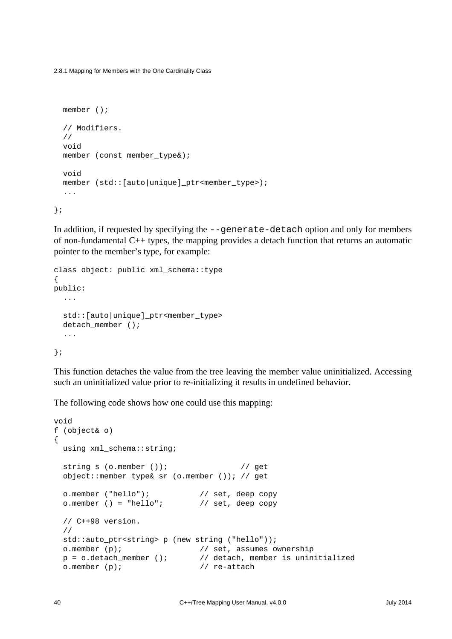2.8.1 Mapping for Members with the One Cardinality Class

```
 member ();
   // Modifiers.
   //
  void
   member (const member_type&);
   void
   member (std::[auto|unique]_ptr<member_type>);
   ...
};
```
In addition, if requested by specifying the --generate-detach option and only for members of non-fundamental  $C_{++}$  types, the mapping provides a detach function that returns an automatic pointer to the member's type, for example:

```
class object: public xml_schema::type
{
public:
   ...
   std::[auto|unique]_ptr<member_type>
  detach_member ();
   ...
};
```
This function detaches the value from the tree leaving the member value uninitialized. Accessing such an uninitialized value prior to re-initializing it results in undefined behavior.

The following code shows how one could use this mapping:

```
void
f (object& o)
{
  using xml_schema::string;
 string s (o.member ()); // get object::member_type& sr (o.member ()); // get
  o.member ("hello"); // set, deep copy
 o.member () = "hello"; // set, deep copy
  // C++98 version.
  //
  std::auto_ptr<string> p (new string ("hello"));
  o.member (p); // set, assumes ownership
  p = o.detach_member (); // detach, member is uninitialized
  o.member (p); // re-attach
```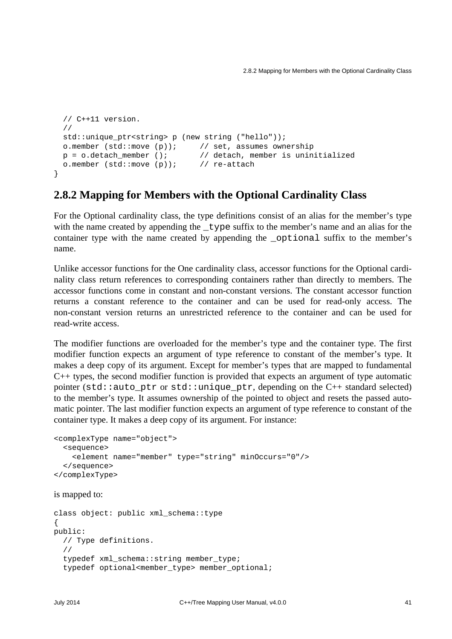```
 // C++11 version.
  //
 std::unique ptr<string> p (new string ("hello"));
 o.member (std::move (p)); // set, assumes ownership
 p = o.detach member (); // detach, member is uninitialized
  o.member (std::move (p)); // re-attach
}
```
#### <span id="page-46-0"></span>**2.8.2 Mapping for Members with the Optional Cardinality Class**

For the Optional cardinality class, the type definitions consist of an alias for the member's type with the name created by appending the <u>type</u> suffix to the member's name and an alias for the container type with the name created by appending the \_optional suffix to the member's name.

Unlike accessor functions for the One cardinality class, accessor functions for the Optional cardinality class return references to corresponding containers rather than directly to members. The accessor functions come in constant and non-constant versions. The constant accessor function returns a constant reference to the container and can be used for read-only access. The non-constant version returns an unrestricted reference to the container and can be used for read-write access.

The modifier functions are overloaded for the member's type and the container type. The first modifier function expects an argument of type reference to constant of the member's type. It makes a deep copy of its argument. Except for member's types that are mapped to fundamental C++ types, the second modifier function is provided that expects an argument of type automatic pointer (std::auto ptr or std::unique ptr, depending on the C++ standard selected) to the member's type. It assumes ownership of the pointed to object and resets the passed automatic pointer. The last modifier function expects an argument of type reference to constant of the container type. It makes a deep copy of its argument. For instance:

```
<complexType name="object">
  <sequence>
     <element name="member" type="string" minOccurs="0"/>
  </sequence>
</complexType>
```
is mapped to:

```
class object: public xml_schema::type
{
public:
   // Type definitions.
   //
  typedef xml schema::string member type;
  typedef optional<member type> member optional;
```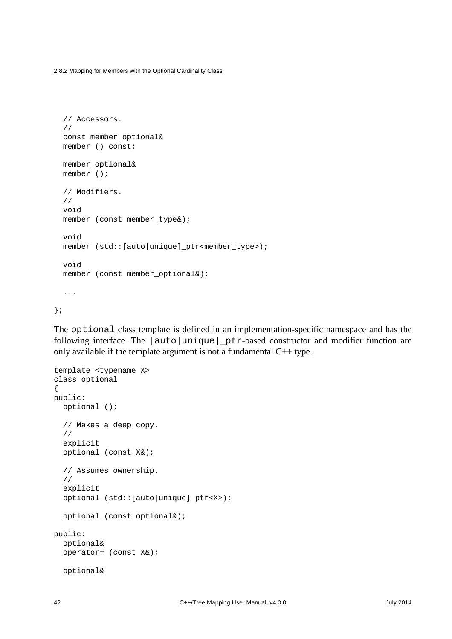2.8.2 Mapping for Members with the Optional Cardinality Class

```
 // Accessors.
   //
  const member_optional&
  member () const;
  member_optional&
  member ();
   // Modifiers.
   //
  void
  member (const member_type&);
   void
  member (std::[auto|unique]_ptr<member_type>);
  void
  member (const member_optional&);
   ...
};
```
The optional class template is defined in an implementation-specific namespace and has the following interface. The [auto|unique]\_ptr-based constructor and modifier function are only available if the template argument is not a fundamental  $C++$  type.

```
template <typename X>
class optional
{
public:
   optional ();
   // Makes a deep copy.
   //
   explicit
   optional (const X&);
   // Assumes ownership.
   //
   explicit
   optional (std::[auto|unique]_ptr<X>);
   optional (const optional&);
public:
   optional&
   operator= (const X&);
   optional&
```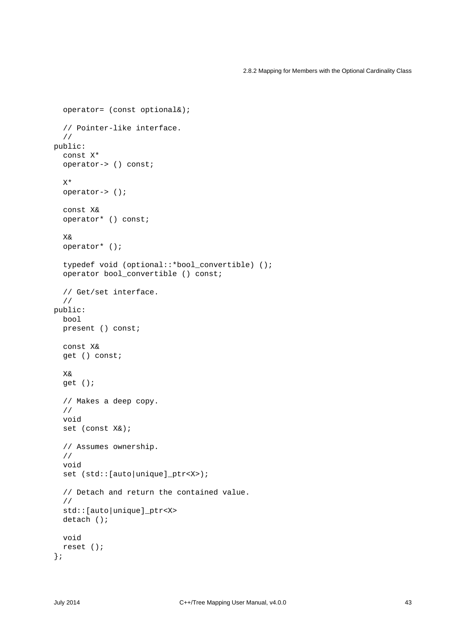```
 operator= (const optional&);
   // Pointer-like interface.
   //
public:
   const X*
   operator-> () const;
  x* operator-> ();
   const X&
   operator* () const;
   X&
   operator* ();
   typedef void (optional::*bool_convertible) ();
   operator bool_convertible () const;
   // Get/set interface.
   //
public:
   bool
   present () const;
   const X&
   get () const;
   X&
   get ();
   // Makes a deep copy.
   //
   void
   set (const X&);
   // Assumes ownership.
   //
   void
   set (std::[auto|unique]_ptr<X>);
   // Detach and return the contained value.
   //
   std::[auto|unique]_ptr<X>
   detach ();
   void
   reset ();
};
```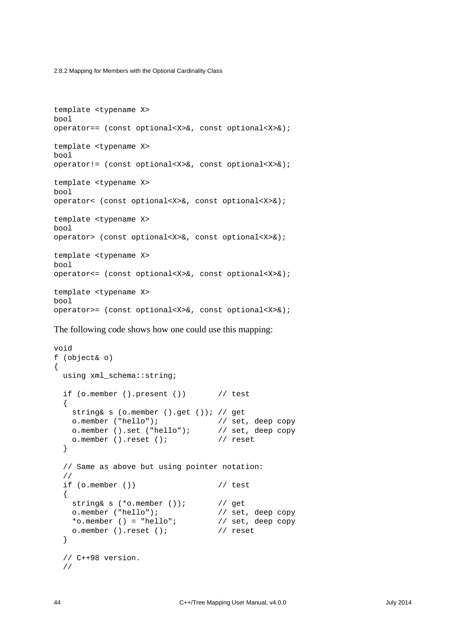2.8.2 Mapping for Members with the Optional Cardinality Class

```
template <typename X>
bool
operator== (const optional<X>&, const optional<X>&);
template <typename X>
bool
operator!= (const optional<X>&, const optional<X>&);
template <typename X>
bool
operator< (const optional<X>&, const optional<X>&);
template <typename X>
bool
operator> (const optional<X>&, const optional<X>&);
template <typename X>
bool
operator<= (const optional<X>&, const optional<X>&);
template <typename X>
bool
operator>= (const optional<X>&, const optional<X>&);
```
The following code shows how one could use this mapping:

```
void
f (object& o)
{
  using xml_schema::string;
 if (o.member ().present ()) // test\{ string& s (o.member ().get ()); // get
    o.member ("hello"); // set, deep copy
    o.member ().set ("hello"); // set, deep copy
   o.member ().reset (); // reset
  }
  // Same as above but using pointer notation:
  //
 if (o.member ()) // test
  {
   string& s (*o.member ()); // get
    o.member ("hello"); // set, deep copy
   *o.member () = "hello"; // set, deep copy o.member ().reset (); // reset
  }
  // C++98 version.
  //
```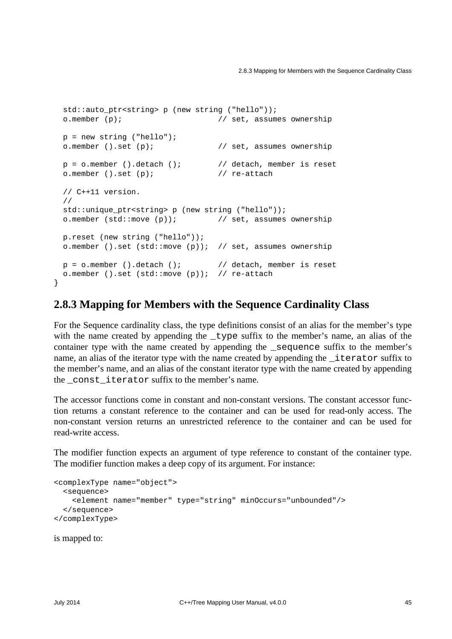```
std::auto ptr<string> p (new string ("hello"));
 o.member (p); // set, assumes ownership
p = new string('hello'); o.member ().set (p); // set, assumes ownership
p = o.\text{member} ().detach (); \frac{p}{q} // detach, member is reset
 o.member ().set (p); // re-attach
 // C++11 version.
 //
std::unique ptr<string> p (new string ("hello"));
 o.member (std::move (p)); // set, assumes ownership
 p.reset (new string ("hello"));
 o.member ().set (std::move (p)); // set, assumes ownership
p = o.member ().detach (); // detach, member is reset
 o.member ().set (std::move (p)); // re-attach
```
#### **2.8.3 Mapping for Members with the Sequence Cardinality Class**

For the Sequence cardinality class, the type definitions consist of an alias for the member's type with the name created by appending the <u>type</u> suffix to the member's name, an alias of the container type with the name created by appending the \_sequence suffix to the member's name, an alias of the iterator type with the name created by appending the *iterator suffix to* the member's name, and an alias of the constant iterator type with the name created by appending the \_const\_iterator suffix to the member's name.

The accessor functions come in constant and non-constant versions. The constant accessor function returns a constant reference to the container and can be used for read-only access. The non-constant version returns an unrestricted reference to the container and can be used for read-write access.

The modifier function expects an argument of type reference to constant of the container type. The modifier function makes a deep copy of its argument. For instance:

```
<complexType name="object">
  <sequence>
    <element name="member" type="string" minOccurs="unbounded"/>
  </sequence>
</complexType>
```
is mapped to:

}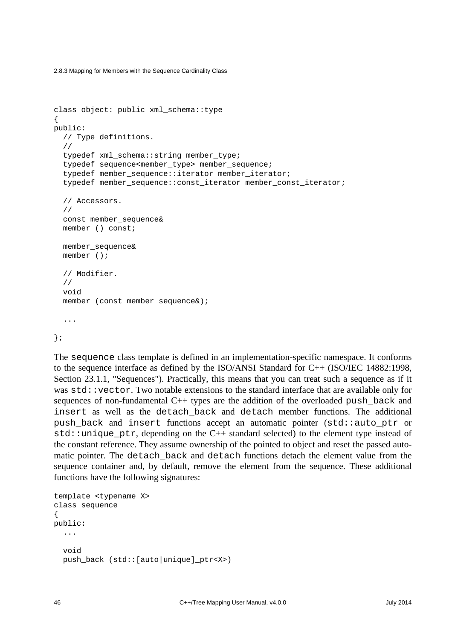2.8.3 Mapping for Members with the Sequence Cardinality Class

```
class object: public xml_schema::type
{
public:
  // Type definitions.
   //
  typedef xml schema::string member type;
  typedef sequence<member type> member sequence;
   typedef member_sequence::iterator member_iterator;
  typedef member sequence::const_iterator member_const_iterator;
   // Accessors.
   //
   const member_sequence&
   member () const;
   member_sequence&
   member ();
   // Modifier.
   //
   void
  member (const member sequence&);
   ...
```
};

The sequence class template is defined in an implementation-specific namespace. It conforms to the sequence interface as defined by the ISO/ANSI Standard for C++ (ISO/IEC 14882:1998, Section 23.1.1, "Sequences"). Practically, this means that you can treat such a sequence as if it was std::vector. Two notable extensions to the standard interface that are available only for sequences of non-fundamental C++ types are the addition of the overloaded push\_back and insert as well as the detach\_back and detach member functions. The additional push\_back and insert functions accept an automatic pointer (std::auto\_ptr or  $std:$  unique\_ptr, depending on the  $C++$  standard selected) to the element type instead of the constant reference. They assume ownership of the pointed to object and reset the passed automatic pointer. The detach back and detach functions detach the element value from the sequence container and, by default, remove the element from the sequence. These additional functions have the following signatures:

```
template <typename X>
class sequence
{
public:
   ...
   void
   push_back (std::[auto|unique]_ptr<X>)
```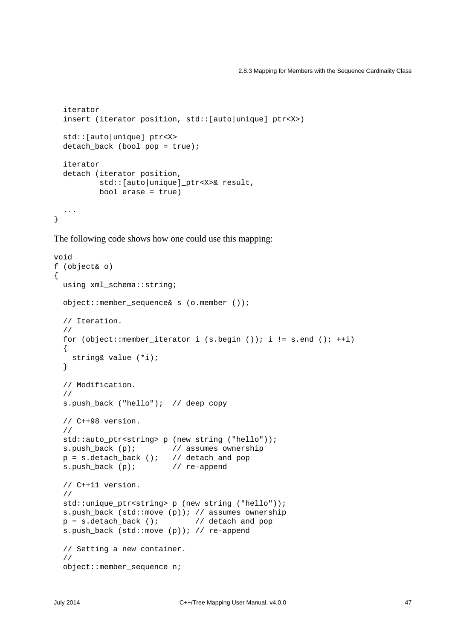```
 iterator
  insert (iterator position, std:: [auto|unique] ptr<X>)
   std::[auto|unique]_ptr<X>
   detach_back (bool pop = true);
   iterator
   detach (iterator position,
          std:: [auto|unique] ptr<X>& result,
           bool erase = true)
   ...
}
```
The following code shows how one could use this mapping:

```
void
f (object& o)
\{ using xml_schema::string;
  object::member_sequence& s (o.member ());
  // Iteration.
   //
  for (object::member_iterator i (s.begin ()); i != s.end (); ++i)
   {
    string& value (*i);
   }
   // Modification.
   //
  s.push_back ("hello"); // deep copy
   // C++98 version.
  //
  std::auto_ptr<string> p (new string ("hello"));
 s.push_back (p); \frac{1}{2} // assumes ownership
 p = s.detach_back (); // detach and pop
  s.push_back (p); // re-append
   // C++11 version.
   //
  std::unique_ptr<string> p (new string ("hello"));
  s.push_back (std::move (p)); // assumes ownership
 p = s.detach back (); // detach and pop
  s.push_back (std::move (p)); // re-append
   // Setting a new container.
   //
  object::member_sequence n;
```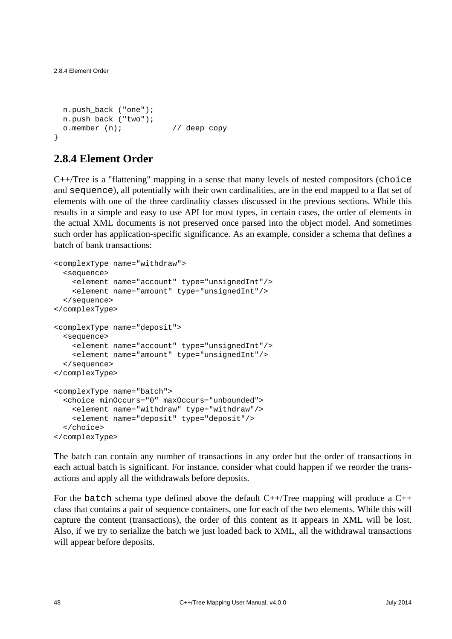```
 n.push_back ("one");
  n.push_back ("two");
  o.member (n); // deep copy
}
```
## **2.8.4 Element Order**

 $C++/Tree$  is a "flattening" mapping in a sense that many levels of nested compositors (choice and sequence), all potentially with their own cardinalities, are in the end mapped to a flat set of elements with one of the three cardinality classes discussed in the previous sections. While this results in a simple and easy to use API for most types, in certain cases, the order of elements in the actual XML documents is not preserved once parsed into the object model. And sometimes such order has application-specific significance. As an example, consider a schema that defines a batch of bank transactions:

```
<complexType name="withdraw">
  <sequence>
     <element name="account" type="unsignedInt"/>
     <element name="amount" type="unsignedInt"/>
   </sequence>
</complexType>
<complexType name="deposit">
   <sequence>
     <element name="account" type="unsignedInt"/>
     <element name="amount" type="unsignedInt"/>
  </sequence>
</complexType>
<complexType name="batch">
  <choice minOccurs="0" maxOccurs="unbounded">
     <element name="withdraw" type="withdraw"/>
     <element name="deposit" type="deposit"/>
  </choice>
</complexType>
```
The batch can contain any number of transactions in any order but the order of transactions in each actual batch is significant. For instance, consider what could happen if we reorder the transactions and apply all the withdrawals before deposits.

For the batch schema type defined above the default  $C++/Tree$  mapping will produce a  $C++$ class that contains a pair of sequence containers, one for each of the two elements. While this will capture the content (transactions), the order of this content as it appears in XML will be lost. Also, if we try to serialize the batch we just loaded back to XML, all the withdrawal transactions will appear before deposits.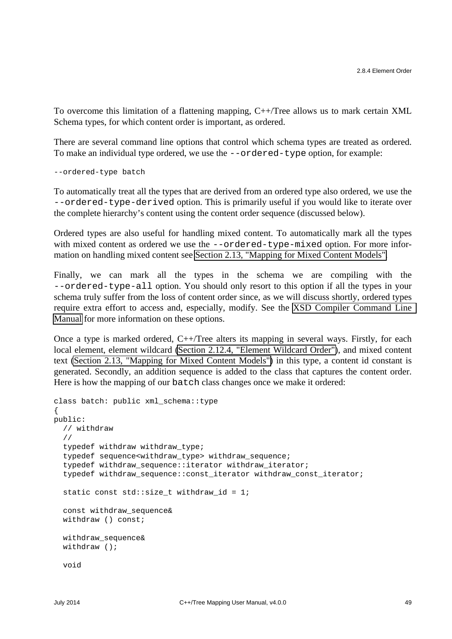To overcome this limitation of a flattening mapping, C++/Tree allows us to mark certain XML Schema types, for which content order is important, as ordered.

There are several command line options that control which schema types are treated as ordered. To make an individual type ordered, we use the --ordered-type option, for example:

--ordered-type batch

To automatically treat all the types that are derived from an ordered type also ordered, we use the --ordered-type-derived option. This is primarily useful if you would like to iterate over the complete hierarchy's content using the content order sequence (discussed below).

Ordered types are also useful for handling mixed content. To automatically mark all the types with mixed content as ordered we use the --ordered-type-mixed option. For more information on handling mixed content see [Section 2.13, "Mapping for Mixed Content Models".](#page-85-0)

Finally, we can mark all the types in the schema we are compiling with the --ordered-type-all option. You should only resort to this option if all the types in your schema truly suffer from the loss of content order since, as we will discuss shortly, ordered types require extra effort to access and, especially, modify. See the [XSD Compiler Command Line](http://www.codesynthesis.com/projects/xsd/documentation/xsd.xhtml)  [Manual](http://www.codesynthesis.com/projects/xsd/documentation/xsd.xhtml) for more information on these options.

Once a type is marked ordered, C++/Tree alters its mapping in several ways. Firstly, for each local element, element wildcard [\(Section 2.12.4, "Element Wildcard Order"\)](#page-79-0), and mixed content text [\(Section 2.13, "Mapping for Mixed Content Models"\)](#page-85-0) in this type, a content id constant is generated. Secondly, an addition sequence is added to the class that captures the content order. Here is how the mapping of our batch class changes once we make it ordered:

```
class batch: public xml_schema::type
{
public:
   // withdraw
   //
   typedef withdraw withdraw_type;
   typedef sequence<withdraw_type> withdraw_sequence;
   typedef withdraw_sequence::iterator withdraw_iterator;
   typedef withdraw_sequence::const_iterator withdraw_const_iterator;
  static const std::size_t withdraw_id = 1;
   const withdraw_sequence&
  withdraw () const;
   withdraw_sequence&
  withdraw ();
   void
```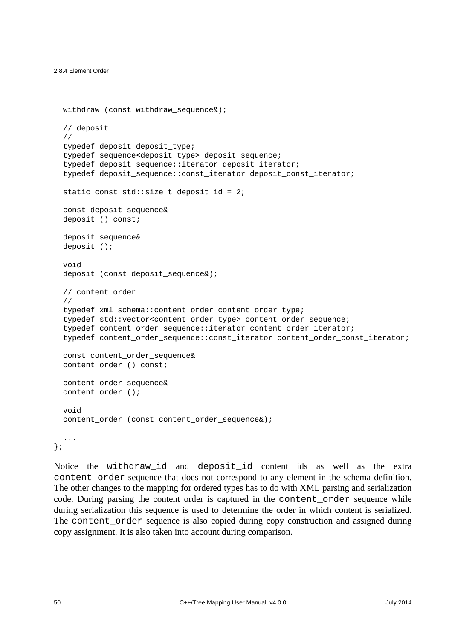```
 withdraw (const withdraw_sequence&);
 // deposit
 //
 typedef deposit deposit_type;
typedef sequence<deposit type> deposit sequence;
typedef deposit sequence::iterator deposit iterator;
 typedef deposit_sequence::const_iterator deposit_const_iterator;
static const std:: size t deposit id = 2;
 const deposit_sequence&
 deposit () const;
 deposit_sequence&
 deposit ();
 void
deposit (const deposit sequence&);
 // content_order
 //
 typedef xml_schema::content_order content_order_type;
 typedef std::vector<content_order_type> content_order_sequence;
 typedef content_order_sequence::iterator content_order_iterator;
 typedef content_order_sequence::const_iterator content_order_const_iterator;
 const content_order_sequence&
 content_order () const;
 content_order_sequence&
 content_order ();
 void
content order (const content order sequence&);
 ...
```
};

Notice the withdraw\_id and deposit\_id content ids as well as the extra content\_order sequence that does not correspond to any element in the schema definition. The other changes to the mapping for ordered types has to do with XML parsing and serialization code. During parsing the content order is captured in the content\_order sequence while during serialization this sequence is used to determine the order in which content is serialized. The content order sequence is also copied during copy construction and assigned during copy assignment. It is also taken into account during comparison.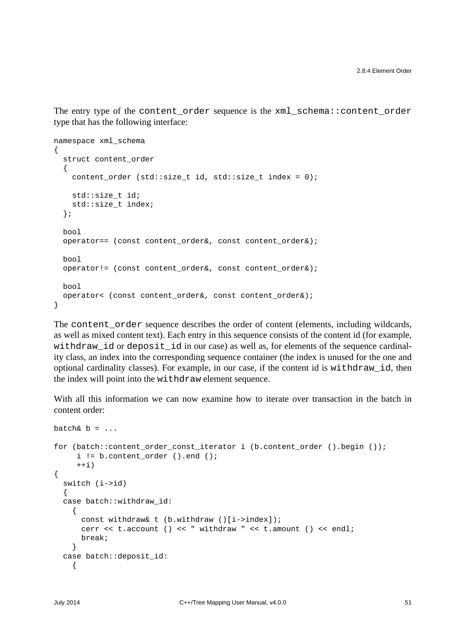The entry type of the content\_order sequence is the xml\_schema::content\_order type that has the following interface:

```
namespace xml_schema
{
  struct content_order
   {
     content_order (std::size_t id, std::size_t index = 0);
     std::size_t id;
    std::size t index;
   };
  bool
   operator== (const content_order&, const content_order&);
   bool
   operator!= (const content_order&, const content_order&);
  bool
   operator< (const content_order&, const content_order&);
}
```
The content\_order sequence describes the order of content (elements, including wildcards, as well as mixed content text). Each entry in this sequence consists of the content id (for example, withdraw id or deposit id in our case) as well as, for elements of the sequence cardinality class, an index into the corresponding sequence container (the index is unused for the one and optional cardinality classes). For example, in our case, if the content id is withdraw\_id, then the index will point into the withdraw element sequence.

With all this information we can now examine how to iterate over transaction in the batch in content order:

```
b = \ldotsfor (batch::content_order_const_iterator i (b.content_order ().begin ());
      i != b.content_order ().end ();
     ++i)
{
   switch (i->id)
 {
   case batch::withdraw_id:
     {
      const withdraw& t (b.withdraw ()[i->index]);
       cerr << t.account () << " withdraw " << t.amount () << endl;
      break;
     }
   case batch::deposit_id:
    \{
```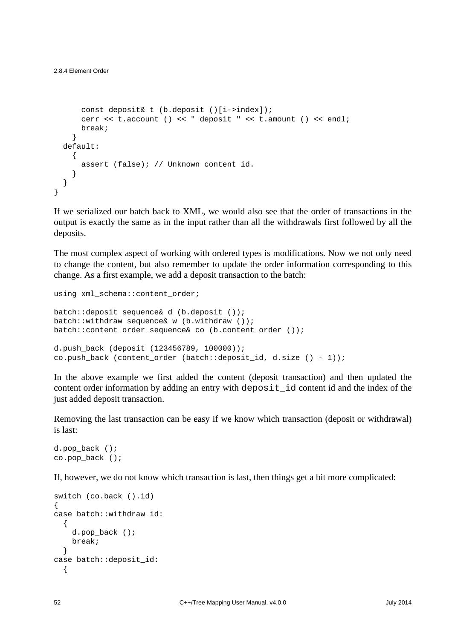```
 const deposit& t (b.deposit ()[i->index]);
       cerr << t.account () << " deposit " << t.amount () << endl;
       break;
     }
   default:
     {
       assert (false); // Unknown content id.
    \mathfrak{h} }
}
```
If we serialized our batch back to XML, we would also see that the order of transactions in the output is exactly the same as in the input rather than all the withdrawals first followed by all the deposits.

The most complex aspect of working with ordered types is modifications. Now we not only need to change the content, but also remember to update the order information corresponding to this change. As a first example, we add a deposit transaction to the batch:

```
using xml_schema::content_order;
```

```
batch::deposit_sequence& d (b.deposit ());
batch::withdraw_sequence& w (b.withdraw ());
batch::content_order_sequence& co (b.content_order ());
d.push_back (deposit (123456789, 100000));
co.push_back (content_order (batch::deposit_id, d.size () - 1));
```
In the above example we first added the content (deposit transaction) and then updated the content order information by adding an entry with deposit\_id content id and the index of the just added deposit transaction.

Removing the last transaction can be easy if we know which transaction (deposit or withdrawal) is last:

```
d.pop_back ();
co.pop_back ();
```
If, however, we do not know which transaction is last, then things get a bit more complicated:

```
switch (co.back ().id)
{
case batch::withdraw_id:
   {
     d.pop_back ();
     break;
   }
case batch::deposit_id:
   {
```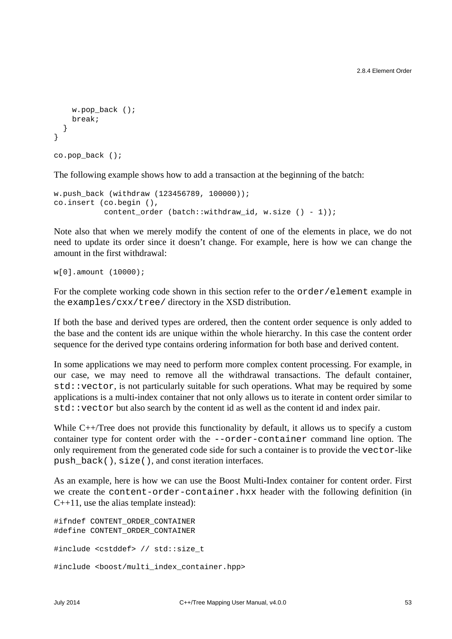```
w.pop back ();
     break;
   }
}
co.pop_back ();
```
The following example shows how to add a transaction at the beginning of the batch:

```
w.push_back (withdraw (123456789, 100000));
co.insert (co.begin (),
            content_order (batch::withdraw_id, w.size () - 1));
```
Note also that when we merely modify the content of one of the elements in place, we do not need to update its order since it doesn't change. For example, here is how we can change the amount in the first withdrawal:

w[0].amount (10000);

For the complete working code shown in this section refer to the  $\alpha$  order/element example in the examples/cxx/tree/ directory in the XSD distribution.

If both the base and derived types are ordered, then the content order sequence is only added to the base and the content ids are unique within the whole hierarchy. In this case the content order sequence for the derived type contains ordering information for both base and derived content.

In some applications we may need to perform more complex content processing. For example, in our case, we may need to remove all the withdrawal transactions. The default container, std::vector, is not particularly suitable for such operations. What may be required by some applications is a multi-index container that not only allows us to iterate in content order similar to std::vector but also search by the content id as well as the content id and index pair.

While C++/Tree does not provide this functionality by default, it allows us to specify a custom container type for content order with the --order-container command line option. The only requirement from the generated code side for such a container is to provide the vector-like push\_back(), size(), and const iteration interfaces.

As an example, here is how we can use the Boost Multi-Index container for content order. First we create the content-order-container.hxx header with the following definition (in  $C_{++}11$ , use the alias template instead):

```
#ifndef CONTENT ORDER CONTAINER
#define CONTENT_ORDER_CONTAINER
#include <cstddef> // std::size_t
#include <boost/multi_index_container.hpp>
```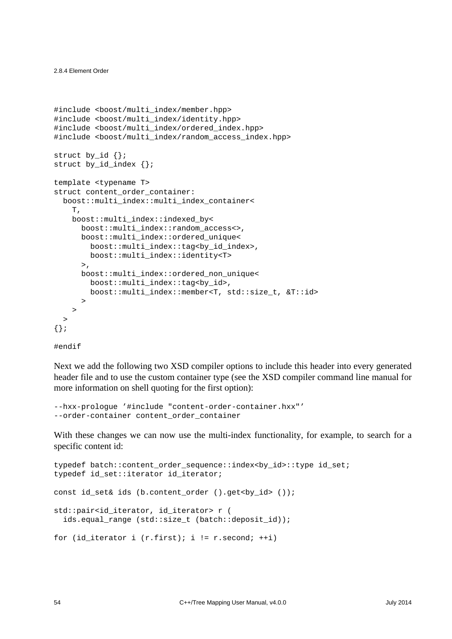```
#include <boost/multi_index/member.hpp>
#include <boost/multi_index/identity.hpp>
#include <boost/multi_index/ordered_index.hpp>
#include <boost/multi_index/random_access_index.hpp>
struct by id \{};
struct by id index \{\}\template <typename T>
struct content order container:
  boost::multi_index::multi_index_container<
     T,
     boost::multi_index::indexed_by<
       boost::multi_index::random_access<>,
       boost::multi_index::ordered_unique<
         boost::multi_index::tag<by_id_index>,
         boost::multi_index::identity<T>
      >,
       boost::multi_index::ordered_non_unique<
         boost::multi_index::tag<by_id>,
         boost::multi_index::member<T, std::size_t, &T::id>
\rightarrow >
   >
{};
```
#endif

Next we add the following two XSD compiler options to include this header into every generated header file and to use the custom container type (see the XSD compiler command line manual for more information on shell quoting for the first option):

```
--hxx-prologue '#include "content-order-container.hxx"'
--order-container content_order_container
```
With these changes we can now use the multi-index functionality, for example, to search for a specific content id:

```
typedef batch::content_order_sequence::index<br/><br/>ky_id>::type id_set;
typedef id_set::iterator id_iterator;
const id_set& ids (b.content_order ().get<br/>ky_id> ());
std::pair<id_iterator, id_iterator> r (
   ids.equal_range (std::size_t (batch::deposit_id));
for (id_iterator i (r.first); i != r.second; ++i)
```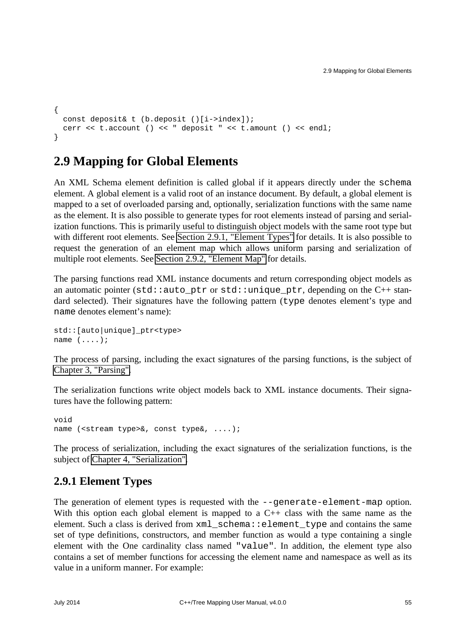```
{
  const deposit& t (b.deposit ()[i->index]);
  cerr << t.account () << " deposit " << t.amount () << endl;
}
```
# **2.9 Mapping for Global Elements**

An XML Schema element definition is called global if it appears directly under the schema element. A global element is a valid root of an instance document. By default, a global element is mapped to a set of overloaded parsing and, optionally, serialization functions with the same name as the element. It is also possible to generate types for root elements instead of parsing and serialization functions. This is primarily useful to distinguish object models with the same root type but with different root elements. See [Section 2.9.1, "Element Types"](#page-60-0) for details. It is also possible to request the generation of an element map which allows uniform parsing and serialization of multiple root elements. See [Section 2.9.2, "Element Map"](#page-63-0) for details.

The parsing functions read XML instance documents and return corresponding object models as an automatic pointer (std::auto\_ptr or std::unique\_ptr, depending on the  $C_{++}$  standard selected). Their signatures have the following pattern (type denotes element's type and name denotes element's name):

```
std::[auto|unique]_ptr<type>
name (....);
```
The process of parsing, including the exact signatures of the parsing functions, is the subject of [Chapter 3, "Parsing".](#page-87-0)

The serialization functions write object models back to XML instance documents. Their signatures have the following pattern:

void name (<stream type>&, const type&, ....);

The process of serialization, including the exact signatures of the serialization functions, is the subject of [Chapter 4, "Serialization".](#page-99-0)

#### <span id="page-60-0"></span>**2.9.1 Element Types**

The generation of element types is requested with the --generate-element-map option. With this option each global element is mapped to a C++ class with the same name as the element. Such a class is derived from xml\_schema::element\_type and contains the same set of type definitions, constructors, and member function as would a type containing a single element with the One cardinality class named "value". In addition, the element type also contains a set of member functions for accessing the element name and namespace as well as its value in a uniform manner. For example: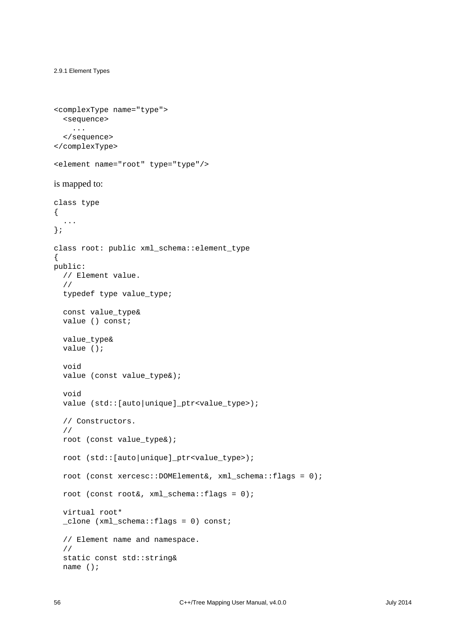```
2.9.1 Element Types
```

```
<complexType name="type">
  <sequence>
     ...
  </sequence>
</complexType>
```

```
<element name="root" type="type"/>
```
#### is mapped to:

```
class type
{
   ...
};
class root: public xml_schema::element_type
{
public:
  // Element value.
   //
   typedef type value_type;
   const value_type&
   value () const;
   value_type&
   value ();
   void
   value (const value_type&);
   void
   value (std::[auto|unique]_ptr<value_type>);
   // Constructors.
   //
   root (const value_type&);
   root (std::[auto|unique]_ptr<value_type>);
   root (const xercesc::DOMElement&, xml_schema::flags = 0);
  root (const root&, xml\_schema::flags = 0);
   virtual root*
   _clone (xml_schema::flags = 0) const;
   // Element name and namespace.
   //
   static const std::string&
   name ();
```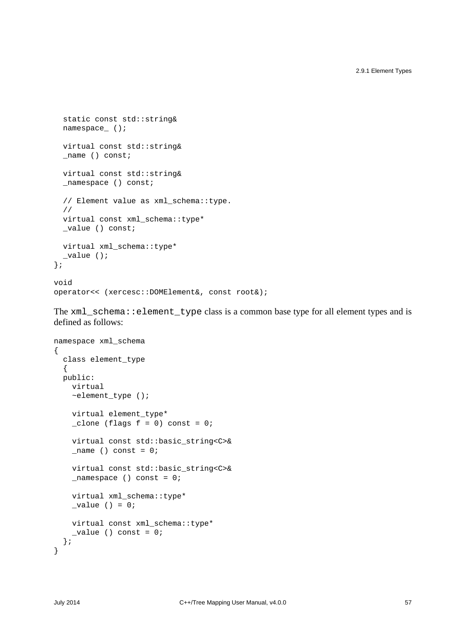```
 static const std::string&
  namespace ();
   virtual const std::string&
  name () const;
   virtual const std::string&
  namespace () const;
   // Element value as xml_schema::type.
   //
   virtual const xml_schema::type*
   _value () const;
   virtual xml_schema::type*
   _value ();
};
void
operator<< (xercesc::DOMElement&, const root&);
```
The xml\_schema::element\_type class is a common base type for all element types and is defined as follows:

```
namespace xml_schema
{
  class element_type
   {
   public:
     virtual
     ~element_type ();
     virtual element_type*
    \angleclone (flags f = 0) const = 0;
     virtual const std::basic_string<C>&
    _name () const = 0; virtual const std::basic_string<C>&
    \_namespace () const = 0;
     virtual xml_schema::type*
    _value () = 0; virtual const xml_schema::type*
    _value () const = 0; };
}
```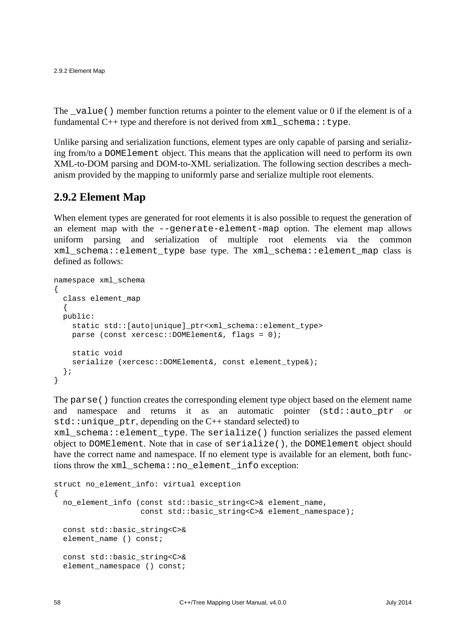2.9.2 Element Map

The \_value() member function returns a pointer to the element value or 0 if the element is of a fundamental  $C++$  type and therefore is not derived from  $xml$  schema::type.

Unlike parsing and serialization functions, element types are only capable of parsing and serializing from/to a DOMElement object. This means that the application will need to perform its own XML-to-DOM parsing and DOM-to-XML serialization. The following section describes a mechanism provided by the mapping to uniformly parse and serialize multiple root elements.

## <span id="page-63-0"></span>**2.9.2 Element Map**

When element types are generated for root elements it is also possible to request the generation of an element map with the --generate-element-map option. The element map allows uniform parsing and serialization of multiple root elements via the common xml\_schema::element\_type base type. The xml\_schema::element\_map class is defined as follows:

```
namespace xml_schema
{
  class element_map
\{ public:
     static std::[auto|unique]_ptr<xml_schema::element_type>
     parse (const xercesc::DOMElement&, flags = 0);
     static void
    serialize (xercesc::DOMElement&, const element type&);
   };
}
```
The parse() function creates the corresponding element type object based on the element name and namespace and returns it as an automatic pointer (std::auto\_ptr or  $std:$ : unique ptr, depending on the  $C++$  standard selected) to

xml\_schema::element\_type. The serialize() function serializes the passed element object to DOMElement. Note that in case of serialize(), the DOMElement object should have the correct name and namespace. If no element type is available for an element, both functions throw the xml\_schema::no\_element\_info exception:

```
struct no_element_info: virtual exception
{
  no_element_info (const std::basic_string<C>& element_name,
                   const std::basic string<C>& element namespace);
   const std::basic_string<C>&
 element_name () const;
  const std::basic_string<C>&
  element_namespace () const;
```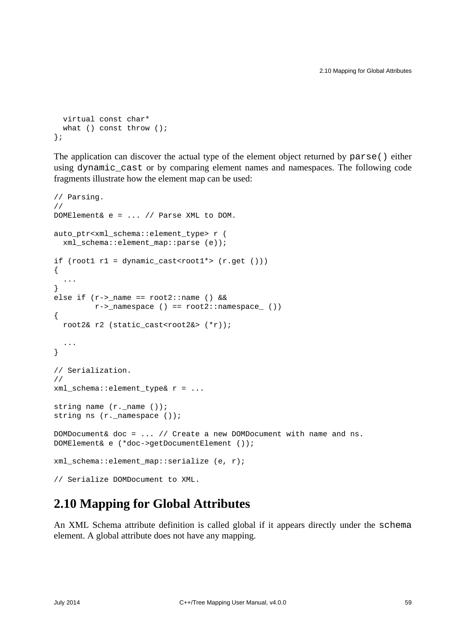```
 virtual const char*
 what () const throw ();
};
```
The application can discover the actual type of the element object returned by parse() either using dynamic\_cast or by comparing element names and namespaces. The following code fragments illustrate how the element map can be used:

```
// Parsing.
//
DOMElement& e = ... // Parse XML to DOM.
auto_ptr<xml_schema::element_type> r (
   xml_schema::element_map::parse (e));
if (root1 r1 = dynamic_cast<root1*> (r.get()))
{
   ...
}
else if (r->_name == root2::name () & \&&r->_namespace () == root2::namespace ())
{
   root2& r2 (static_cast<root2&> (*r));
   ...
}
// Serialization.
//
xml_schema::element_type& r = ...
string name (r. name ());
string ns (r._namespace ());
DOMDocument& doc = ... // Create a new DOMDocument with name and ns.
DOMElement& e (*doc->getDocumentElement ());
xml schema::element map::serialize (e, r);
// Serialize DOMDocument to XML.
```
# **2.10 Mapping for Global Attributes**

An XML Schema attribute definition is called global if it appears directly under the schema element. A global attribute does not have any mapping.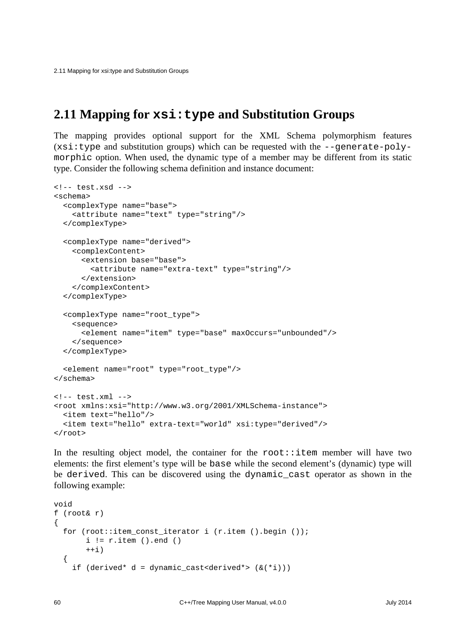2.11 Mapping for xsi:type and Substitution Groups

## <span id="page-65-0"></span>**2.11 Mapping for xsi:type and Substitution Groups**

The mapping provides optional support for the XML Schema polymorphism features  $(xsi:type and substitution groups)$  which can be requested with the --generate-polymorphic option. When used, the dynamic type of a member may be different from its static type. Consider the following schema definition and instance document:

```
<!-- test.xsd -->
<schema>
   <complexType name="base">
     <attribute name="text" type="string"/>
   </complexType>
   <complexType name="derived">
     <complexContent>
       <extension base="base">
          <attribute name="extra-text" type="string"/>
       </extension>
     </complexContent>
   </complexType>
   <complexType name="root_type">
     <sequence>
       <element name="item" type="base" maxOccurs="unbounded"/>
     </sequence>
   </complexType>
   <element name="root" type="root_type"/>
</schema>
\leftarrow \leftarrow test. xml \leftarrow \rightarrow<root xmlns:xsi="http://www.w3.org/2001/XMLSchema-instance">
   <item text="hello"/>
   <item text="hello" extra-text="world" xsi:type="derived"/>
\langle root>
```
In the resulting object model, the container for the  $root$ : item member will have two elements: the first element's type will be base while the second element's (dynamic) type will be derived. This can be discovered using the dynamic\_cast operator as shown in the following example:

```
void
f (root& r)
{
  for (root::item const iterator i (r.item ().begin ());
       i := r.item ().end ()
       ++i) {
    if (derived* d = dynamic cast<derived*> (x(*i)))
```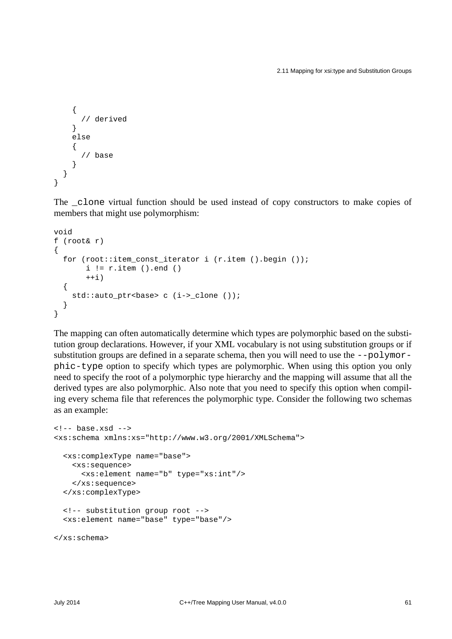2.11 Mapping for xsi:type and Substitution Groups

```
 {
         // derived
      }
      else
      {
         // base
      }
   }
}
```
The \_clone virtual function should be used instead of copy constructors to make copies of members that might use polymorphism:

```
void
f (root& r)
{
  for (root::item_const_iterator i (r.item ().begin ());
       i := r.item ().end ()
       ++i) {
    std::auto ptr<br/>base> c (i-> clone ());
   }
}
```
The mapping can often automatically determine which types are polymorphic based on the substitution group declarations. However, if your XML vocabulary is not using substitution groups or if substitution groups are defined in a separate schema, then you will need to use the --polymorphic-type option to specify which types are polymorphic. When using this option you only need to specify the root of a polymorphic type hierarchy and the mapping will assume that all the derived types are also polymorphic. Also note that you need to specify this option when compiling every schema file that references the polymorphic type. Consider the following two schemas as an example:

```
\leftarrow :-- base.xsd -->
<xs:schema xmlns:xs="http://www.w3.org/2001/XMLSchema">
   <xs:complexType name="base">
     <xs:sequence>
       <xs:element name="b" type="xs:int"/>
     </xs:sequence>
   </xs:complexType>
   <!-- substitution group root -->
   <xs:element name="base" type="base"/>
```
</xs:schema>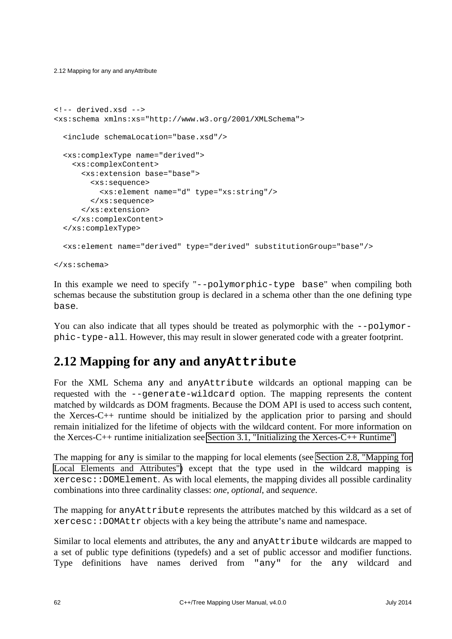2.12 Mapping for any and anyAttribute

```
<!-- derived.xsd -->
<xs:schema xmlns:xs="http://www.w3.org/2001/XMLSchema">
   <include schemaLocation="base.xsd"/>
   <xs:complexType name="derived">
     <xs:complexContent>
       <xs:extension base="base">
         <xs:sequence>
           <xs:element name="d" type="xs:string"/>
         </xs:sequence>
       </xs:extension>
     </xs:complexContent>
   </xs:complexType>
   <xs:element name="derived" type="derived" substitutionGroup="base"/>
</xs:schema>
```
In this example we need to specify "--polymorphic-type base" when compiling both schemas because the substitution group is declared in a schema other than the one defining type base.

You can also indicate that all types should be treated as polymorphic with the  $-$ -polymorphic-type-all. However, this may result in slower generated code with a greater footprint.

# **2.12 Mapping for any and anyAttribute**

For the XML Schema any and anyAttribute wildcards an optional mapping can be requested with the --generate-wildcard option. The mapping represents the content matched by wildcards as DOM fragments. Because the DOM API is used to access such content, the Xerces-C++ runtime should be initialized by the application prior to parsing and should remain initialized for the lifetime of objects with the wildcard content. For more information on the Xerces-C++ runtime initialization see [Section 3.1, "Initializing the Xerces-C++ Runtime".](#page-90-0)

The mapping for any is similar to the mapping for local elements (see [Section 2.8, "Mapping for](#page-42-0) [Local Elements and Attributes"\)](#page-42-0) except that the type used in the wildcard mapping is xercesc::DOMElement. As with local elements, the mapping divides all possible cardinality combinations into three cardinality classes: *one*, *optional*, and *sequence*.

The mapping for anyAttribute represents the attributes matched by this wildcard as a set of xercesc::DOMAttr objects with a key being the attribute's name and namespace.

Similar to local elements and attributes, the any and anyAttribute wildcards are mapped to a set of public type definitions (typedefs) and a set of public accessor and modifier functions. Type definitions have names derived from "any" for the any wildcard and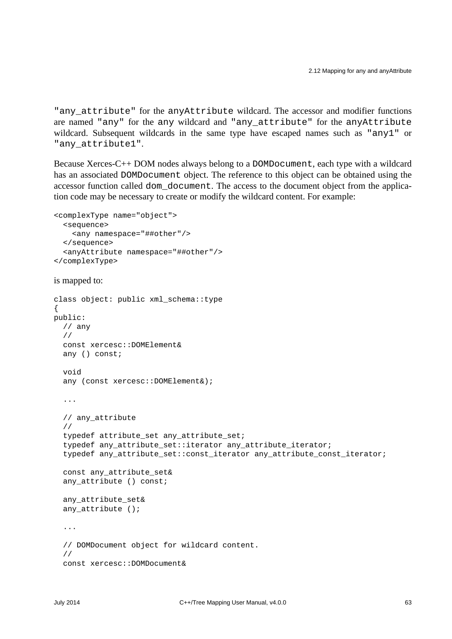"any\_attribute" for the anyAttribute wildcard. The accessor and modifier functions are named "any" for the any wildcard and "any\_attribute" for the anyAttribute wildcard. Subsequent wildcards in the same type have escaped names such as "any1" or "any\_attribute1".

Because Xerces-C++ DOM nodes always belong to a DOMDocument, each type with a wildcard has an associated DOMDocument object. The reference to this object can be obtained using the accessor function called dom\_document. The access to the document object from the application code may be necessary to create or modify the wildcard content. For example:

```
<complexType name="object">
  <sequence>
     <any namespace="##other"/>
   </sequence>
   <anyAttribute namespace="##other"/>
</complexType>
```

```
is mapped to:
```

```
class object: public xml_schema::type
{
public:
   // any
   //
   const xercesc::DOMElement&
   any () const;
   void
   any (const xercesc::DOMElement&);
   ...
   // any_attribute
   //
   typedef attribute_set any_attribute_set;
  typedef any attribute set::iterator any attribute iterator;
  typedef any attribute set::const iterator any attribute const iterator;
   const any_attribute_set&
  any attribute () const;
   any_attribute_set&
  any attribute ();
   ...
   // DOMDocument object for wildcard content.
   //
   const xercesc::DOMDocument&
```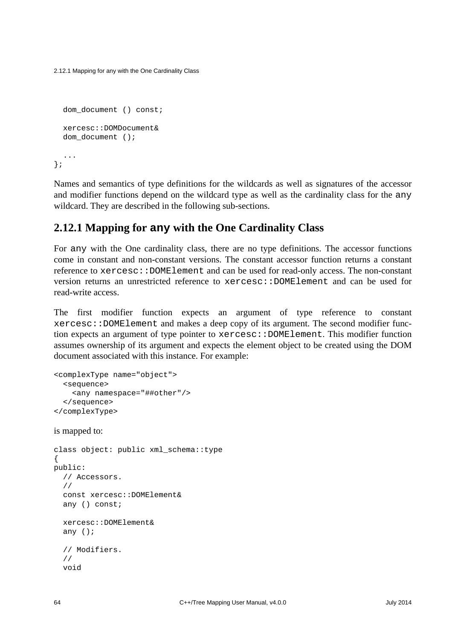2.12.1 Mapping for any with the One Cardinality Class

```
dom document () const;
   xercesc::DOMDocument&
  dom document ();
   ...
};
```
Names and semantics of type definitions for the wildcards as well as signatures of the accessor and modifier functions depend on the wildcard type as well as the cardinality class for the any wildcard. They are described in the following sub-sections.

### **2.12.1 Mapping for any with the One Cardinality Class**

For any with the One cardinality class, there are no type definitions. The accessor functions come in constant and non-constant versions. The constant accessor function returns a constant reference to xercesc::DOMElement and can be used for read-only access. The non-constant version returns an unrestricted reference to xercesc::DOMElement and can be used for read-write access.

The first modifier function expects an argument of type reference to constant xercesc::DOMElement and makes a deep copy of its argument. The second modifier function expects an argument of type pointer to xercesc::DOMElement. This modifier function assumes ownership of its argument and expects the element object to be created using the DOM document associated with this instance. For example:

```
<complexType name="object">
   <sequence>
    <any namespace="##other"/>
   </sequence>
</complexType>
```
is mapped to:

```
class object: public xml_schema::type
{
public:
   // Accessors.
   //
   const xercesc::DOMElement&
   any () const;
   xercesc::DOMElement&
   any ();
   // Modifiers.
   //
   void
```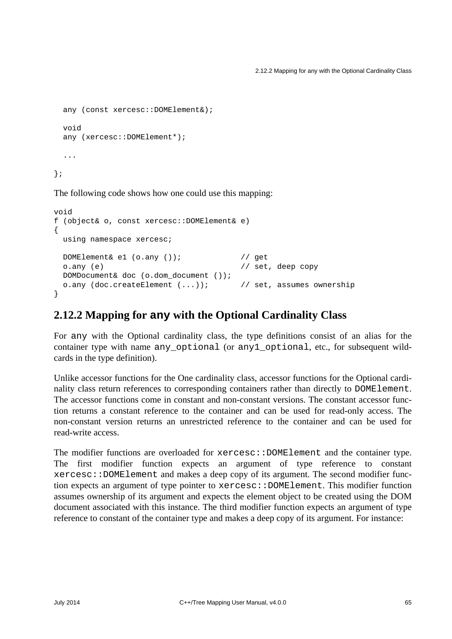```
 any (const xercesc::DOMElement&);
 void
 any (xercesc::DOMElement*);
 ...
```
};

The following code shows how one could use this mapping:

```
void
f (object& o, const xercesc::DOMElement& e)
{
  using namespace xercesc;
 DOMElement&e1 (o.any ()); // qeto.any (e) \sqrt{2} // set, deep copy
  DOMDocument& doc (o.dom_document ());
  o.any (doc.createElement (...)); // set, assumes ownership
}
```
#### **2.12.2 Mapping for any with the Optional Cardinality Class**

For any with the Optional cardinality class, the type definitions consist of an alias for the container type with name any\_optional (or any1\_optional, etc., for subsequent wildcards in the type definition).

Unlike accessor functions for the One cardinality class, accessor functions for the Optional cardinality class return references to corresponding containers rather than directly to DOMElement. The accessor functions come in constant and non-constant versions. The constant accessor function returns a constant reference to the container and can be used for read-only access. The non-constant version returns an unrestricted reference to the container and can be used for read-write access.

The modifier functions are overloaded for  $x$ ercesc::DOMElement and the container type. The first modifier function expects an argument of type reference to constant xercesc::DOMElement and makes a deep copy of its argument. The second modifier function expects an argument of type pointer to xercesc::DOMElement. This modifier function assumes ownership of its argument and expects the element object to be created using the DOM document associated with this instance. The third modifier function expects an argument of type reference to constant of the container type and makes a deep copy of its argument. For instance: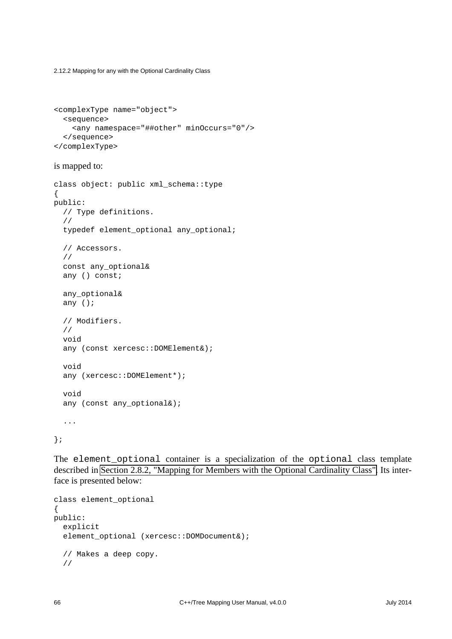2.12.2 Mapping for any with the Optional Cardinality Class

```
<complexType name="object">
  <sequence>
    <any namespace="##other" minOccurs="0"/>
  </sequence>
</complexType>
```
is mapped to:

```
class object: public xml_schema::type
{
public:
   // Type definitions.
   //
   typedef element_optional any_optional;
   // Accessors.
   //
   const any_optional&
   any () const;
   any_optional&
   any ();
   // Modifiers.
   //
   void
   any (const xercesc::DOMElement&);
   void
   any (xercesc::DOMElement*);
   void
  any (const any_optional&);
   ...
};
```
The element\_optional container is a specialization of the optional class template described in [Section 2.8.2, "Mapping for Members with the Optional Cardinality Class".](#page-46-0) Its interface is presented below:

```
class element_optional
{
public:
   explicit
  element optional (xercesc::DOMDocument&);
   // Makes a deep copy.
   //
```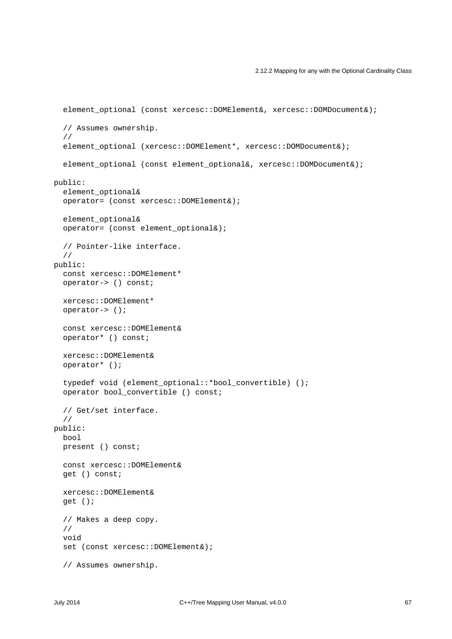#### 2.12.2 Mapping for any with the Optional Cardinality Class

```
element_optional (const xercesc::DOMElement&, xercesc::DOMDocument&);
   // Assumes ownership.
   //
   element_optional (xercesc::DOMElement*, xercesc::DOMDocument&);
  element optional (const element optional&, xercesc::DOMDocument&);
public:
   element_optional&
   operator= (const xercesc::DOMElement&);
   element_optional&
   operator= (const element_optional&);
   // Pointer-like interface.
   //
public:
   const xercesc::DOMElement*
   operator-> () const;
   xercesc::DOMElement*
   operator-> ();
   const xercesc::DOMElement&
   operator* () const;
   xercesc::DOMElement&
   operator* ();
   typedef void (element_optional::*bool_convertible) ();
   operator bool_convertible () const;
   // Get/set interface.
   //
public:
   bool
   present () const;
   const xercesc::DOMElement&
   get () const;
   xercesc::DOMElement&
   get ();
   // Makes a deep copy.
   //
   void
   set (const xercesc::DOMElement&);
   // Assumes ownership.
```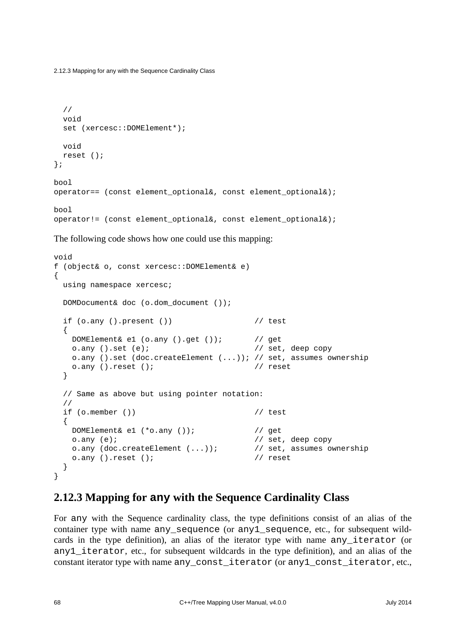```
 //
   void
   set (xercesc::DOMElement*);
   void
   reset ();
};
bool
operator== (const element_optional&, const element_optional&);
bool
```

```
operator!= (const element optional&, const element optional&);
```
The following code shows how one could use this mapping:

```
void
f (object& o, const xercesc::DOMElement& e)
\{using namespace xercesc;
  DOMDocument& doc (o.dom_document ());
 if (o.any () .present () // test
  {
    DOMElement& e1 (o.any ().get ()); // get
   o.any ().set (e); \sqrt{2} // set, deep copy
   o.any ().set (doc.createElement (...)); // set, assumes ownership
   o.any ().reset (); \sqrt{2} // reset
  }
  // Same as above but using pointer notation:
  //
  if (o.member ()) // test
 \{ DOMElement& e1 (*o.any ()); // get
    o.any (e); // set, deep copy
    o.any (doc.createElement (...)); // set, assumes ownership
   o.any ().reset (); // reset
  }
}
```
### **2.12.3 Mapping for any with the Sequence Cardinality Class**

For any with the Sequence cardinality class, the type definitions consist of an alias of the container type with name any\_sequence (or any1\_sequence, etc., for subsequent wildcards in the type definition), an alias of the iterator type with name any\_iterator (or any1\_iterator, etc., for subsequent wildcards in the type definition), and an alias of the constant iterator type with name any\_const\_iterator (or any1\_const\_iterator, etc.,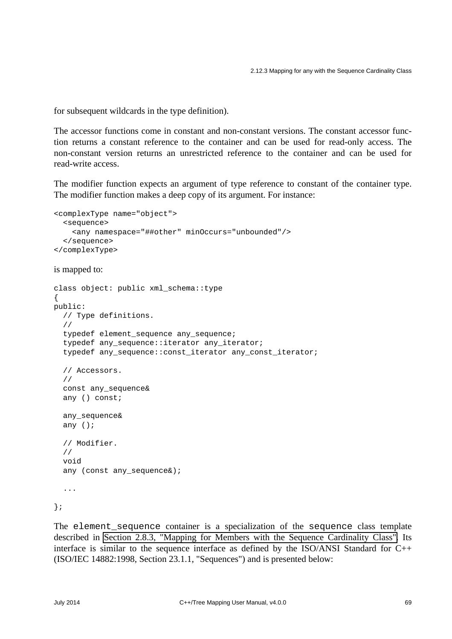for subsequent wildcards in the type definition).

The accessor functions come in constant and non-constant versions. The constant accessor function returns a constant reference to the container and can be used for read-only access. The non-constant version returns an unrestricted reference to the container and can be used for read-write access.

The modifier function expects an argument of type reference to constant of the container type. The modifier function makes a deep copy of its argument. For instance:

```
<complexType name="object">
  <sequence>
    <any namespace="##other" minOccurs="unbounded"/>
   </sequence>
</complexType>
```
is mapped to:

```
class object: public xml_schema::type
{
public:
   // Type definitions.
   //
   typedef element_sequence any_sequence;
   typedef any_sequence::iterator any_iterator;
   typedef any_sequence::const_iterator any_const_iterator;
   // Accessors.
   //
   const any_sequence&
   any () const;
   any_sequence&
   any ();
   // Modifier.
   //
   void
  any (const any sequence&);
   ...
};
```
The element\_sequence container is a specialization of the sequence class template described in [Section 2.8.3, "Mapping for Members with the Sequence Cardinality Class".](#page-50-0) Its interface is similar to the sequence interface as defined by the ISO/ANSI Standard for C++ (ISO/IEC 14882:1998, Section 23.1.1, "Sequences") and is presented below: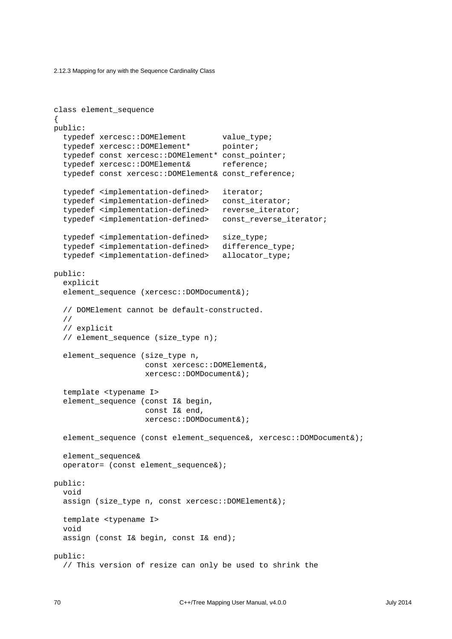```
class element_sequence
{
public:
  typedef xercesc::DOMElement value type;
   typedef xercesc::DOMElement* pointer;
   typedef const xercesc::DOMElement* const_pointer;
   typedef xercesc::DOMElement& reference;
   typedef const xercesc::DOMElement& const_reference;
   typedef <implementation-defined> iterator;
   typedef <implementation-defined> const_iterator;
  typedef <implementation-defined> reverse iterator;
  typedef <implementation-defined> const reverse iterator;
  typedef <implementation-defined> size type;
  typedef <implementation-defined> difference type;
  typedef <implementation-defined> allocator type;
public:
   explicit
  element sequence (xercesc::DOMDocument&);
   // DOMElement cannot be default-constructed.
   //
   // explicit
   // element_sequence (size_type n);
   element_sequence (size_type n,
                     const xercesc::DOMElement&,
                     xercesc::DOMDocument&);
   template <typename I>
   element_sequence (const I& begin,
                     const I& end,
                     xercesc::DOMDocument&);
   element_sequence (const element_sequence&, xercesc::DOMDocument&);
   element_sequence&
   operator= (const element_sequence&);
public:
   void
   assign (size_type n, const xercesc::DOMElement&);
   template <typename I>
   void
   assign (const I& begin, const I& end);
public:
   // This version of resize can only be used to shrink the
```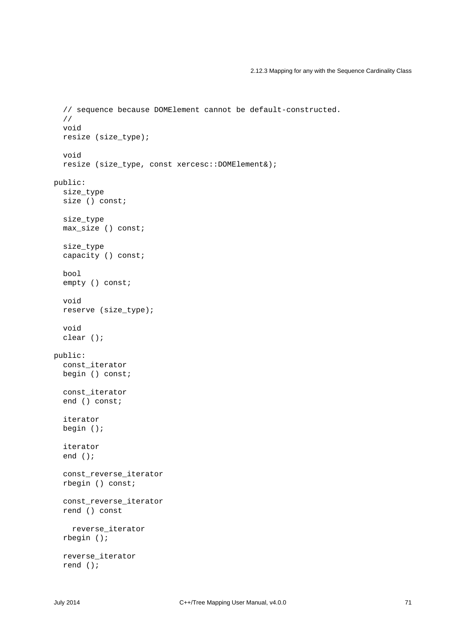```
 // sequence because DOMElement cannot be default-constructed.
   //
   void
   resize (size_type);
   void
   resize (size_type, const xercesc::DOMElement&);
public:
   size_type
   size () const;
   size_type
   max_size () const;
  size type
   capacity () const;
   bool
   empty () const;
   void
   reserve (size_type);
   void
   clear ();
public:
   const_iterator
   begin () const;
   const_iterator
   end () const;
   iterator
   begin ();
   iterator
   end ();
   const_reverse_iterator
   rbegin () const;
   const_reverse_iterator
   rend () const
     reverse_iterator
   rbegin ();
   reverse_iterator
   rend ();
```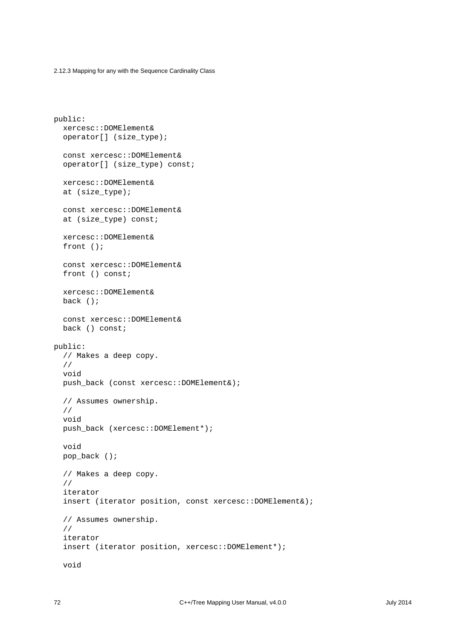```
public:
   xercesc::DOMElement&
   operator[] (size_type);
   const xercesc::DOMElement&
   operator[] (size_type) const;
   xercesc::DOMElement&
   at (size_type);
   const xercesc::DOMElement&
  at (size type) const;
   xercesc::DOMElement&
   front ();
   const xercesc::DOMElement&
   front () const;
   xercesc::DOMElement&
   back ();
   const xercesc::DOMElement&
   back () const;
public:
   // Makes a deep copy.
   //
   void
   push_back (const xercesc::DOMElement&);
   // Assumes ownership.
   //
   void
   push_back (xercesc::DOMElement*);
   void
   pop_back ();
   // Makes a deep copy.
   //
   iterator
   insert (iterator position, const xercesc::DOMElement&);
   // Assumes ownership.
   //
   iterator
   insert (iterator position, xercesc::DOMElement*);
   void
```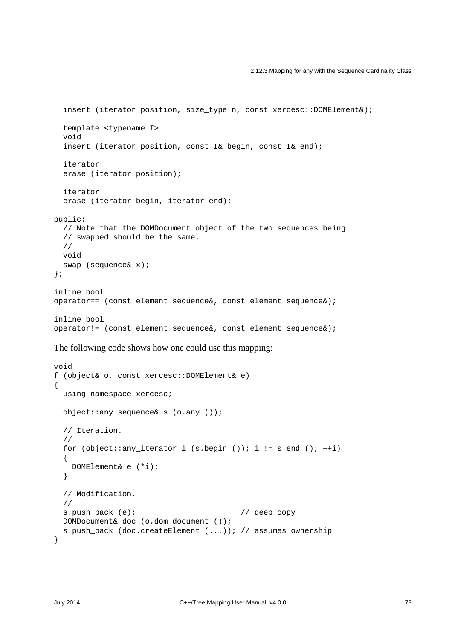```
 insert (iterator position, size_type n, const xercesc::DOMElement&);
   template <typename I>
   void
   insert (iterator position, const I& begin, const I& end);
   iterator
   erase (iterator position);
   iterator
   erase (iterator begin, iterator end);
public:
   // Note that the DOMDocument object of the two sequences being
   // swapped should be the same.
   //
   void
   swap (sequence& x);
};
inline bool
operator== (const element_sequence&, const element_sequence&);
inline bool
operator!= (const element_sequence&, const element_sequence&);
```
The following code shows how one could use this mapping:

```
void
f (object& o, const xercesc::DOMElement& e)
{
  using namespace xercesc;
  object::any_sequence& s (o.any ());
   // Iteration.
   //
 for (object::any_iterator i (s.begin ()); i != s.end (); ++i)
   {
    DOMElement& e (*i);
   }
   // Modification.
   //
 s.push_back (e); \sqrt{2} // deep copy
  DOMDocument& doc (o.dom_document ());
  s.push_back (doc.createElement (...)); // assumes ownership
}
```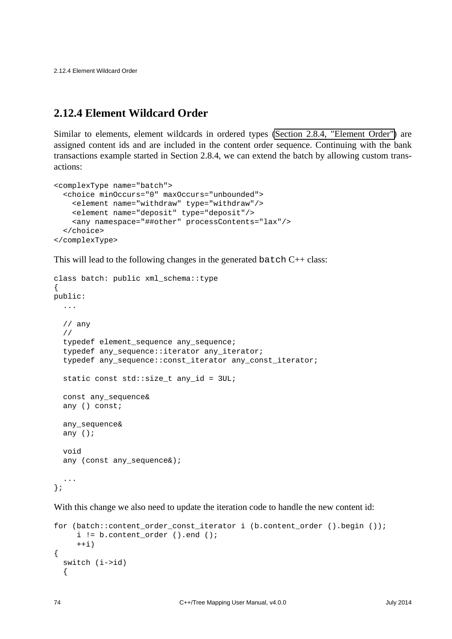2.12.4 Element Wildcard Order

### **2.12.4 Element Wildcard Order**

Similar to elements, element wildcards in ordered types [\(Section 2.8.4, "Element Order"\)](#page-53-0) are assigned content ids and are included in the content order sequence. Continuing with the bank transactions example started in Section 2.8.4, we can extend the batch by allowing custom transactions:

```
<complexType name="batch">
   <choice minOccurs="0" maxOccurs="unbounded">
     <element name="withdraw" type="withdraw"/>
     <element name="deposit" type="deposit"/>
     <any namespace="##other" processContents="lax"/>
   </choice>
</complexType>
```
This will lead to the following changes in the generated batch  $C++$  class:

```
class batch: public xml_schema::type
{
public:
   ...
   // any
   //
   typedef element_sequence any_sequence;
   typedef any_sequence::iterator any_iterator;
   typedef any_sequence::const_iterator any_const_iterator;
  static const std::size t any id = 3UL;
   const any_sequence&
   any () const;
   any_sequence&
   any ();
   void
  any (const any_sequence&);
   ...
};
```
With this change we also need to update the iteration code to handle the new content id:

```
for (batch::content_order_const_iterator i (b.content_order ().begin ());
      i != b.content_order ().end ();
     ++i){
  switch (i->id)
   {
```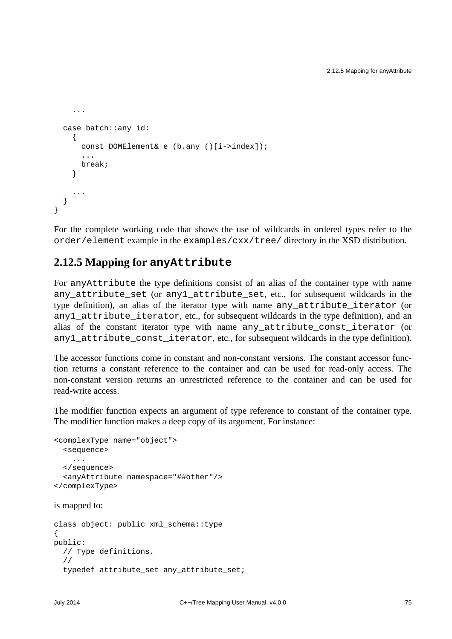```
 ...
   case batch::any_id:
     {
       const DOMElement& e (b.any ()[i->index]);
        ...
       break;
     }
     ...
   }
}
```
For the complete working code that shows the use of wildcards in ordered types refer to the order/element example in the examples/cxx/tree/ directory in the XSD distribution.

#### **2.12.5 Mapping for anyAttribute**

For anyAttribute the type definitions consist of an alias of the container type with name any\_attribute\_set (or any1\_attribute\_set, etc., for subsequent wildcards in the type definition), an alias of the iterator type with name any\_attribute\_iterator (or any1\_attribute\_iterator, etc., for subsequent wildcards in the type definition), and an alias of the constant iterator type with name any\_attribute\_const\_iterator (or any1\_attribute\_const\_iterator, etc., for subsequent wildcards in the type definition).

The accessor functions come in constant and non-constant versions. The constant accessor function returns a constant reference to the container and can be used for read-only access. The non-constant version returns an unrestricted reference to the container and can be used for read-write access.

The modifier function expects an argument of type reference to constant of the container type. The modifier function makes a deep copy of its argument. For instance:

```
<complexType name="object">
   <sequence>
     ...
   </sequence>
   <anyAttribute namespace="##other"/>
</complexType>
```
is mapped to:

```
class object: public xml_schema::type
{
public:
  // Type definitions.
   //
   typedef attribute_set any_attribute_set;
```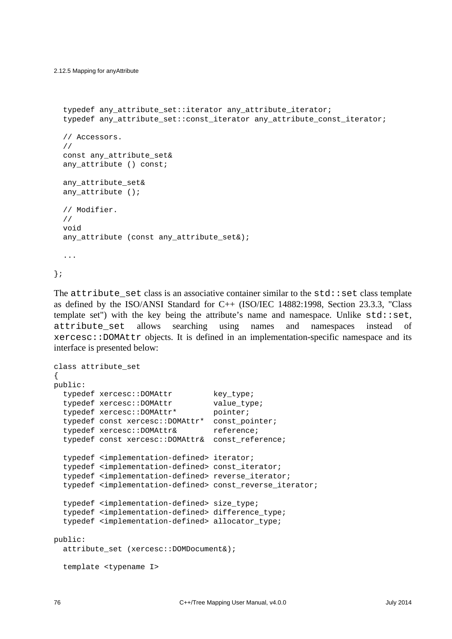```
 typedef any_attribute_set::iterator any_attribute_iterator;
typedef any attribute set:: const_iterator any_attribute_const_iterator;
 // Accessors.
 //
 const any_attribute_set&
any attribute () const;
any attribute set&
any attribute ();
 // Modifier.
 //
 void
any attribute (const any attribute set&);
 ...
```
};

The  $attribute$  set class is an associative container similar to the  $std$ : set class template as defined by the ISO/ANSI Standard for C++ (ISO/IEC 14882:1998, Section 23.3.3, "Class template set") with the key being the attribute's name and namespace. Unlike  $std::set$ , attribute\_set allows searching using names and namespaces instead of xercesc::DOMAttr objects. It is defined in an implementation-specific namespace and its interface is presented below:

```
class attribute_set
{
public:
   typedef xercesc::DOMAttr key_type;
  typedef xercesc::DOMAttr value_type;
   typedef xercesc::DOMAttr* pointer;
   typedef const xercesc::DOMAttr* const_pointer;
  typedef xercesc::DOMAttr& reference;
   typedef const xercesc::DOMAttr& const_reference;
   typedef <implementation-defined> iterator;
   typedef <implementation-defined> const_iterator;
   typedef <implementation-defined> reverse_iterator;
   typedef <implementation-defined> const_reverse_iterator;
   typedef <implementation-defined> size_type;
   typedef <implementation-defined> difference_type;
   typedef <implementation-defined> allocator_type;
public:
   attribute_set (xercesc::DOMDocument&);
   template <typename I>
```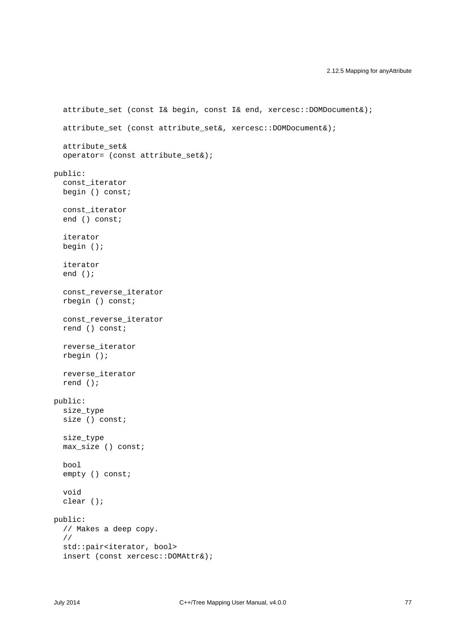```
 attribute_set (const I& begin, const I& end, xercesc::DOMDocument&);
  attribute set (const attribute set&, xercesc::DOMDocument&);
   attribute_set&
   operator= (const attribute_set&);
public:
   const_iterator
   begin () const;
   const_iterator
   end () const;
   iterator
   begin ();
   iterator
   end ();
   const_reverse_iterator
   rbegin () const;
   const_reverse_iterator
   rend () const;
   reverse_iterator
   rbegin ();
   reverse_iterator
   rend ();
public:
   size_type
   size () const;
   size_type
   max_size () const;
   bool
   empty () const;
   void
   clear ();
public:
  // Makes a deep copy.
   //
   std::pair<iterator, bool>
   insert (const xercesc::DOMAttr&);
```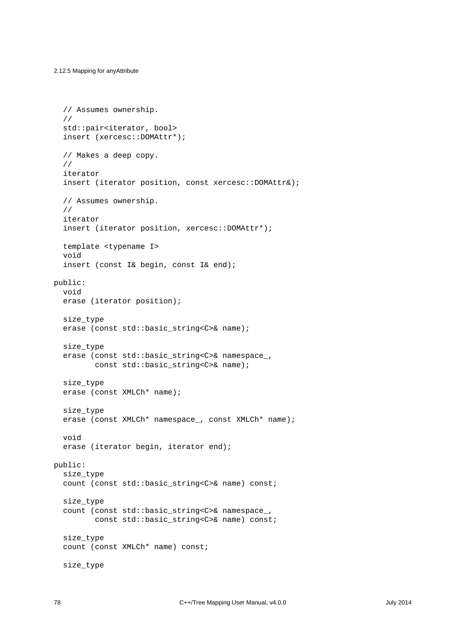```
 // Assumes ownership.
   //
  std::pair<iterator, bool>
   insert (xercesc::DOMAttr*);
   // Makes a deep copy.
   //
   iterator
   insert (iterator position, const xercesc::DOMAttr&);
   // Assumes ownership.
   //
   iterator
   insert (iterator position, xercesc::DOMAttr*);
   template <typename I>
   void
   insert (const I& begin, const I& end);
public:
   void
   erase (iterator position);
   size_type
   erase (const std::basic_string<C>& name);
   size_type
   erase (const std::basic_string<C>& namespace_,
          const std::basic_string<C>& name);
   size_type
  erase (const XMLCh* name);
   size_type
   erase (const XMLCh* namespace_, const XMLCh* name);
   void
   erase (iterator begin, iterator end);
public:
   size_type
   count (const std::basic_string<C>& name) const;
   size_type
   count (const std::basic_string<C>& namespace_,
         const std::basic string<C>& name) const;
   size_type
   count (const XMLCh* name) const;
   size_type
```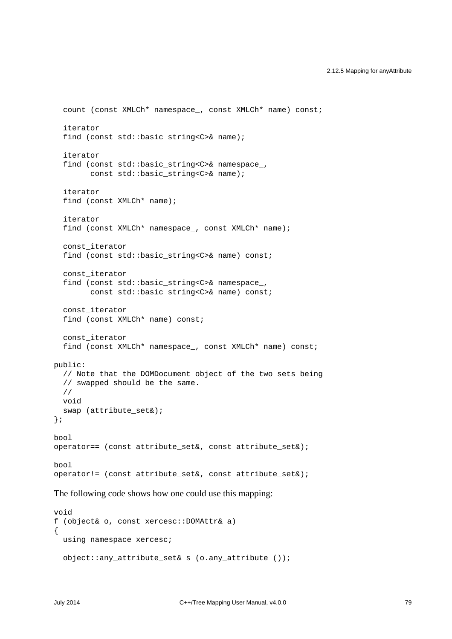```
 count (const XMLCh* namespace_, const XMLCh* name) const;
   iterator
  find (const std::basic string<C>& name);
   iterator
  find (const std::basic string<C>& namespace,
         const std::basic_string<C>& name);
   iterator
   find (const XMLCh* name);
   iterator
   find (const XMLCh* namespace_, const XMLCh* name);
   const_iterator
   find (const std::basic_string<C>& name) const;
   const_iterator
   find (const std::basic_string<C>& namespace_,
        const std::basic string<C>& name) const;
   const_iterator
   find (const XMLCh* name) const;
   const_iterator
   find (const XMLCh* namespace_, const XMLCh* name) const;
public:
   // Note that the DOMDocument object of the two sets being
   // swapped should be the same.
   //
  void
   swap (attribute_set&);
};
bool
operator== (const attribute_set&, const attribute_set&);
bool
operator!= (const attribute_set&, const attribute_set&);
```
The following code shows how one could use this mapping:

```
void
f (object& o, const xercesc::DOMAttr& a)
{
  using namespace xercesc;
  object::any_attribute_set& s (o.any_attribute ());
```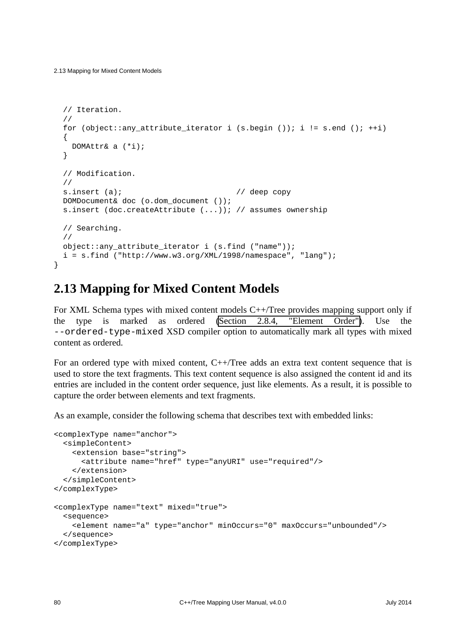```
 // Iteration.
   //
 for (object::any attribute iterator i (s.begin ()); i != s.end (); ++i)
   {
    DOMAttr& a (*i);
  }
  // Modification.
  //
 s.insert (a); \left| \right| // deep copy
  DOMDocument& doc (o.dom_document ());
  s.insert (doc.createAttribute (...)); // assumes ownership
  // Searching.
  //
 object:: any attribute iterator i (s.find ("name"));
  i = s.find('http://www.w3.org/XML/1998/namespace", "lang");}
```
## **2.13 Mapping for Mixed Content Models**

For XML Schema types with mixed content models C++/Tree provides mapping support only if the type is marked as ordered [\(Section 2.8.4, "Element Order"\)](#page-53-0). Use the --ordered-type-mixed XSD compiler option to automatically mark all types with mixed content as ordered.

For an ordered type with mixed content, C++/Tree adds an extra text content sequence that is used to store the text fragments. This text content sequence is also assigned the content id and its entries are included in the content order sequence, just like elements. As a result, it is possible to capture the order between elements and text fragments.

As an example, consider the following schema that describes text with embedded links:

```
<complexType name="anchor">
   <simpleContent>
     <extension base="string">
       <attribute name="href" type="anyURI" use="required"/>
     </extension>
   </simpleContent>
</complexType>
<complexType name="text" mixed="true">
  <sequence>
     <element name="a" type="anchor" minOccurs="0" maxOccurs="unbounded"/>
   </sequence>
</complexType>
```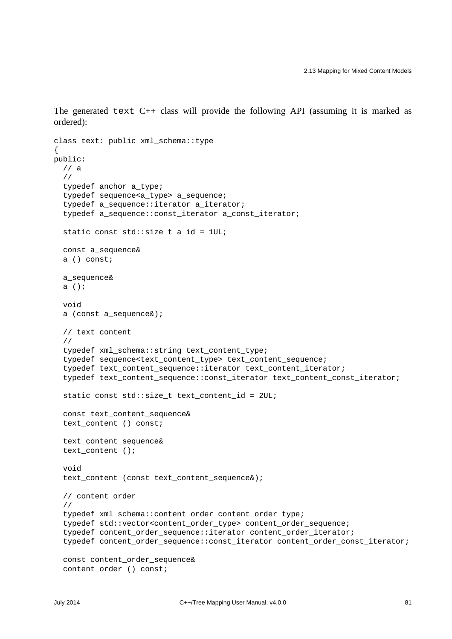The generated text  $C_{++}$  class will provide the following API (assuming it is marked as ordered):

```
class text: public xml_schema::type
{
public:
   // a
   //
   typedef anchor a_type;
   typedef sequence<a_type> a_sequence;
   typedef a_sequence::iterator a_iterator;
   typedef a_sequence::const_iterator a_const_iterator;
   static const std::size_t a_id = 1UL;
   const a_sequence&
   a () const;
   a_sequence&
   a ();
   void
   a (const a_sequence&);
   // text_content
   //
   typedef xml_schema::string text_content_type;
   typedef sequence<text_content_type> text_content_sequence;
   typedef text_content_sequence::iterator text_content_iterator;
   typedef text_content_sequence::const_iterator text_content_const_iterator;
  static const std::size t text content id = 2UL;
   const text_content_sequence&
   text_content () const;
   text_content_sequence&
   text_content ();
   void
   text_content (const text_content_sequence&);
   // content_order
   //
   typedef xml_schema::content_order content_order_type;
   typedef std::vector<content_order_type> content_order_sequence;
   typedef content_order_sequence::iterator content_order_iterator;
   typedef content_order_sequence::const_iterator content_order_const_iterator;
   const content_order_sequence&
   content_order () const;
```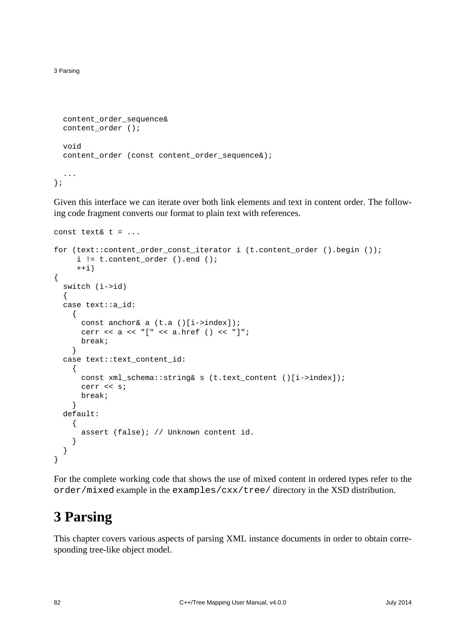3 Parsing

```
 content_order_sequence&
  content order ();
   void
  content order (const content order sequence&);
   ...
\};
```
Given this interface we can iterate over both link elements and text in content order. The following code fragment converts our format to plain text with references.

```
const text& t = ...
for (text::content_order_const_iterator i (t.content_order ().begin ());
     i := t.countent-order () . end ();
     ++i){
   switch (i->id)
   {
   case text::a_id:
     {
      const anchor& a (t.a ()[i->index]);
       cerr << a << "[" << a.href () << "]";
       break;
     }
   case text::text_content_id:
     {
       const xml_schema::string& s (t.text_content ()[i->index]);
       cerr << s;
       break;
     }
   default:
     {
       assert (false); // Unknown content id.
     }
   }
}
```
For the complete working code that shows the use of mixed content in ordered types refer to the order/mixed example in the examples/cxx/tree/ directory in the XSD distribution.

# <span id="page-87-0"></span>**3 Parsing**

This chapter covers various aspects of parsing XML instance documents in order to obtain corresponding tree-like object model.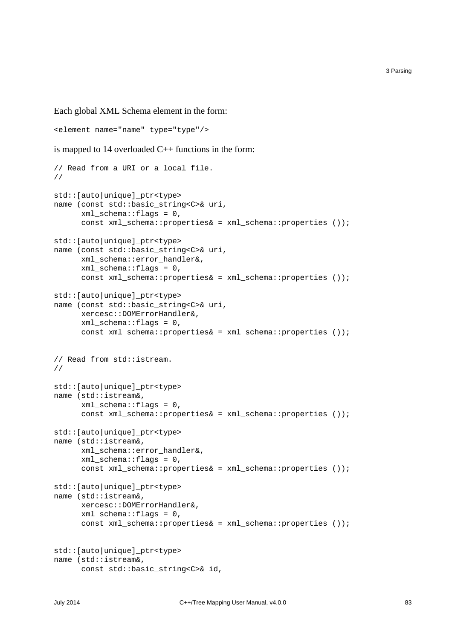Each global XML Schema element in the form:

```
<element name="name" type="type"/>
is mapped to 14 overloaded C++ functions in the form:
// Read from a URI or a local file.
//
std::[auto|unique]_ptr<type>
name (const std::basic_string<C>& uri,
       xml_schema::flags = 0,
       const xml_schema::properties& = xml_schema::properties ());
std::[auto|unique]_ptr<type>
name (const std::basic_string<C>& uri,
       xml_schema::error_handler&,
       xml_schema::flags = 0,
       const xml_schema::properties& = xml_schema::properties ());
std::[auto|unique]_ptr<type>
name (const std::basic string<C>& uri,
       xercesc::DOMErrorHandler&,
       xml_schema::flags = 0,
       const xml_schema::properties& = xml_schema::properties ());
// Read from std::istream.
//
std::[auto|unique]_ptr<type>
name (std::istream&,
      xml schema::flags = 0,
       const xml_schema::properties& = xml_schema::properties ());
std::[auto|unique]_ptr<type>
name (std::istream&,
       xml_schema::error_handler&,
       xml_schema::flags = 0,
       const xml_schema::properties& = xml_schema::properties ());
std::[auto|unique]_ptr<type>
name (std::istream&,
       xercesc::DOMErrorHandler&,
       xml_schema::flags = 0,
       const xml_schema::properties& = xml_schema::properties ());
std::[auto|unique]_ptr<type>
name (std::istream&,
       const std::basic_string<C>& id,
```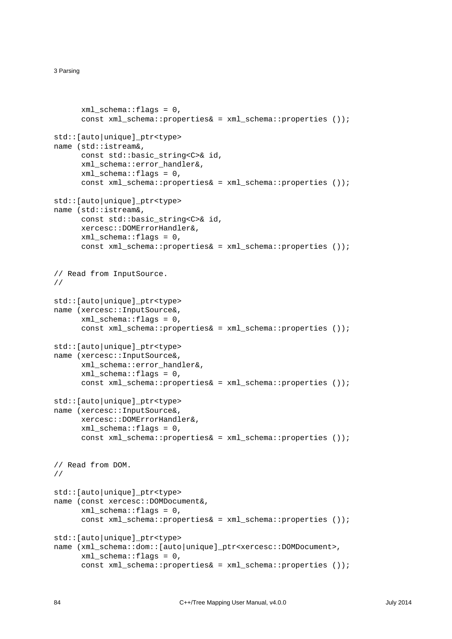#### 3 Parsing

```
xml schema::flags = 0,
      const xml schema::properties& = xml schema::properties ());
std::[auto|unique]_ptr<type>
name (std::istream&,
      const std::basic string<C>& id,
       xml_schema::error_handler&,
      xml_schema::flags = 0, const xml_schema::properties& = xml_schema::properties ());
std::[auto|unique]_ptr<type>
name (std::istream&,
      const std::basic string<C>& id,
       xercesc::DOMErrorHandler&,
      xml schema::flags = 0,
      const xml schema::properties& = xml schema::properties ());
// Read from InputSource.
//
std::[auto|unique]_ptr<type>
name (xercesc::InputSource&,
      xml schema::flags = 0,
       const xml_schema::properties& = xml_schema::properties ());
std::[auto|unique]_ptr<type>
name (xercesc::InputSource&,
       xml_schema::error_handler&,
       xml_schema::flags = 0,
       const xml_schema::properties& = xml_schema::properties ());
std::[auto|unique]_ptr<type>
name (xercesc::InputSource&,
       xercesc::DOMErrorHandler&,
       xml_schema::flags = 0,
       const xml_schema::properties& = xml_schema::properties ());
// Read from DOM.
//
std::[auto|unique]_ptr<type>
name (const xercesc::DOMDocument&,
       xml_schema::flags = 0,
       const xml_schema::properties& = xml_schema::properties ());
std::[auto|unique]_ptr<type>
name (xml_schema::dom::[auto|unique]_ptr<xercesc::DOMDocument>,
       xml_schema::flags = 0,
       const xml_schema::properties& = xml_schema::properties ());
```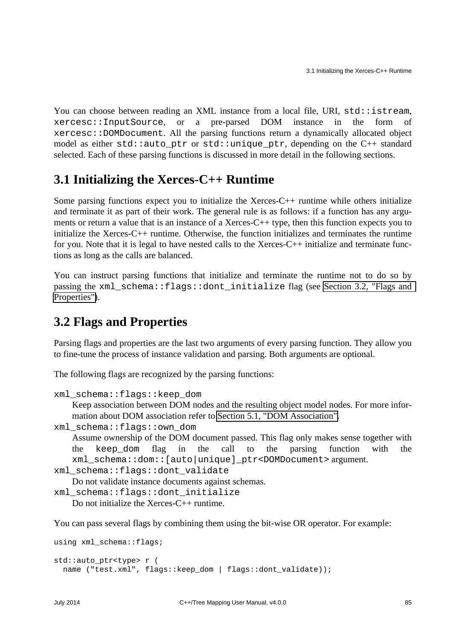You can choose between reading an XML instance from a local file, URI, std::istream, xercesc::InputSource, or a pre-parsed DOM instance in the form of xercesc::DOMDocument. All the parsing functions return a dynamically allocated object model as either std::auto\_ptr or std::unique\_ptr, depending on the C++ standard selected. Each of these parsing functions is discussed in more detail in the following sections.

## <span id="page-90-1"></span>**3.1 Initializing the Xerces-C++ Runtime**

Some parsing functions expect you to initialize the Xerces-C++ runtime while others initialize and terminate it as part of their work. The general rule is as follows: if a function has any arguments or return a value that is an instance of a Xerces-C++ type, then this function expects you to initialize the Xerces-C++ runtime. Otherwise, the function initializes and terminates the runtime for you. Note that it is legal to have nested calls to the Xerces- $C_{++}$  initialize and terminate functions as long as the calls are balanced.

You can instruct parsing functions that initialize and terminate the runtime not to do so by passing the xml schema::flags::dont initialize flag (see Section 3.2, "Flags and [Properties"\)](#page-90-0).

## <span id="page-90-0"></span>**3.2 Flags and Properties**

Parsing flags and properties are the last two arguments of every parsing function. They allow you to fine-tune the process of instance validation and parsing. Both arguments are optional.

The following flags are recognized by the parsing functions:

```
xml_schema::flags::keep_dom
```
Keep association between DOM nodes and the resulting object model nodes. For more information about DOM association refer to [Section 5.1, "DOM Association".](#page-108-0)

xml\_schema::flags::own\_dom

Assume ownership of the DOM document passed. This flag only makes sense together with the keep\_dom flag in the call to the parsing function with the xml\_schema::dom::[auto|unique]\_ptr<DOMDocument> argument.

```
xml_schema::flags::dont_validate
```
Do not validate instance documents against schemas.

```
xml_schema::flags::dont_initialize
```
Do not initialize the Xerces-C++ runtime.

You can pass several flags by combining them using the bit-wise OR operator. For example:

```
using xml_schema::flags;
std::auto_ptr<type> r (
 name ("test.xml", flags::keep_dom | flags::dont_validate));
```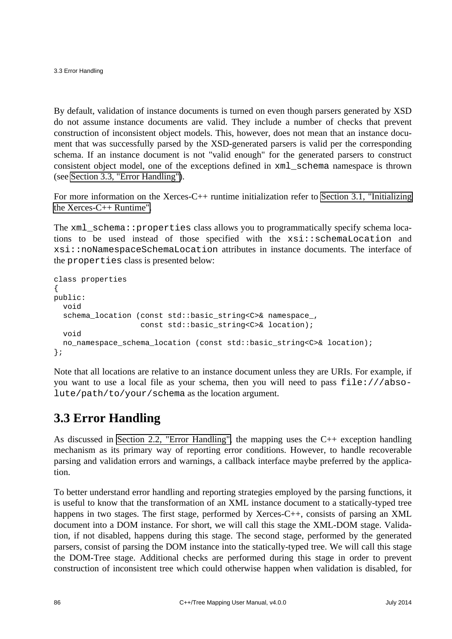3.3 Error Handling

By default, validation of instance documents is turned on even though parsers generated by XSD do not assume instance documents are valid. They include a number of checks that prevent construction of inconsistent object models. This, however, does not mean that an instance document that was successfully parsed by the XSD-generated parsers is valid per the corresponding schema. If an instance document is not "valid enough" for the generated parsers to construct consistent object model, one of the exceptions defined in xml\_schema namespace is thrown (see [Section 3.3, "Error Handling"\)](#page-91-0).

For more information on the Xerces-C++ runtime initialization refer to [Section 3.1, "Initializing](#page-90-1) [the Xerces-C++ Runtime".](#page-90-1)

The xml\_schema::properties class allows you to programmatically specify schema locations to be used instead of those specified with the xsi::schemaLocation and xsi::noNamespaceSchemaLocation attributes in instance documents. The interface of the properties class is presented below:

```
class properties
{
public:
   void
   schema_location (const std::basic_string<C>& namespace_,
                     const std::basic_string<C>& location);
  void
  no_namespace_schema_location (const std::basic_string<C>& location);
};
```
Note that all locations are relative to an instance document unless they are URIs. For example, if you want to use a local file as your schema, then you will need to pass file:///absolute/path/to/your/schema as the location argument.

## <span id="page-91-0"></span>**3.3 Error Handling**

As discussed in [Section 2.2, "Error Handling",](#page-9-0) the mapping uses the C++ exception handling mechanism as its primary way of reporting error conditions. However, to handle recoverable parsing and validation errors and warnings, a callback interface maybe preferred by the application.

To better understand error handling and reporting strategies employed by the parsing functions, it is useful to know that the transformation of an XML instance document to a statically-typed tree happens in two stages. The first stage, performed by Xerces-C++, consists of parsing an XML document into a DOM instance. For short, we will call this stage the XML-DOM stage. Validation, if not disabled, happens during this stage. The second stage, performed by the generated parsers, consist of parsing the DOM instance into the statically-typed tree. We will call this stage the DOM-Tree stage. Additional checks are performed during this stage in order to prevent construction of inconsistent tree which could otherwise happen when validation is disabled, for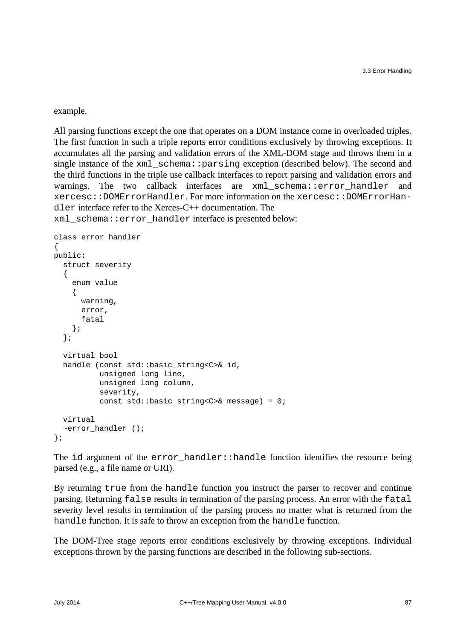example.

All parsing functions except the one that operates on a DOM instance come in overloaded triples. The first function in such a triple reports error conditions exclusively by throwing exceptions. It accumulates all the parsing and validation errors of the XML-DOM stage and throws them in a single instance of the  $xml$  schema:: $parsing$  exception (described below). The second and the third functions in the triple use callback interfaces to report parsing and validation errors and warnings. The two callback interfaces are xml\_schema::error\_handler and xercesc::DOMErrorHandler. For more information on the xercesc::DOMErrorHandler interface refer to the Xerces-C++ documentation. The

xml\_schema::error\_handler interface is presented below:

```
class error_handler
{
public:
   struct severity
   {
     enum value
     {
       warning,
       error,
       fatal
     };
   };
   virtual bool
   handle (const std::basic_string<C>& id,
            unsigned long line,
            unsigned long column,
            severity,
            const std::basic_string<C>& message) = 0;
   virtual
   ~error_handler ();
};
```
The id argument of the error\_handler::handle function identifies the resource being parsed (e.g., a file name or URI).

By returning true from the handle function you instruct the parser to recover and continue parsing. Returning false results in termination of the parsing process. An error with the fatal severity level results in termination of the parsing process no matter what is returned from the handle function. It is safe to throw an exception from the handle function.

The DOM-Tree stage reports error conditions exclusively by throwing exceptions. Individual exceptions thrown by the parsing functions are described in the following sub-sections.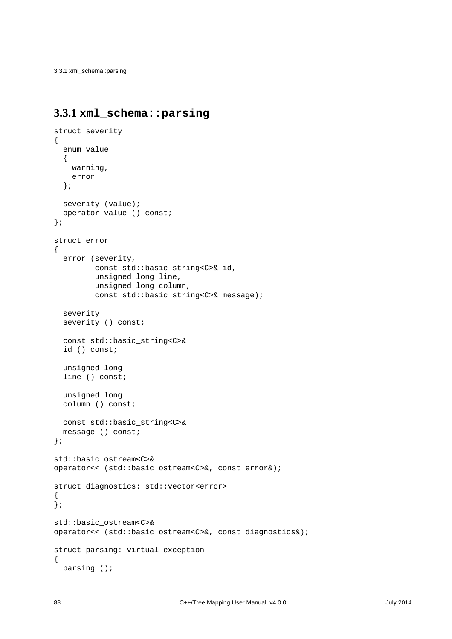3.3.1 xml\_schema::parsing

#### <span id="page-93-0"></span>**3.3.1 xml\_schema::parsing**

```
struct severity
{
   enum value
  \{ warning,
    error
   };
   severity (value);
   operator value () const;
};
struct error
{
   error (severity,
          const std::basic_string<C>& id,
          unsigned long line,
          unsigned long column,
          const std::basic_string<C>& message);
   severity
  severity () const;
   const std::basic_string<C>&
   id () const;
   unsigned long
  line () const;
   unsigned long
   column () const;
   const std::basic_string<C>&
  message () const;
};
std::basic_ostream<C>&
operator<< (std::basic_ostream<C>&, const error&);
struct diagnostics: std::vector<error>
{
};
std::basic_ostream<C>&
operator<< (std::basic_ostream<C>&, const diagnostics&);
struct parsing: virtual exception
{
   parsing ();
```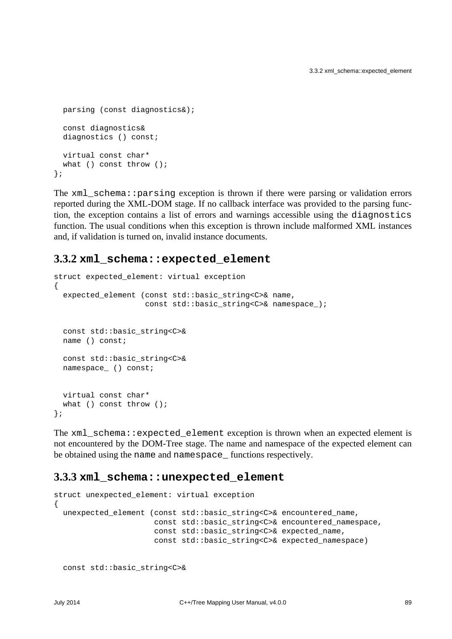```
 parsing (const diagnostics&);
   const diagnostics&
   diagnostics () const;
  virtual const char*
 what () const throw ();
};
```
The xml\_schema::parsing exception is thrown if there were parsing or validation errors reported during the XML-DOM stage. If no callback interface was provided to the parsing function, the exception contains a list of errors and warnings accessible using the diagnostics function. The usual conditions when this exception is thrown include malformed XML instances and, if validation is turned on, invalid instance documents.

#### **3.3.2 xml\_schema::expected\_element**

```
struct expected_element: virtual exception
{
   expected_element (const std::basic_string<C>& name,
                    const std::basic string<C>& namespace );
  const std::basic_string<C>&
  name () const;
  const std::basic_string<C>&
  namespace_ () const;
  virtual const char*
 what () const throw ();
};
```
The xml\_schema::expected\_element exception is thrown when an expected element is not encountered by the DOM-Tree stage. The name and namespace of the expected element can be obtained using the name and namespace\_ functions respectively.

### <span id="page-94-0"></span>**3.3.3 xml\_schema::unexpected\_element**

```
struct unexpected_element: virtual exception
{
 unexpected element (const std::basic string<C>& encountered name,
                       const std::basic_string<C>& encountered_namespace,
                       const std::basic_string<C>& expected_name,
                       const std::basic_string<C>& expected_namespace)
   const std::basic_string<C>&
```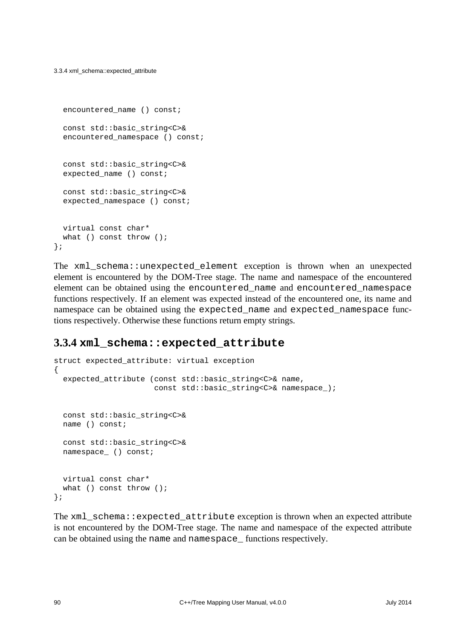3.3.4 xml\_schema::expected\_attribute

```
encountered name () const;
  const std::basic_string<C>&
 encountered namespace () const;
  const std::basic_string<C>&
  expected_name () const;
  const std::basic_string<C>&
 expected namespace () const;
  virtual const char*
 what () const throw ();
};
```
The xml\_schema::unexpected\_element exception is thrown when an unexpected element is encountered by the DOM-Tree stage. The name and namespace of the encountered element can be obtained using the encountered\_name and encountered\_namespace functions respectively. If an element was expected instead of the encountered one, its name and namespace can be obtained using the expected\_name and expected\_namespace functions respectively. Otherwise these functions return empty strings.

### **3.3.4 xml\_schema::expected\_attribute**

```
struct expected_attribute: virtual exception
\{expected attribute (const std::basic string<C>& name,
                      const std::basic string<C>& namespace );
  const std::basic_string<C>&
  name () const;
  const std::basic_string<C>&
  namespace_ () const;
  virtual const char*
 what () const throw ();
};
```
The xml schema: expected attribute exception is thrown when an expected attribute is not encountered by the DOM-Tree stage. The name and namespace of the expected attribute can be obtained using the name and namespace\_ functions respectively.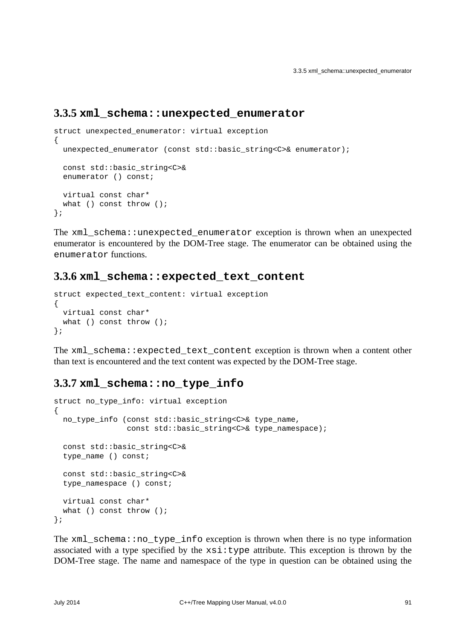#### **3.3.5 xml\_schema::unexpected\_enumerator**

```
struct unexpected_enumerator: virtual exception
{
  unexpected_enumerator (const std::basic_string<C>& enumerator);
  const std::basic_string<C>&
 enumerator () const;
  virtual const char*
 what () const throw ();
};
```
The xml\_schema::unexpected\_enumerator exception is thrown when an unexpected enumerator is encountered by the DOM-Tree stage. The enumerator can be obtained using the enumerator functions.

#### **3.3.6 xml\_schema::expected\_text\_content**

```
struct expected_text_content: virtual exception
{
  virtual const char*
 what () const throw ();
};
```
The xml\_schema::expected\_text\_content exception is thrown when a content other than text is encountered and the text content was expected by the DOM-Tree stage.

#### <span id="page-96-0"></span>**3.3.7 xml\_schema::no\_type\_info**

```
struct no_type_info: virtual exception
{
 no type info (const std::basic string<C>& type name,
                 const std::basic_string<C>& type_namespace);
   const std::basic_string<C>&
  type_name () const;
  const std::basic_string<C>&
   type_namespace () const;
  virtual const char*
 what () const throw ();
};
```
The xml\_schema::no\_type\_info exception is thrown when there is no type information associated with a type specified by the  $xsi:type$  attribute. This exception is thrown by the DOM-Tree stage. The name and namespace of the type in question can be obtained using the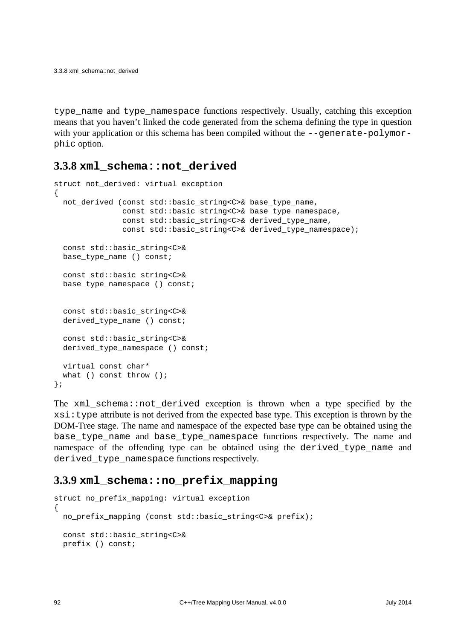type\_name and type\_namespace functions respectively. Usually, catching this exception means that you haven't linked the code generated from the schema defining the type in question with your application or this schema has been compiled without the --generate-polymorphic option.

#### **3.3.8 xml\_schema::not\_derived**

```
struct not_derived: virtual exception
{
  not_derived (const std::basic_string<C>& base_type_name,
                const std::basic_string<C>& base_type_namespace,
               const std::basic string<C>& derived type name,
               const std::basic string<C>& derived type namespace);
  const std::basic_string<C>&
  base_type_name () const;
  const std::basic_string<C>&
  base_type_namespace () const;
  const std::basic_string<C>&
  derived_type_name () const;
  const std::basic_string<C>&
  derived_type_namespace () const;
  virtual const char*
 what () const throw ();
};
```
The  $xml$  schema::not derived exception is thrown when a type specified by the xsi:type attribute is not derived from the expected base type. This exception is thrown by the DOM-Tree stage. The name and namespace of the expected base type can be obtained using the base type name and base type namespace functions respectively. The name and namespace of the offending type can be obtained using the derived\_type\_name and derived\_type\_namespace functions respectively.

#### **3.3.9 xml\_schema::no\_prefix\_mapping**

```
struct no prefix mapping: virtual exception
{
 no prefix mapping (const std::basic string<C>& prefix);
  const std::basic_string<C>&
  prefix () const;
```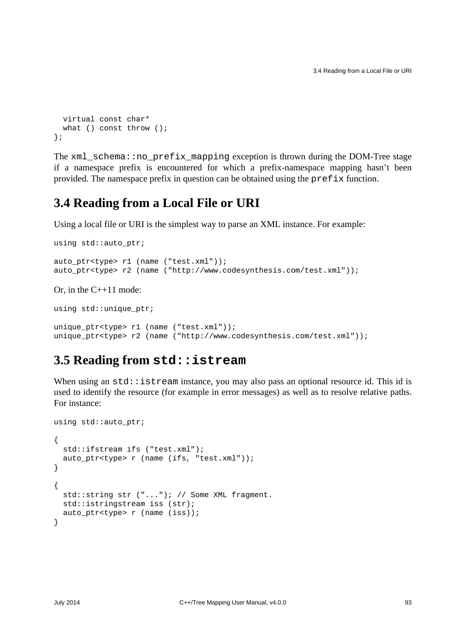```
 virtual const char*
 what () const throw ();
};
```
The xml\_schema::no\_prefix\_mapping exception is thrown during the DOM-Tree stage if a namespace prefix is encountered for which a prefix-namespace mapping hasn't been provided. The namespace prefix in question can be obtained using the  $prefix$  function.

## **3.4 Reading from a Local File or URI**

Using a local file or URI is the simplest way to parse an XML instance. For example:

```
using std::auto_ptr;
auto_ptr<type> r1 (name ("test.xml"));
auto ptr<type> r2 (name ("http://www.codesynthesis.com/test.xml"));
```
Or, in the C++11 mode:

using std::unique\_ptr;

```
unique_ptr<type> r1 (name ("test.xml"));
unique_ptr<type> r2 (name ("http://www.codesynthesis.com/test.xml"));
```
## **3.5 Reading from std::istream**

When using an  $std::istream$  instance, you may also pass an optional resource id. This id is used to identify the resource (for example in error messages) as well as to resolve relative paths. For instance:

```
using std::auto_ptr;
{
  std::ifstream ifs ("test.xml");
  auto_ptr<type> r (name (ifs, "test.xml"));
}
{
  std::string str ("..."); // Some XML fragment.
 std::istringstream iss (str);
   auto_ptr<type> r (name (iss));
}
```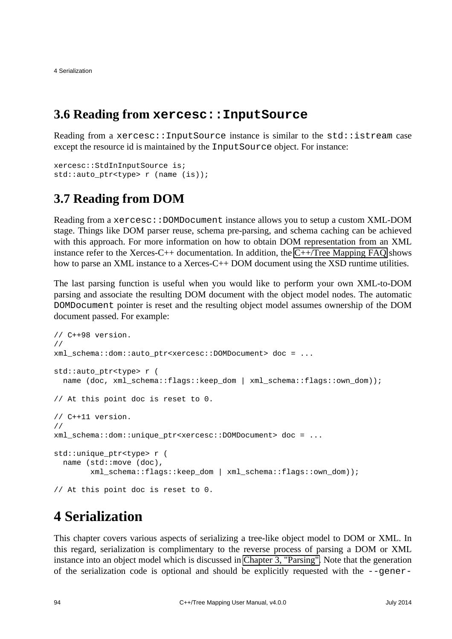4 Serialization

## **3.6 Reading from xercesc::InputSource**

Reading from a xercesc:: InputSource instance is similar to the std:: istream case except the resource id is maintained by the InputSource object. For instance:

```
xercesc::StdInInputSource is;
std::auto_ptr<type> r (name (is));
```
## **3.7 Reading from DOM**

Reading from a xercesc::DOMDocument instance allows you to setup a custom XML-DOM stage. Things like DOM parser reuse, schema pre-parsing, and schema caching can be achieved with this approach. For more information on how to obtain DOM representation from an XML instance refer to the Xerces-C++ documentation. In addition, the [C++/Tree Mapping FAQ](http://wiki.codesynthesis.com/Tree/FAQ) shows how to parse an XML instance to a Xerces-C++ DOM document using the XSD runtime utilities.

The last parsing function is useful when you would like to perform your own XML-to-DOM parsing and associate the resulting DOM document with the object model nodes. The automatic DOMDocument pointer is reset and the resulting object model assumes ownership of the DOM document passed. For example:

```
// C++98 version.
//
xml_schema::dom::auto_ptr<xercesc::DOMDocument> doc = ...
std::auto ptr<type> r (
  name (doc, xml schema::flags::keep dom | xml schema::flags::own dom));
// At this point doc is reset to 0.
// C++11 version.
//
xml_schema::dom::unique_ptr<xercesc::DOMDocument> doc = ...
std:: unique ptr<type> r (
  name (std::move (doc),
         xml_schema::flags::keep_dom | xml_schema::flags::own_dom));
// At this point doc is reset to 0.
```
# **4 Serialization**

This chapter covers various aspects of serializing a tree-like object model to DOM or XML. In this regard, serialization is complimentary to the reverse process of parsing a DOM or XML instance into an object model which is discussed in [Chapter 3, "Parsing".](#page-87-0) Note that the generation of the serialization code is optional and should be explicitly requested with the --gener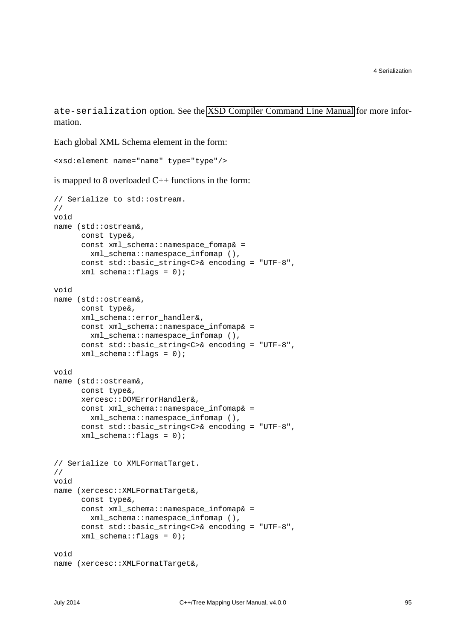ate-serialization option. See the [XSD Compiler Command Line Manual](http://www.codesynthesis.com/projects/xsd/documentation/xsd.xhtml) for more information.

Each global XML Schema element in the form:

```
<xsd:element name="name" type="type"/>
```
is mapped to 8 overloaded  $C++$  functions in the form:

```
// Serialize to std::ostream.
//
void
name (std::ostream&,
       const type&,
       const xml_schema::namespace_fomap& =
         xml_schema::namespace_infomap (),
      const std::basic string<C>& encoding = "UTF-8",
       xml_schema::flags = 0);
void
name (std::ostream&,
       const type&,
       xml_schema::error_handler&,
       const xml_schema::namespace_infomap& =
         xml_schema::namespace_infomap (),
      const std::basic string<C>& encoding = "UTF-8",
      xml schema::flags = 0);
void
name (std::ostream&,
       const type&,
       xercesc::DOMErrorHandler&,
      const xml schema::namespace infomap& =
         xml_schema::namespace_infomap (),
       const std::basic_string<C>& encoding = "UTF-8",
      xml\_schema::flags = 0;
// Serialize to XMLFormatTarget.
//
void
name (xercesc::XMLFormatTarget&,
       const type&,
      const xml schema::namespace infomap& =
         xml_schema::namespace_infomap (),
       const std::basic_string<C>& encoding = "UTF-8",
      xml schema::flags = 0);
void
name (xercesc::XMLFormatTarget&,
```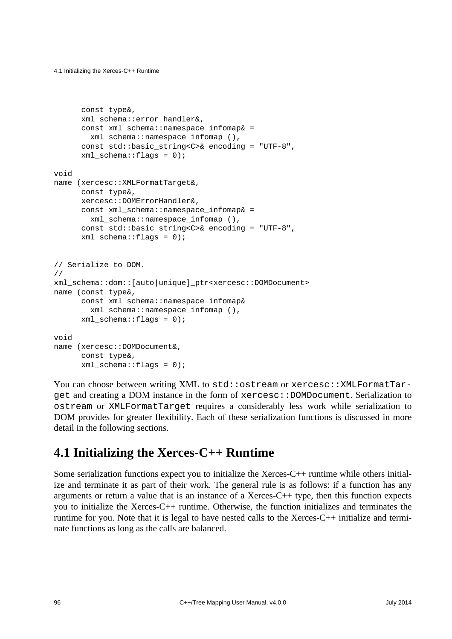```
4.1 Initializing the Xerces-C++ Runtime
```

```
 const type&,
       xml_schema::error_handler&,
      const xml schema::namespace infomap& =
         xml_schema::namespace_infomap (),
      const std::basic string<C>& encoding = "UTF-8",
      xml schema::flags = 0);
void
name (xercesc::XMLFormatTarget&,
      const type&,
       xercesc::DOMErrorHandler&,
      const xml schema::namespace infomap& =
         xml_schema::namespace_infomap (),
       const std::basic_string<C>& encoding = "UTF-8",
      xml schema::flags = 0);
// Serialize to DOM.
//
xml_schema::dom::[auto|unique]_ptr<xercesc::DOMDocument>
name (const type&,
       const xml_schema::namespace_infomap&
         xml_schema::namespace_infomap (),
       xml_schema::flags = 0);
void
name (xercesc::DOMDocument&,
       const type&,
       xml_schema::flags = 0);
```
You can choose between writing XML to std::ostream or xercesc::XMLFormatTarget and creating a DOM instance in the form of xercesc::DOMDocument. Serialization to ostream or XMLFormatTarget requires a considerably less work while serialization to DOM provides for greater flexibility. Each of these serialization functions is discussed in more detail in the following sections.

## <span id="page-101-0"></span>**4.1 Initializing the Xerces-C++ Runtime**

Some serialization functions expect you to initialize the Xerces-C++ runtime while others initialize and terminate it as part of their work. The general rule is as follows: if a function has any arguments or return a value that is an instance of a Xerces- $C_{++}$  type, then this function expects you to initialize the Xerces-C++ runtime. Otherwise, the function initializes and terminates the runtime for you. Note that it is legal to have nested calls to the Xerces-C++ initialize and terminate functions as long as the calls are balanced.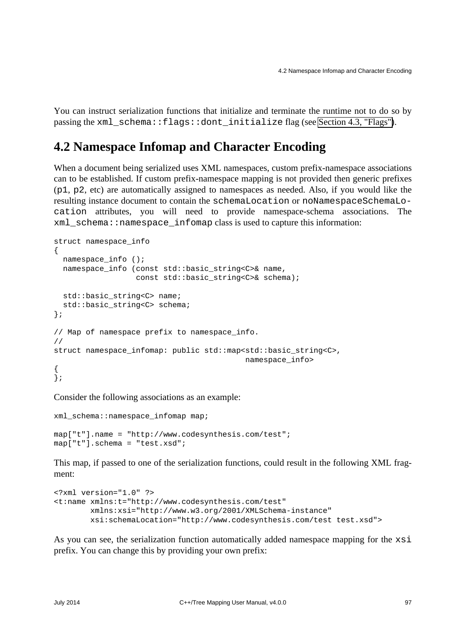You can instruct serialization functions that initialize and terminate the runtime not to do so by passing the xml\_schema::flags::dont\_initialize flag (see [Section 4.3, "Flags"\)](#page-104-0).

## **4.2 Namespace Infomap and Character Encoding**

When a document being serialized uses XML namespaces, custom prefix-namespace associations can to be established. If custom prefix-namespace mapping is not provided then generic prefixes (p1, p2, etc) are automatically assigned to namespaces as needed. Also, if you would like the resulting instance document to contain the schemaLocation or noNamespaceSchemaLocation attributes, you will need to provide namespace-schema associations. The  $xml$  schema::namespace infomap class is used to capture this information:

```
struct namespace info
{
  namespace info ();
  namespace info (const std::basic string<C>& name,
                  const std::basic string<C>& schema);
 std::basic_string<C> name;
 std::basic_string<C> schema;
};
// Map of namespace prefix to namespace_info.
//
struct namespace_infomap: public std::map<std::basic_string<C>,
                                             namespace_info>
{
\big\};
```
Consider the following associations as an example:

```
xml_schema::namespace_infomap map;
map["t"].name = "http://www.codesynthesis.com/test";
map["t"].schema = "test.xsd";
```
This map, if passed to one of the serialization functions, could result in the following XML fragment:

```
<?xml version="1.0" ?>
<t:name xmlns:t="http://www.codesynthesis.com/test"
        xmlns:xsi="http://www.w3.org/2001/XMLSchema-instance"
        xsi:schemaLocation="http://www.codesynthesis.com/test test.xsd">
```
As you can see, the serialization function automatically added namespace mapping for the xsi prefix. You can change this by providing your own prefix: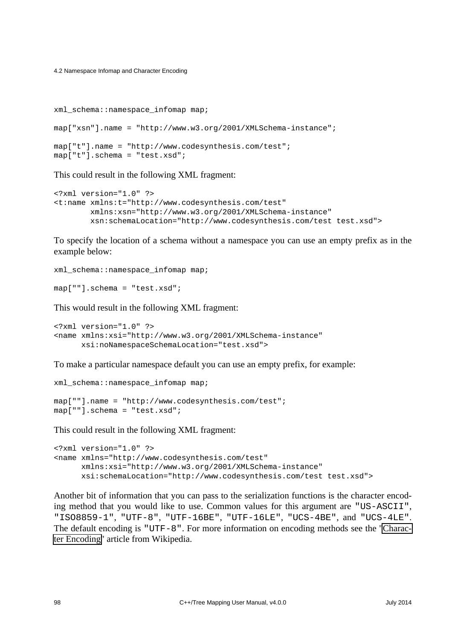4.2 Namespace Infomap and Character Encoding

```
xml_schema::namespace_infomap map;
map["xsn"].name = "http://www.w3.org/2001/XMLSchema-instance";
map["t"].name = "http://www.codesynthesis.com/test";
map["t"].schema = "test.xsd";
```
This could result in the following XML fragment:

```
<?xml version="1.0" ?>
<t:name xmlns:t="http://www.codesynthesis.com/test"
        xmlns:xsn="http://www.w3.org/2001/XMLSchema-instance"
        xsn:schemaLocation="http://www.codesynthesis.com/test test.xsd">
```
To specify the location of a schema without a namespace you can use an empty prefix as in the example below:

```
xml_schema::namespace_infomap map;
```

```
map[""].schema = "test.xsd";
```
This would result in the following XML fragment:

```
<?xml version="1.0" ?>
<name xmlns:xsi="http://www.w3.org/2001/XMLSchema-instance"
       xsi:noNamespaceSchemaLocation="test.xsd">
```
To make a particular namespace default you can use an empty prefix, for example:

```
xml_schema::namespace_infomap map;
map[""].name = "http://www.codesynthesis.com/test";
map[""].schema = "test.xsd";
```
This could result in the following XML fragment:

```
<?xml version="1.0" ?>
<name xmlns="http://www.codesynthesis.com/test"
      xmlns:xsi="http://www.w3.org/2001/XMLSchema-instance"
       xsi:schemaLocation="http://www.codesynthesis.com/test test.xsd">
```
Another bit of information that you can pass to the serialization functions is the character encoding method that you would like to use. Common values for this argument are "US-ASCII", "ISO8859-1", "UTF-8", "UTF-16BE", "UTF-16LE", "UCS-4BE", and "UCS-4LE". The default encoding is "UTF-8". For more information on encoding methods see the ["Charac](http://en.wikipedia.org/wiki/Character_code)[ter Encoding"](http://en.wikipedia.org/wiki/Character_code) article from Wikipedia.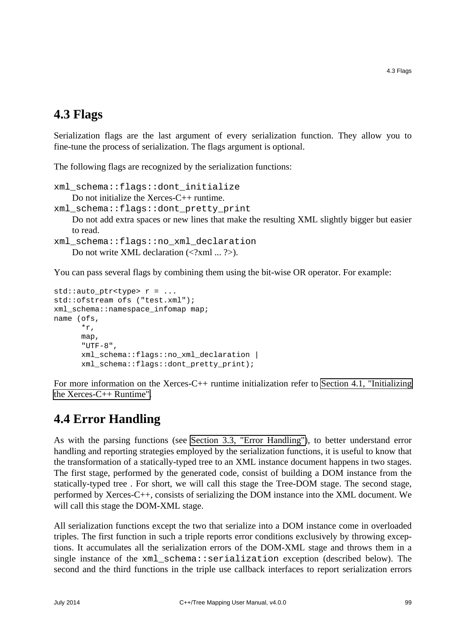### <span id="page-104-0"></span>**4.3 Flags**

Serialization flags are the last argument of every serialization function. They allow you to fine-tune the process of serialization. The flags argument is optional.

The following flags are recognized by the serialization functions:

```
xml_schema::flags::dont_initialize
    Do not initialize the Xerces-C++ runtime. 
xml_schema::flags::dont_pretty_print
    Do not add extra spaces or new lines that make the resulting XML slightly bigger but easier
    to read. 
xml_schema::flags::no_xml_declaration
```

```
Do not write XML declaration \langle \langle 2 \ranglexml ... \langle \rangle.
```
You can pass several flags by combining them using the bit-wise OR operator. For example:

```
std::auto_ptr<type> r = ...
std::ofstream ofs ("test.xml");
xml_schema::namespace_infomap map;
name (ofs,
       *r,
       map,
      "UTF-8".
       xml_schema::flags::no_xml_declaration |
       xml_schema::flags::dont_pretty_print);
```
For more information on the Xerces-C++ runtime initialization refer to [Section 4.1, "Initializing](#page-101-0) [the Xerces-C++ Runtime".](#page-101-0)

## **4.4 Error Handling**

As with the parsing functions (see [Section 3.3, "Error Handling"\)](#page-91-0), to better understand error handling and reporting strategies employed by the serialization functions, it is useful to know that the transformation of a statically-typed tree to an XML instance document happens in two stages. The first stage, performed by the generated code, consist of building a DOM instance from the statically-typed tree . For short, we will call this stage the Tree-DOM stage. The second stage, performed by Xerces-C++, consists of serializing the DOM instance into the XML document. We will call this stage the DOM-XML stage.

All serialization functions except the two that serialize into a DOM instance come in overloaded triples. The first function in such a triple reports error conditions exclusively by throwing exceptions. It accumulates all the serialization errors of the DOM-XML stage and throws them in a single instance of the xml\_schema::serialization exception (described below). The second and the third functions in the triple use callback interfaces to report serialization errors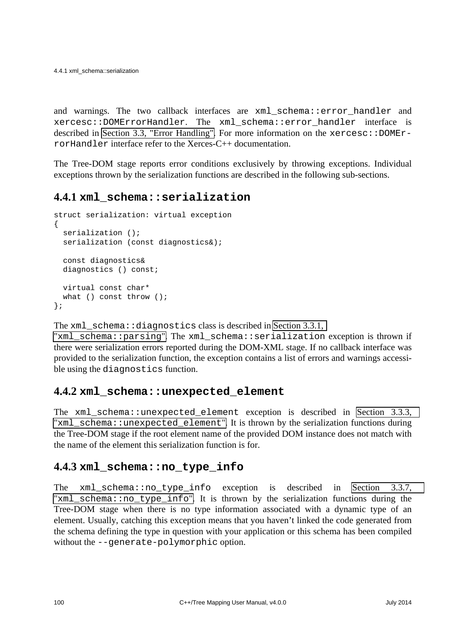and warnings. The two callback interfaces are xml\_schema::error\_handler and xercesc::DOMErrorHandler. The xml\_schema::error\_handler interface is described in [Section 3.3, "Error Handling".](#page-91-0) For more information on the  $x$ e $r$ cesc::DOMErrorHandler interface refer to the Xerces-C++ documentation.

The Tree-DOM stage reports error conditions exclusively by throwing exceptions. Individual exceptions thrown by the serialization functions are described in the following sub-sections.

### **4.4.1 xml\_schema::serialization**

```
struct serialization: virtual exception
{
   serialization ();
 serialization (const diagnostics&);
   const diagnostics&
  diagnostics () const;
  virtual const char*
 what () const throw ();
};
```
The xml\_schema::diagnostics class is described in [Section 3.3.1,](#page-93-0) 

"xml schema::parsing". The xml schema::serialization exception is thrown if there were serialization errors reported during the DOM-XML stage. If no callback interface was provided to the serialization function, the exception contains a list of errors and warnings accessible using the diagnostics function.

#### **4.4.2 xml\_schema::unexpected\_element**

The xml schema::unexpected element exception is described in Section 3.3.3, "xml schema::unexpected element". It is thrown by the serialization functions during the Tree-DOM stage if the root element name of the provided DOM instance does not match with the name of the element this serialization function is for.

### **4.4.3 xml\_schema::no\_type\_info**

The xml\_schema::no\_type\_info exception is described in [Section 3.3.7,](#page-96-0)  "[xml\\_schema::no\\_type\\_info](#page-96-0)". It is thrown by the serialization functions during the Tree-DOM stage when there is no type information associated with a dynamic type of an element. Usually, catching this exception means that you haven't linked the code generated from the schema defining the type in question with your application or this schema has been compiled without the --generate-polymorphic option.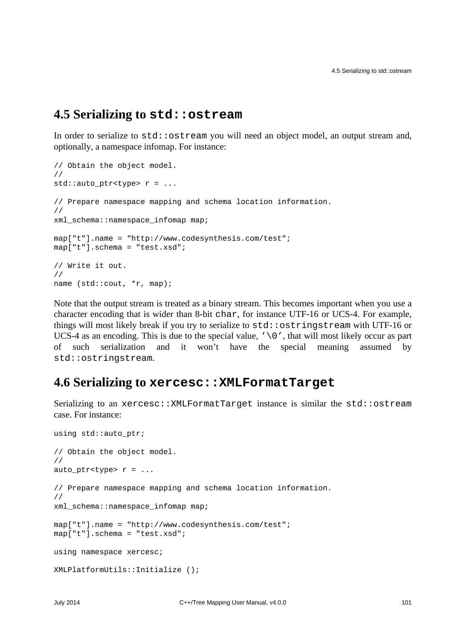### **4.5 Serializing to std::ostream**

In order to serialize to  $std:$  ostream you will need an object model, an output stream and, optionally, a namespace infomap. For instance:

```
// Obtain the object model.
//
std::auto_ptr<type> r = ...
// Prepare namespace mapping and schema location information.
//
xml_schema::namespace_infomap map;
map["t"].name = "http://www.codesynthesis.com/test";
map["t"].schema = "test.xsd";
// Write it out.
//
name (std::cout, *r, map);
```
Note that the output stream is treated as a binary stream. This becomes important when you use a character encoding that is wider than 8-bit char, for instance UTF-16 or UCS-4. For example, things will most likely break if you try to serialize to std: : ostringstream with UTF-16 or UCS-4 as an encoding. This is due to the special value,  $\sqrt{0}$ , that will most likely occur as part of such serialization and it won't have the special meaning assumed by std::ostringstream.

### **4.6 Serializing to xercesc::XMLFormatTarget**

Serializing to an xercesc:: XMLFormatTarget instance is similar the std:: ostream case. For instance:

```
using std::auto_ptr;
// Obtain the object model.
//
auto ptr<type> r = ...// Prepare namespace mapping and schema location information.
//
xml_schema::namespace_infomap map;
map["t"].name = "http://www.codesynthesis.com/test";
map["t"].schema = "test.xsd";
using namespace xercesc;
XMLPlatformUtils::Initialize ();
```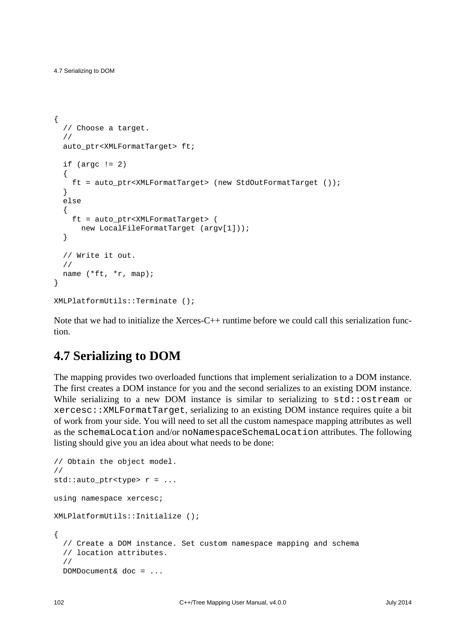```
{
   // Choose a target.
   //
  auto ptr<XMLFormatTarget> ft;
  if (\text{area} != 2) {
     ft = auto_ptr<XMLFormatTarget> (new StdOutFormatTarget ());
   }
   else
   {
     ft = auto_ptr<XMLFormatTarget> (
      new LocalFileFormatTarget (argv[1]));
   }
   // Write it out.
   //
   name (*ft, *r, map);
}
XMLPlatformUtils::Terminate ();
```
Note that we had to initialize the Xerces-C++ runtime before we could call this serialization function.

## **4.7 Serializing to DOM**

The mapping provides two overloaded functions that implement serialization to a DOM instance. The first creates a DOM instance for you and the second serializes to an existing DOM instance. While serializing to a new DOM instance is similar to serializing to  $\text{std}:\text{costream}$  or xercesc::XMLFormatTarget, serializing to an existing DOM instance requires quite a bit of work from your side. You will need to set all the custom namespace mapping attributes as well as the schemaLocation and/or noNamespaceSchemaLocation attributes. The following listing should give you an idea about what needs to be done:

```
// Obtain the object model.
//
std::auto_ptr<type> r = ...
using namespace xercesc;
XMLPlatformUtils::Initialize ();
{
   // Create a DOM instance. Set custom namespace mapping and schema
   // location attributes.
   //
  DOMDocument& doc = ...
```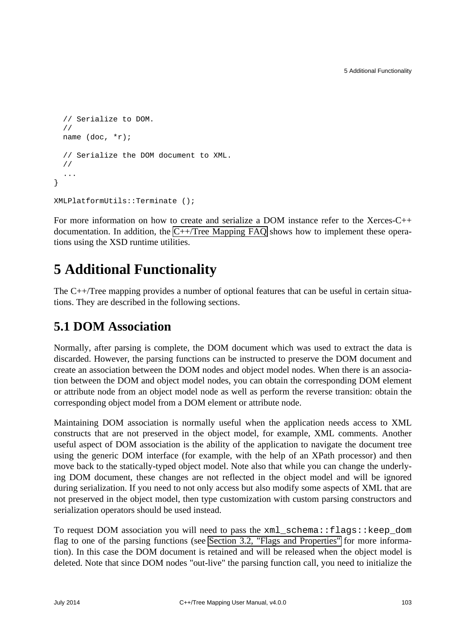```
 // Serialize to DOM.
   //
   name (doc, *r);
   // Serialize the DOM document to XML.
   //
   ...
}
XMLPlatformUtils::Terminate ();
```
For more information on how to create and serialize a DOM instance refer to the Xerces-C++ documentation. In addition, the [C++/Tree Mapping FAQ](http://wiki.codesynthesis.com/Tree/FAQ) shows how to implement these operations using the XSD runtime utilities.

## **5 Additional Functionality**

The C++/Tree mapping provides a number of optional features that can be useful in certain situations. They are described in the following sections.

## **5.1 DOM Association**

Normally, after parsing is complete, the DOM document which was used to extract the data is discarded. However, the parsing functions can be instructed to preserve the DOM document and create an association between the DOM nodes and object model nodes. When there is an association between the DOM and object model nodes, you can obtain the corresponding DOM element or attribute node from an object model node as well as perform the reverse transition: obtain the corresponding object model from a DOM element or attribute node.

Maintaining DOM association is normally useful when the application needs access to XML constructs that are not preserved in the object model, for example, XML comments. Another useful aspect of DOM association is the ability of the application to navigate the document tree using the generic DOM interface (for example, with the help of an XPath processor) and then move back to the statically-typed object model. Note also that while you can change the underlying DOM document, these changes are not reflected in the object model and will be ignored during serialization. If you need to not only access but also modify some aspects of XML that are not preserved in the object model, then type customization with custom parsing constructors and serialization operators should be used instead.

To request DOM association you will need to pass the xml\_schema::flags::keep\_dom flag to one of the parsing functions (see [Section 3.2, "Flags and Properties"](#page-90-0) for more information). In this case the DOM document is retained and will be released when the object model is deleted. Note that since DOM nodes "out-live" the parsing function call, you need to initialize the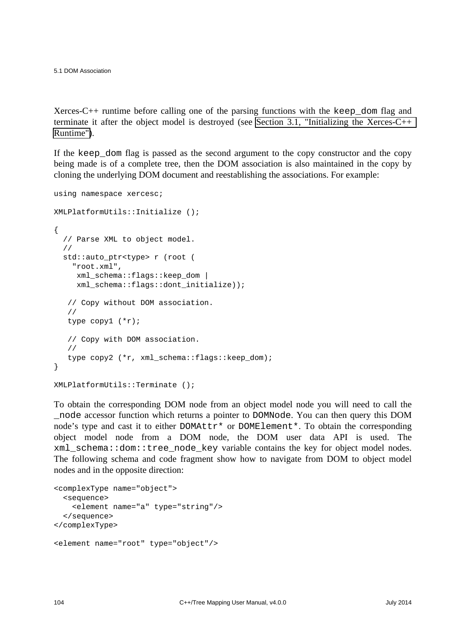5.1 DOM Association

Xerces-C++ runtime before calling one of the parsing functions with the keep\_dom flag and terminate it after the object model is destroyed (see [Section 3.1, "Initializing the Xerces-C++](#page-90-1)  [Runtime"\)](#page-90-1).

If the keep\_dom flag is passed as the second argument to the copy constructor and the copy being made is of a complete tree, then the DOM association is also maintained in the copy by cloning the underlying DOM document and reestablishing the associations. For example:

```
using namespace xercesc;
XMLPlatformUtils::Initialize ();
{
   // Parse XML to object model.
   //
  std::auto ptr<type> r (root (
     "root.xml",
      xml_schema::flags::keep_dom |
      xml_schema::flags::dont_initialize));
    // Copy without DOM association.
    //
    type copy1 (*r);
    // Copy with DOM association.
    //
    type copy2 (*r, xml_schema::flags::keep_dom);
}
XMLPlatformUtils::Terminate ();
```
To obtain the corresponding DOM node from an object model node you will need to call the \_node accessor function which returns a pointer to DOMNode. You can then query this DOM node's type and cast it to either DOMAttr\* or DOMElement\*. To obtain the corresponding object model node from a DOM node, the DOM user data API is used. The xml\_schema::dom::tree\_node\_key variable contains the key for object model nodes. The following schema and code fragment show how to navigate from DOM to object model nodes and in the opposite direction:

```
<complexType name="object">
   <sequence>
     <element name="a" type="string"/>
   </sequence>
</complexType>
<element name="root" type="object"/>
```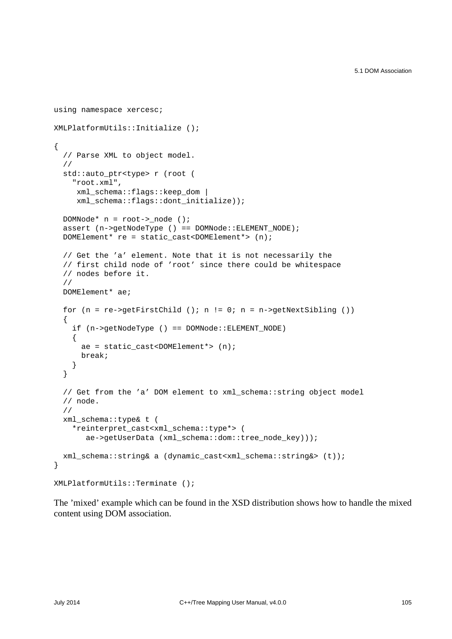```
using namespace xercesc;
XMLPlatformUtils::Initialize ();
{
   // Parse XML to object model.
   //
   std::auto_ptr<type> r (root (
     "root.xml",
      xml_schema::flags::keep_dom |
      xml_schema::flags::dont_initialize));
   DOMNode* n = root->_node ();
  assert (n->qetNodeType () == DOMNode::ELEMENT_NODE);
   DOMElement* re = static_cast<DOMElement*> (n);
   // Get the 'a' element. Note that it is not necessarily the
   // first child node of 'root' since there could be whitespace
   // nodes before it.
   //
  DOMElement* ae;
  for (n = re-)getFirstChild (); n != 0; n = n-)getNextSibling ())
  \mathcal{L} if (n->getNodeType () == DOMNode::ELEMENT_NODE)
     {
      ae = static cast<DOMElement*> (n);
       break;
     }
   }
   // Get from the 'a' DOM element to xml_schema::string object model
   // node.
   //
  xml_schema::type& t (
     *reinterpret_cast<xml_schema::type*> (
        ae->getUserData (xml_schema::dom::tree_node_key)));
  xml_schema::string& a (dynamic_cast<xml_schema::string&> (t));
}
XMLPlatformUtils::Terminate ();
```
The 'mixed' example which can be found in the XSD distribution shows how to handle the mixed content using DOM association.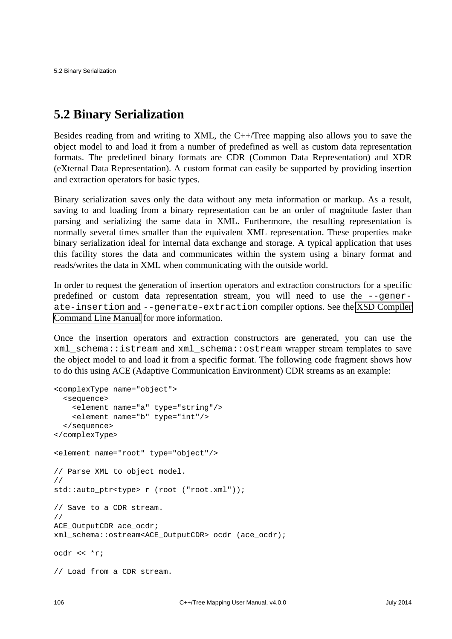## **5.2 Binary Serialization**

Besides reading from and writing to XML, the C++/Tree mapping also allows you to save the object model to and load it from a number of predefined as well as custom data representation formats. The predefined binary formats are CDR (Common Data Representation) and XDR (eXternal Data Representation). A custom format can easily be supported by providing insertion and extraction operators for basic types.

Binary serialization saves only the data without any meta information or markup. As a result, saving to and loading from a binary representation can be an order of magnitude faster than parsing and serializing the same data in XML. Furthermore, the resulting representation is normally several times smaller than the equivalent XML representation. These properties make binary serialization ideal for internal data exchange and storage. A typical application that uses this facility stores the data and communicates within the system using a binary format and reads/writes the data in XML when communicating with the outside world.

In order to request the generation of insertion operators and extraction constructors for a specific predefined or custom data representation stream, you will need to use the --generate-insertion and --generate-extraction compiler options. See the [XSD Compiler](http://www.codesynthesis.com/projects/xsd/documentation/xsd.xhtml) [Command Line Manual](http://www.codesynthesis.com/projects/xsd/documentation/xsd.xhtml) for more information.

Once the insertion operators and extraction constructors are generated, you can use the xml\_schema::istream and xml\_schema::ostream wrapper stream templates to save the object model to and load it from a specific format. The following code fragment shows how to do this using ACE (Adaptive Communication Environment) CDR streams as an example:

```
<complexType name="object">
   <sequence>
     <element name="a" type="string"/>
     <element name="b" type="int"/>
   </sequence>
</complexType>
<element name="root" type="object"/>
// Parse XML to object model.
//
std::auto ptr<type> r (root ("root.xml"));
// Save to a CDR stream.
//
ACE_OutputCDR ace_ocdr;
xml_schema::ostream<ACE_OutputCDR> ocdr (ace_ocdr);
ocdr << *r;
// Load from a CDR stream.
```